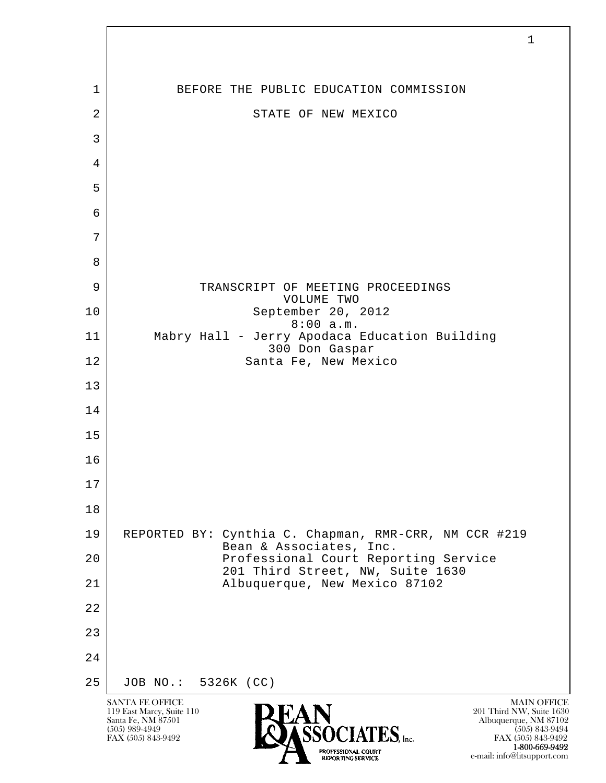l  $\overline{\phantom{a}}$ SANTA FE OFFICE MAIN OFFICE MAIN OFFICE MAIN OFFICE MAIN OFFICE 119 East Marcy, Suite 110<br>Santa Fe, NM 87501 Santa Fe, NM 87501 Albuquerque, NM 87102  $\sum_{\text{FAX (505) 843-9492}}$   $\sum_{\text{FAX (505) 843-9492}}$   $\sum_{\text{FAX (505) 843-9492}}$ 1 BEFORE THE PUBLIC EDUCATION COMMISSION 2 STATE OF NEW MEXICO 3 4 5 6 7 8 9 | TRANSCRIPT OF MEETING PROCEEDINGS VOLUME TWO 10 September 20, 2012 8:00 a.m. 11 Mabry Hall - Jerry Apodaca Education Building 300 Don Gaspar 12 Santa Fe, New Mexico 13 14 15 16 17 18 19 REPORTED BY: Cynthia C. Chapman, RMR-CRR, NM CCR #219 Bean & Associates, Inc. 20 | Professional Court Reporting Service 201 Third Street, NW, Suite 1630<br>21 Albuquerque, New Mexico 87102 21 Albuquerque, New Mexico 87102 22 23 24 25 JOB NO.: 5326K (CC)

1

FAX (505) 843-9492 FAX (505) 843-9492 1-800-669-9492 e-mail: info@litsupport.com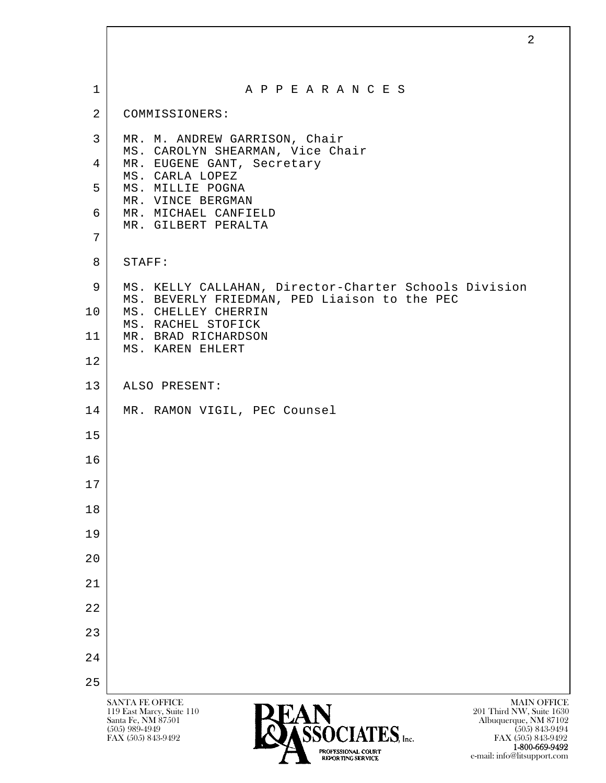| $\mathbf 1$    | A P P E A R A N C E S                                                                                 |
|----------------|-------------------------------------------------------------------------------------------------------|
| $\overline{2}$ | COMMISSIONERS:                                                                                        |
| 3              | MR. M. ANDREW GARRISON, Chair<br>MS. CAROLYN SHEARMAN, Vice Chair                                     |
| 4              | MR. EUGENE GANT, Secretary<br>MS. CARLA LOPEZ                                                         |
| 5              | MS. MILLIE POGNA<br>MR. VINCE BERGMAN                                                                 |
| 6              | MR. MICHAEL CANFIELD<br>MR. GILBERT PERALTA                                                           |
| 7              |                                                                                                       |
| 8              | STAFF:                                                                                                |
| 9              | MS. KELLY CALLAHAN, Director-Charter Schools Division<br>MS. BEVERLY FRIEDMAN, PED Liaison to the PEC |
| 10             | MS. CHELLEY CHERRIN<br>MS. RACHEL STOFICK                                                             |
| 11             | MR. BRAD RICHARDSON                                                                                   |
| 12             | MS. KAREN EHLERT                                                                                      |
| 13             | ALSO PRESENT:                                                                                         |
| 14             | MR. RAMON VIGIL, PEC Counsel                                                                          |
| 15             |                                                                                                       |
| 16             |                                                                                                       |
| 17             |                                                                                                       |
| 18             |                                                                                                       |
| 19             |                                                                                                       |
| 20             |                                                                                                       |
| 21             |                                                                                                       |
| 22             |                                                                                                       |
| 23             |                                                                                                       |
| 24             |                                                                                                       |
| 25             |                                                                                                       |

**1-800-669-9492**<br> **EXALTERIONAL CN BT** e-mail: info@litsupport.com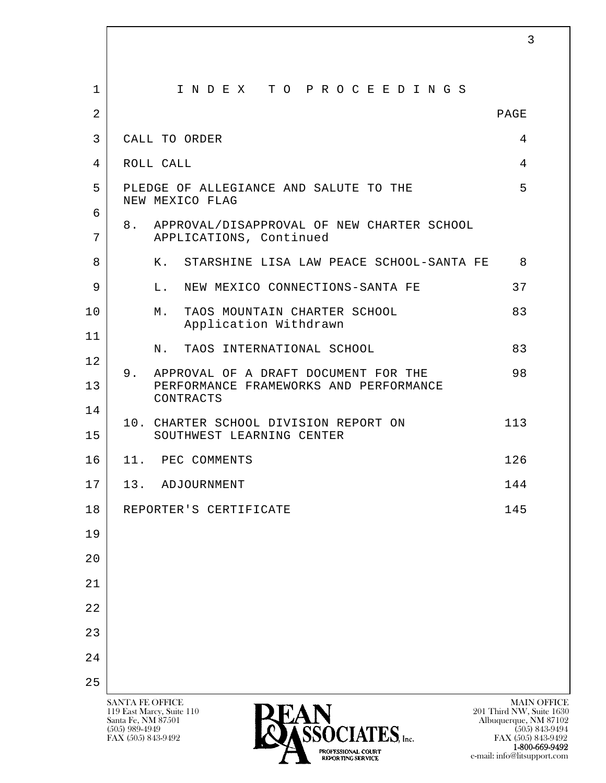| $\mathbf 1$    | INDEX TO PROCEEDINGS                                                           |      |
|----------------|--------------------------------------------------------------------------------|------|
| $\overline{2}$ |                                                                                | PAGE |
| 3              | CALL TO ORDER                                                                  | 4    |
| 4              | ROLL CALL                                                                      | 4    |
| 5              | PLEDGE OF ALLEGIANCE AND SALUTE TO THE<br>NEW MEXICO FLAG                      | 5    |
| 6<br>7         | 8. APPROVAL/DISAPPROVAL OF NEW CHARTER SCHOOL<br>APPLICATIONS, Continued       |      |
| 8              | STARSHINE LISA LAW PEACE SCHOOL-SANTA FE<br>К.                                 | 8    |
| 9              | NEW MEXICO CONNECTIONS-SANTA FE<br>L.                                          | 37   |
| 10             | TAOS MOUNTAIN CHARTER SCHOOL<br>М.<br>Application Withdrawn                    | 83   |
| 11             | TAOS INTERNATIONAL SCHOOL<br>Ν.                                                | 83   |
| 12<br>9.<br>13 | APPROVAL OF A DRAFT DOCUMENT FOR THE<br>PERFORMANCE FRAMEWORKS AND PERFORMANCE | 98   |
| 14             | CONTRACTS                                                                      |      |
| 15             | 10. CHARTER SCHOOL DIVISION REPORT ON<br>SOUTHWEST LEARNING CENTER             | 113  |
| 16             | 11. PEC COMMENTS                                                               | 126  |
| 17             | 13. ADJOURNMENT                                                                | 144  |
| 18             | REPORTER'S CERTIFICATE                                                         | 145  |
| 19             |                                                                                |      |
| 20             |                                                                                |      |
| 21             |                                                                                |      |
| 22             |                                                                                |      |
| 23             |                                                                                |      |
| 24             |                                                                                |      |
| 25             |                                                                                |      |

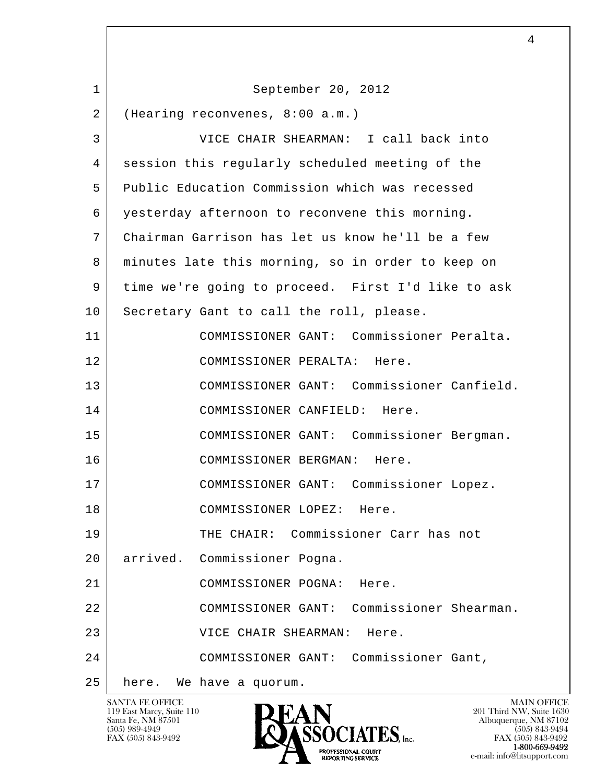| $\mathbf 1$ | September 20, 2012                                 |
|-------------|----------------------------------------------------|
| 2           | (Hearing reconvenes, 8:00 a.m.)                    |
| 3           | VICE CHAIR SHEARMAN: I call back into              |
| 4           | session this regularly scheduled meeting of the    |
| 5           | Public Education Commission which was recessed     |
| 6           | yesterday afternoon to reconvene this morning.     |
| 7           | Chairman Garrison has let us know he'll be a few   |
| 8           | minutes late this morning, so in order to keep on  |
| 9           | time we're going to proceed. First I'd like to ask |
| 10          | Secretary Gant to call the roll, please.           |
| 11          | COMMISSIONER GANT: Commissioner Peralta.           |
| 12          | COMMISSIONER PERALTA: Here.                        |
| 13          | COMMISSIONER GANT: Commissioner Canfield.          |
| 14          | COMMISSIONER CANFIELD: Here.                       |
| 15          | COMMISSIONER GANT: Commissioner Bergman.           |
| 16          | COMMISSIONER BERGMAN: Here.                        |
| 17          | COMMISSIONER GANT: Commissioner Lopez.             |
| 18          | COMMISSIONER LOPEZ: Here.                          |
| 19          | THE CHAIR: Commissioner Carr has not               |
| 20          | arrived. Commissioner Pogna.                       |
| 21          | COMMISSIONER POGNA: Here.                          |
| 22          | COMMISSIONER GANT: Commissioner Shearman.          |
| 23          | VICE CHAIR SHEARMAN:<br>Here.                      |
| 24          | COMMISSIONER GANT: Commissioner Gant,              |
| 25          | here. We have a quorum.                            |

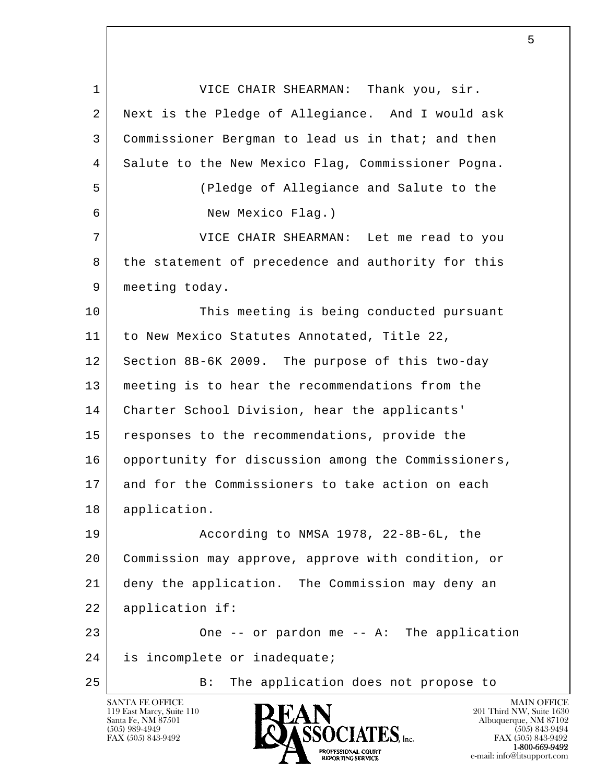l  $\overline{\phantom{a}}$  1 VICE CHAIR SHEARMAN: Thank you, sir. 2 Next is the Pledge of Allegiance. And I would ask 3 Commissioner Bergman to lead us in that; and then 4 Salute to the New Mexico Flag, Commissioner Pogna. 5 (Pledge of Allegiance and Salute to the 6 New Mexico Flag.) 7 VICE CHAIR SHEARMAN: Let me read to you 8 the statement of precedence and authority for this 9 | meeting today. 10 This meeting is being conducted pursuant 11 to New Mexico Statutes Annotated, Title 22, 12 Section 8B-6K 2009. The purpose of this two-day 13 meeting is to hear the recommendations from the 14 Charter School Division, hear the applicants' 15 responses to the recommendations, provide the 16 opportunity for discussion among the Commissioners, 17 and for the Commissioners to take action on each 18 application. 19 According to NMSA 1978, 22-8B-6L, the 20 Commission may approve, approve with condition, or 21 deny the application. The Commission may deny an 22 application if: 23 One -- or pardon me -- A: The application 24 is incomplete or inadequate; 25 | B: The application does not propose to

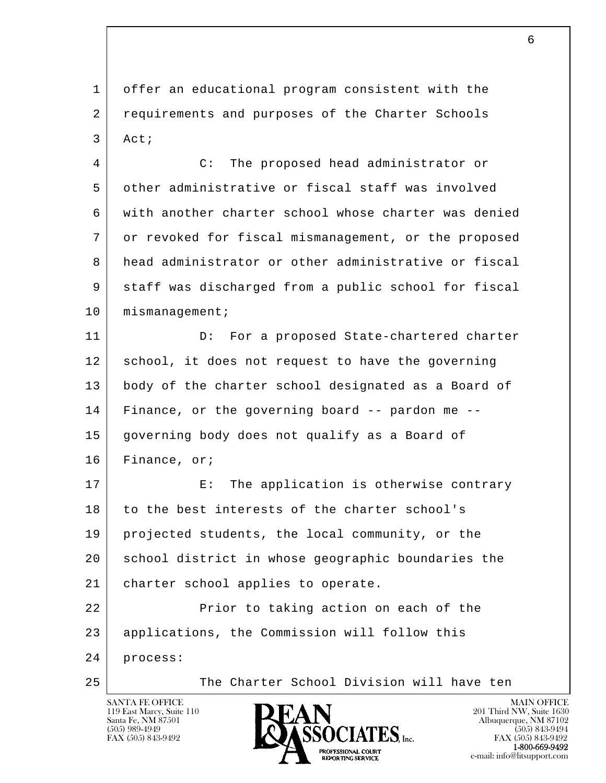1 offer an educational program consistent with the 2 requirements and purposes of the Charter Schools 3 Act;

 4 C: The proposed head administrator or 5 other administrative or fiscal staff was involved 6 with another charter school whose charter was denied 7 or revoked for fiscal mismanagement, or the proposed 8 head administrator or other administrative or fiscal 9 staff was discharged from a public school for fiscal 10 mismanagement;

11 D: For a proposed State-chartered charter 12 school, it does not request to have the governing 13 | body of the charter school designated as a Board of 14 Finance, or the governing board -- pardon me -- 15 governing body does not qualify as a Board of 16 Finance, or;

17 E: The application is otherwise contrary 18 to the best interests of the charter school's 19 projected students, the local community, or the 20 school district in whose geographic boundaries the 21 charter school applies to operate.

l  $\overline{\phantom{a}}$ 22 Prior to taking action on each of the 23 applications, the Commission will follow this

24 process:

25 The Charter School Division will have ten

119 East Marcy, Suite 110<br>Santa Fe, NM 87501



FAX (505) 843-9492<br>**1-800-669-9492**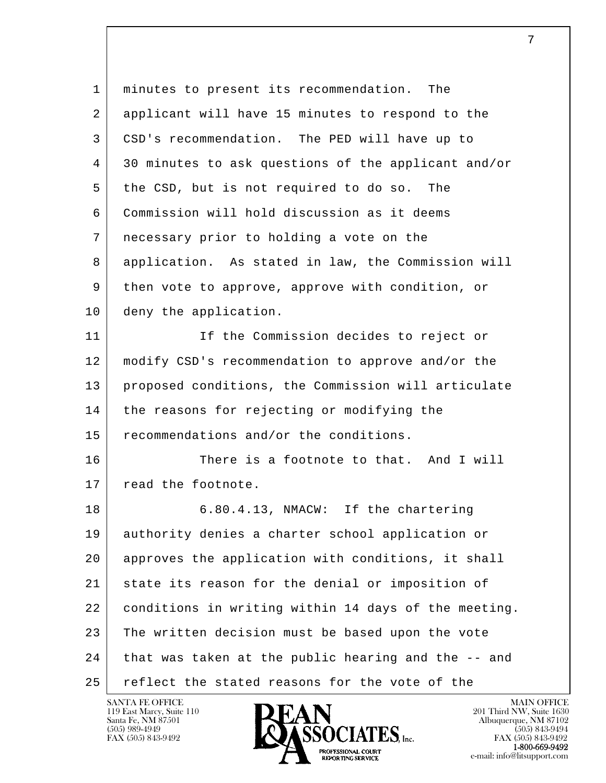| $\mathbf{1}$ | minutes to present its recommendation.<br>The        |
|--------------|------------------------------------------------------|
| 2            | applicant will have 15 minutes to respond to the     |
| 3            | CSD's recommendation. The PED will have up to        |
| 4            | 30 minutes to ask questions of the applicant and/or  |
| 5            | the CSD, but is not required to do so.<br>The        |
| 6            | Commission will hold discussion as it deems          |
| 7            | necessary prior to holding a vote on the             |
| 8            | application. As stated in law, the Commission will   |
| 9            | then vote to approve, approve with condition, or     |
| 10           | deny the application.                                |
| 11           | If the Commission decides to reject or               |
| 12           | modify CSD's recommendation to approve and/or the    |
| 13           | proposed conditions, the Commission will articulate  |
| 14           | the reasons for rejecting or modifying the           |
| 15           | recommendations and/or the conditions.               |
| 16           | There is a footnote to that. And I will              |
| 17           | read the footnote.                                   |
| 18           | 6.80.4.13, NMACW: If the chartering                  |
| 19           | authority denies a charter school application or     |
| 20           | approves the application with conditions, it shall   |
| 21           | state its reason for the denial or imposition of     |
| 22           | conditions in writing within 14 days of the meeting. |
| 23           | The written decision must be based upon the vote     |
| 24           | that was taken at the public hearing and the -- and  |
| 25           | reflect the stated reasons for the vote of the       |

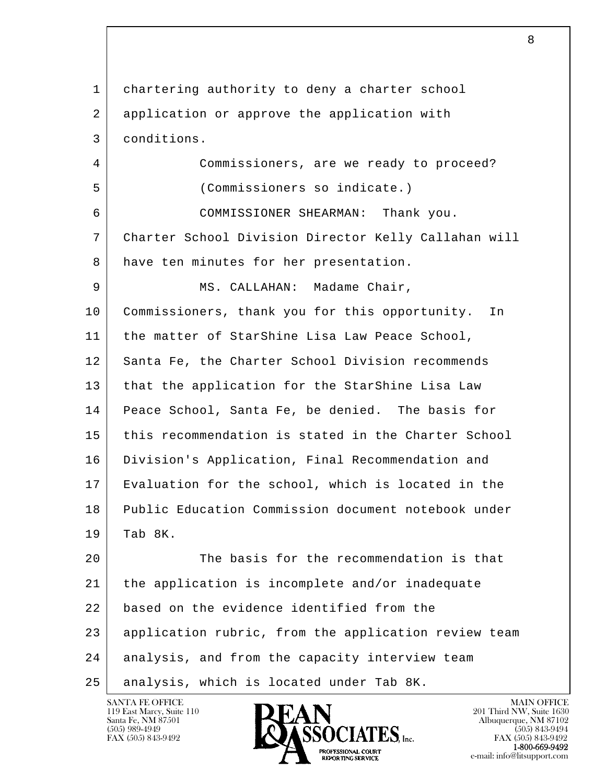l  $\overline{\phantom{a}}$  1 chartering authority to deny a charter school 2 application or approve the application with 3 conditions. 4 Commissioners, are we ready to proceed? 5 (Commissioners so indicate.) 6 COMMISSIONER SHEARMAN: Thank you. 7 Charter School Division Director Kelly Callahan will 8 have ten minutes for her presentation. 9 | MS. CALLAHAN: Madame Chair, 10 Commissioners, thank you for this opportunity. In 11 | the matter of StarShine Lisa Law Peace School, 12 Santa Fe, the Charter School Division recommends 13 that the application for the StarShine Lisa Law 14 Peace School, Santa Fe, be denied. The basis for 15 this recommendation is stated in the Charter School 16 | Division's Application, Final Recommendation and 17 Evaluation for the school, which is located in the 18 Public Education Commission document notebook under 19 Tab 8K. 20 The basis for the recommendation is that 21 the application is incomplete and/or inadequate 22 based on the evidence identified from the 23 application rubric, from the application review team 24 analysis, and from the capacity interview team 25 | analysis, which is located under Tab 8K.

8

119 East Marcy, Suite 110<br>Santa Fe, NM 87501

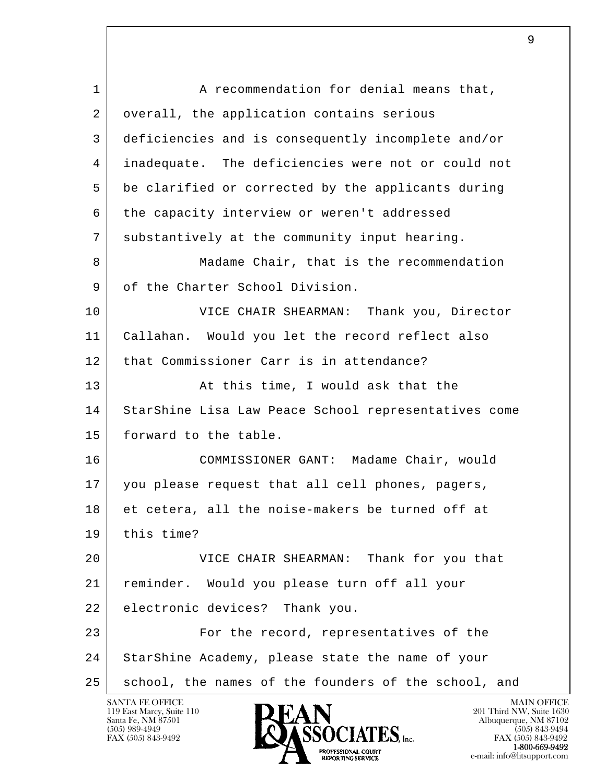l  $\overline{\phantom{a}}$ 1 A recommendation for denial means that, 2 overall, the application contains serious 3 deficiencies and is consequently incomplete and/or 4 inadequate. The deficiencies were not or could not 5 be clarified or corrected by the applicants during 6 the capacity interview or weren't addressed 7 substantively at the community input hearing. 8 Madame Chair, that is the recommendation 9 of the Charter School Division. 10 VICE CHAIR SHEARMAN: Thank you, Director 11 Callahan. Would you let the record reflect also 12 that Commissioner Carr is in attendance? 13 At this time, I would ask that the 14 StarShine Lisa Law Peace School representatives come 15 forward to the table. 16 COMMISSIONER GANT: Madame Chair, would 17 you please request that all cell phones, pagers, 18 et cetera, all the noise-makers be turned off at 19 this time? 20 VICE CHAIR SHEARMAN: Thank for you that 21 reminder. Would you please turn off all your 22 electronic devices? Thank you. 23 For the record, representatives of the 24 StarShine Academy, please state the name of your 25 | school, the names of the founders of the school, and

е произведение в произведении с произведении в соответстве в действия в достаточность в действия в действия в д<br>В действия в действия в действия в действия в действия в действия в действия в действия в действия в действия



FAX (505) 843-9492<br>1-800-669-9492 e-mail: info@litsupport.com<br>REPORTING SERVICE e-mail: info@litsupport.com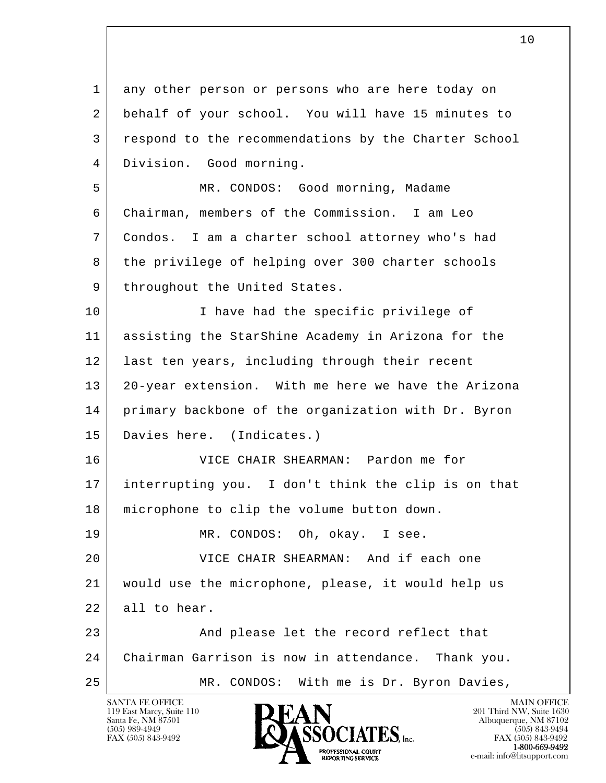l  $\overline{\phantom{a}}$  1 any other person or persons who are here today on 2 behalf of your school. You will have 15 minutes to 3 respond to the recommendations by the Charter School 4 Division. Good morning. 5 MR. CONDOS: Good morning, Madame 6 Chairman, members of the Commission. I am Leo 7 Condos. I am a charter school attorney who's had 8 the privilege of helping over 300 charter schools 9 | throughout the United States. 10 | I have had the specific privilege of 11 assisting the StarShine Academy in Arizona for the 12 | last ten years, including through their recent 13 20-year extension. With me here we have the Arizona 14 primary backbone of the organization with Dr. Byron 15 Davies here. (Indicates.) 16 VICE CHAIR SHEARMAN: Pardon me for 17 interrupting you. I don't think the clip is on that 18 | microphone to clip the volume button down. 19 MR. CONDOS: Oh, okay. I see. 20 VICE CHAIR SHEARMAN: And if each one 21 would use the microphone, please, it would help us 22 all to hear. 23 And please let the record reflect that 24 Chairman Garrison is now in attendance. Thank you. 25 | MR. CONDOS: With me is Dr. Byron Davies,

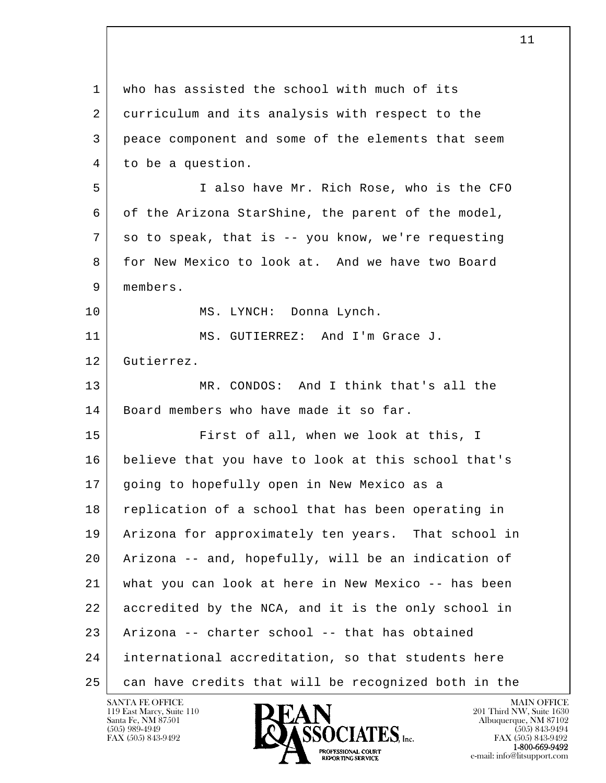l  $\overline{\phantom{a}}$  1 who has assisted the school with much of its 2 curriculum and its analysis with respect to the 3 peace component and some of the elements that seem 4 to be a question. 5 I also have Mr. Rich Rose, who is the CFO 6 of the Arizona StarShine, the parent of the model, 7 so to speak, that is -- you know, we're requesting 8 for New Mexico to look at. And we have two Board 9 members. 10 MS. LYNCH: Donna Lynch. 11 MS. GUTIERREZ: And I'm Grace J. 12 Gutierrez. 13 MR. CONDOS: And I think that's all the 14 | Board members who have made it so far. 15 First of all, when we look at this, I 16 believe that you have to look at this school that's 17 | going to hopefully open in New Mexico as a 18 replication of a school that has been operating in 19 Arizona for approximately ten years. That school in 20 Arizona -- and, hopefully, will be an indication of 21 what you can look at here in New Mexico -- has been 22 accredited by the NCA, and it is the only school in 23 Arizona -- charter school -- that has obtained 24 international accreditation, so that students here 25 can have credits that will be recognized both in the

119 East Marcy, Suite 110<br>Santa Fe, NM 87501

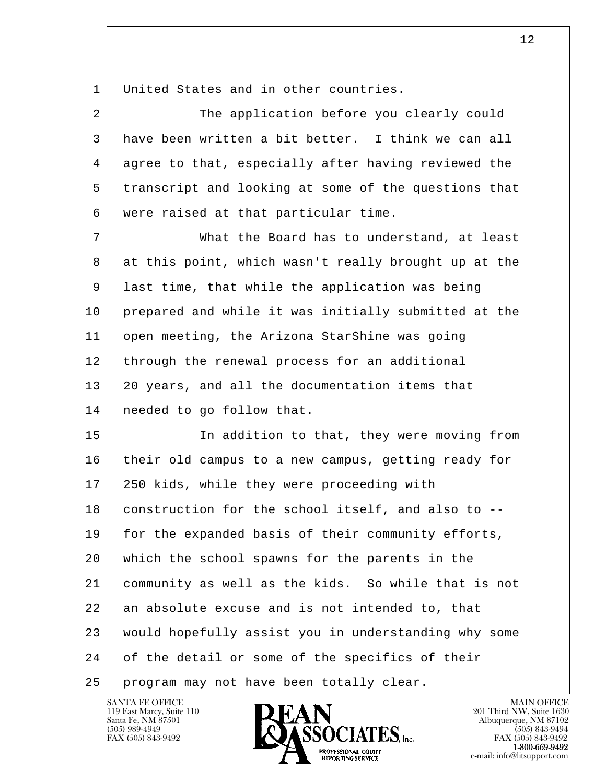1 United States and in other countries.

|     | The application before you clearly could             |
|-----|------------------------------------------------------|
|     | have been written a bit better. I think we can all   |
| 4   | agree to that, especially after having reviewed the  |
| 5   | transcript and looking at some of the questions that |
| 6 I | were raised at that particular time.                 |

 7 What the Board has to understand, at least 8 at this point, which wasn't really brought up at the 9 last time, that while the application was being 10 prepared and while it was initially submitted at the 11 open meeting, the Arizona StarShine was going 12 through the renewal process for an additional 13 | 20 years, and all the documentation items that 14 needed to go follow that.

l  $\overline{\phantom{a}}$ 15 In addition to that, they were moving from 16 their old campus to a new campus, getting ready for 17 250 kids, while they were proceeding with 18 construction for the school itself, and also to --19 for the expanded basis of their community efforts, 20 which the school spawns for the parents in the 21 community as well as the kids. So while that is not 22 an absolute excuse and is not intended to, that 23 would hopefully assist you in understanding why some 24 of the detail or some of the specifics of their 25 program may not have been totally clear.



FAX (505) 843-9492 FAX (505) 843-9492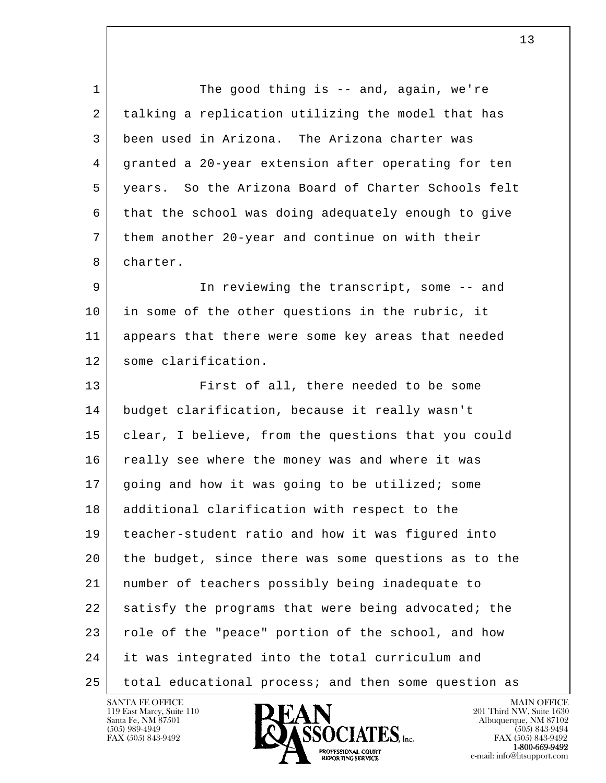l  $\overline{\phantom{a}}$ 1 The good thing is -- and, again, we're 2 talking a replication utilizing the model that has 3 been used in Arizona. The Arizona charter was 4 granted a 20-year extension after operating for ten 5 years. So the Arizona Board of Charter Schools felt 6 that the school was doing adequately enough to give 7 them another 20-year and continue on with their 8 charter. 9 | The reviewing the transcript, some -- and 10 in some of the other questions in the rubric, it 11 appears that there were some key areas that needed 12 some clarification. 13 First of all, there needed to be some 14 budget clarification, because it really wasn't 15 clear, I believe, from the questions that you could 16 | really see where the money was and where it was 17 going and how it was going to be utilized; some 18 additional clarification with respect to the 19 teacher-student ratio and how it was figured into 20 the budget, since there was some questions as to the 21 number of teachers possibly being inadequate to 22 satisfy the programs that were being advocated; the 23 role of the "peace" portion of the school, and how 24 it was integrated into the total curriculum and 25 total educational process; and then some question as

119 East Marcy, Suite 110<br>Santa Fe, NM 87501



e-mail: info@litsupport.com<br>REPORTING SERVICE e-mail: info@litsupport.com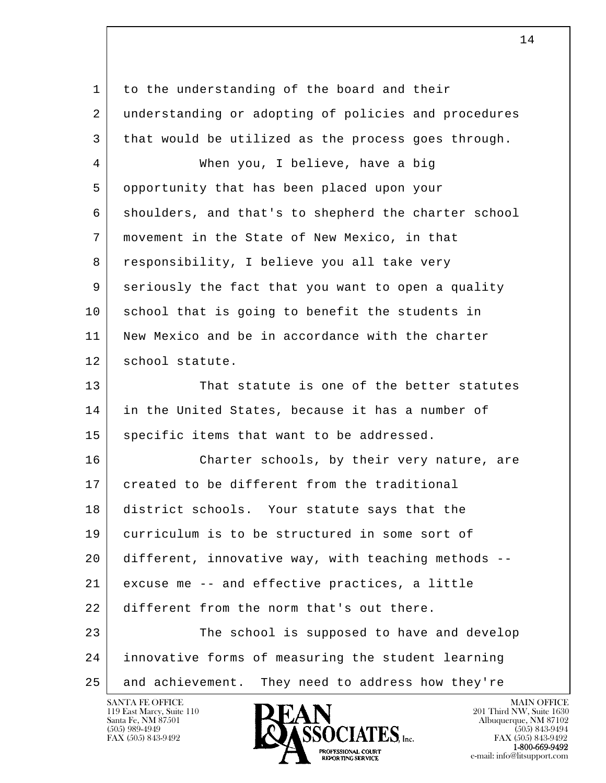l  $\overline{\phantom{a}}$ 1 to the understanding of the board and their 2 understanding or adopting of policies and procedures 3 that would be utilized as the process goes through. 4 When you, I believe, have a big 5 opportunity that has been placed upon your 6 shoulders, and that's to shepherd the charter school 7 movement in the State of New Mexico, in that 8 responsibility, I believe you all take very 9 seriously the fact that you want to open a quality 10 school that is going to benefit the students in 11 New Mexico and be in accordance with the charter 12 school statute. 13 That statute is one of the better statutes 14 in the United States, because it has a number of 15 specific items that want to be addressed. 16 Charter schools, by their very nature, are 17 created to be different from the traditional 18 district schools. Your statute says that the 19 curriculum is to be structured in some sort of 20 different, innovative way, with teaching methods -- 21 excuse me -- and effective practices, a little 22 different from the norm that's out there. 23 The school is supposed to have and develop 24 innovative forms of measuring the student learning 25 and achievement. They need to address how they're

119 East Marcy, Suite 110<br>Santa Fe, NM 87501

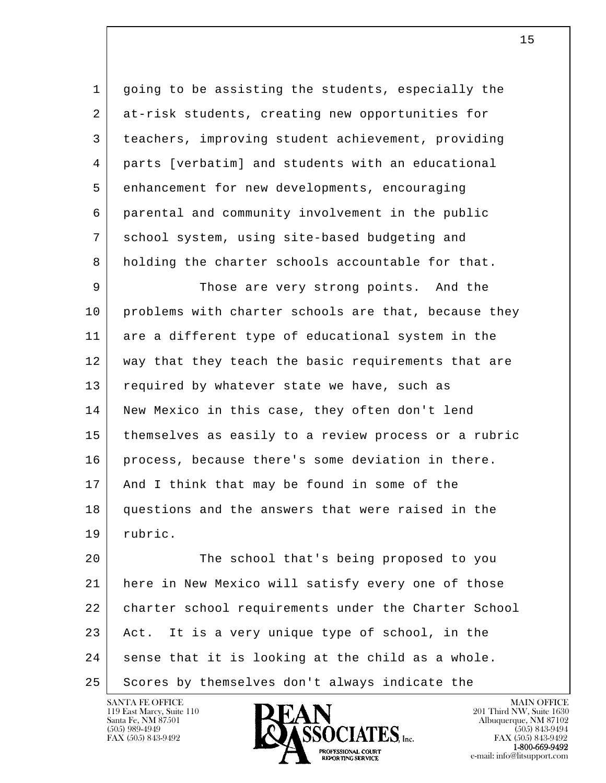1 going to be assisting the students, especially the 2 at-risk students, creating new opportunities for 3 teachers, improving student achievement, providing 4 parts [verbatim] and students with an educational 5 enhancement for new developments, encouraging 6 parental and community involvement in the public 7 school system, using site-based budgeting and 8 holding the charter schools accountable for that.

9 Those are very strong points. And the 10 problems with charter schools are that, because they 11 are a different type of educational system in the 12 | way that they teach the basic requirements that are 13 required by whatever state we have, such as 14 | New Mexico in this case, they often don't lend 15 themselves as easily to a review process or a rubric 16 process, because there's some deviation in there. 17 And I think that may be found in some of the 18 questions and the answers that were raised in the 19 rubric.

l  $\overline{\phantom{a}}$ 20 The school that's being proposed to you 21 here in New Mexico will satisfy every one of those 22 | charter school requirements under the Charter School 23 Act. It is a very unique type of school, in the  $24$  sense that it is looking at the child as a whole. 25 Scores by themselves don't always indicate the

119 East Marcy, Suite 110<br>Santa Fe, NM 87501

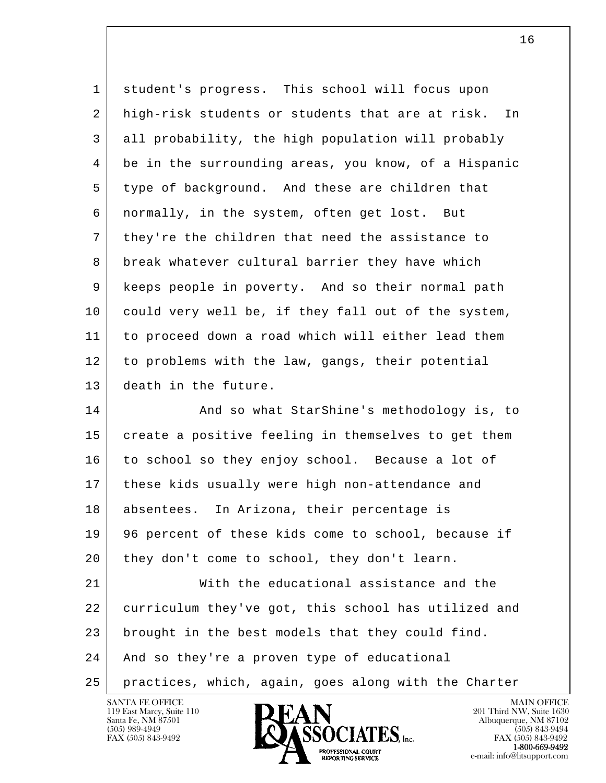| $\mathbf 1$    | student's progress. This school will focus upon        |
|----------------|--------------------------------------------------------|
| $\overline{a}$ | high-risk students or students that are at risk.<br>In |
| 3              | all probability, the high population will probably     |
| 4              | be in the surrounding areas, you know, of a Hispanic   |
| 5              | type of background. And these are children that        |
| 6              | normally, in the system, often get lost. But           |
| 7              | they're the children that need the assistance to       |
| 8              | break whatever cultural barrier they have which        |
| 9              | keeps people in poverty. And so their normal path      |
| 10             | could very well be, if they fall out of the system,    |
| 11             | to proceed down a road which will either lead them     |
| 12             | to problems with the law, gangs, their potential       |
| 13             | death in the future.                                   |
| 14             | And so what StarShine's methodology is, to             |
| 15             | create a positive feeling in themselves to get them    |
| 16             | to school so they enjoy school. Because a lot of       |
| 17             | these kids usually were high non-attendance and        |
| 18             | In Arizona, their percentage is<br>absentees.          |
| 19             | 96 percent of these kids come to school, because if    |
| 20             | they don't come to school, they don't learn.           |
| 21             | With the educational assistance and the                |
| 22             | curriculum they've got, this school has utilized and   |
| 23             | brought in the best models that they could find.       |
| 24             | And so they're a proven type of educational            |
| 25             | practices, which, again, goes along with the Charter   |

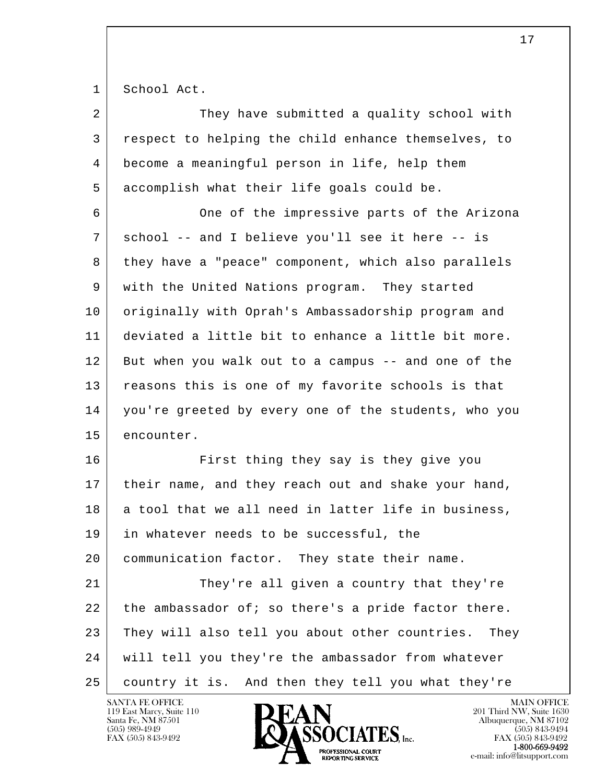1 School Act.

| $\overline{2}$ | They have submitted a quality school with              |
|----------------|--------------------------------------------------------|
| 3              | respect to helping the child enhance themselves, to    |
| 4              | become a meaningful person in life, help them          |
| 5              | accomplish what their life goals could be.             |
| 6              | One of the impressive parts of the Arizona             |
| 7              | school -- and I believe you'll see it here -- is       |
| 8              | they have a "peace" component, which also parallels    |
| 9              | with the United Nations program. They started          |
| 10             | originally with Oprah's Ambassadorship program and     |
| 11             | deviated a little bit to enhance a little bit more.    |
| 12             | But when you walk out to a campus -- and one of the    |
| 13             | reasons this is one of my favorite schools is that     |
| 14             | you're greeted by every one of the students, who you   |
| 15             | encounter.                                             |
| 16             | First thing they say is they give you                  |
| 17             | their name, and they reach out and shake your hand,    |
| 18             | a tool that we all need in latter life in business,    |
| 19             | in whatever needs to be successful, the                |
| 20             | communication factor. They state their name.           |
| 21             | They're all given a country that they're               |
| 22             | the ambassador of; so there's a pride factor there.    |
| 23             | They will also tell you about other countries.<br>They |
| 24             | will tell you they're the ambassador from whatever     |
| 25             | country it is. And then they tell you what they're     |

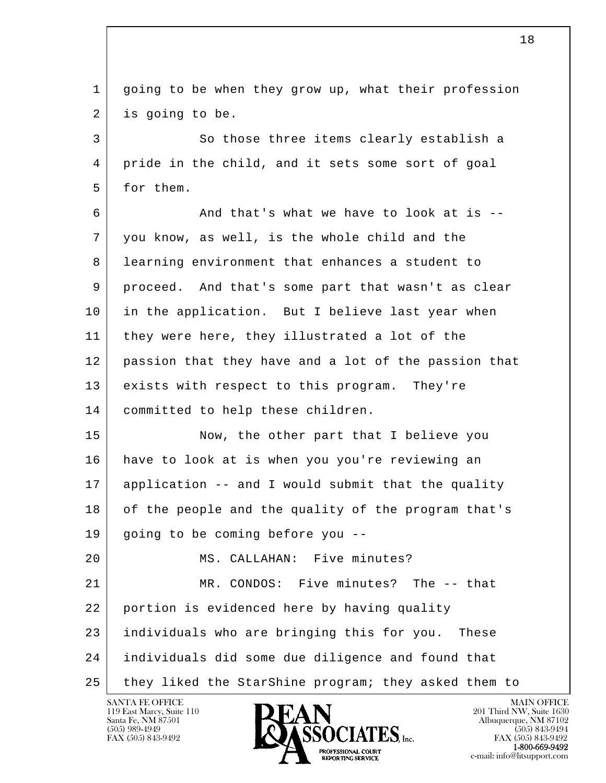l  $\overline{\phantom{a}}$  1 going to be when they grow up, what their profession 2 is going to be. 3 So those three items clearly establish a 4 pride in the child, and it sets some sort of goal 5 for them.  $6$  And that's what we have to look at is  $-$  7 you know, as well, is the whole child and the 8 learning environment that enhances a student to 9 proceed. And that's some part that wasn't as clear 10 in the application. But I believe last year when 11 they were here, they illustrated a lot of the 12 passion that they have and a lot of the passion that 13 exists with respect to this program. They're 14 | committed to help these children. 15 Now, the other part that I believe you 16 have to look at is when you you're reviewing an 17 application -- and I would submit that the quality 18 of the people and the quality of the program that's 19 going to be coming before you -- 20 MS. CALLAHAN: Five minutes? 21 MR. CONDOS: Five minutes? The -- that 22 portion is evidenced here by having quality 23 individuals who are bringing this for you. These 24 individuals did some due diligence and found that 25 they liked the StarShine program; they asked them to

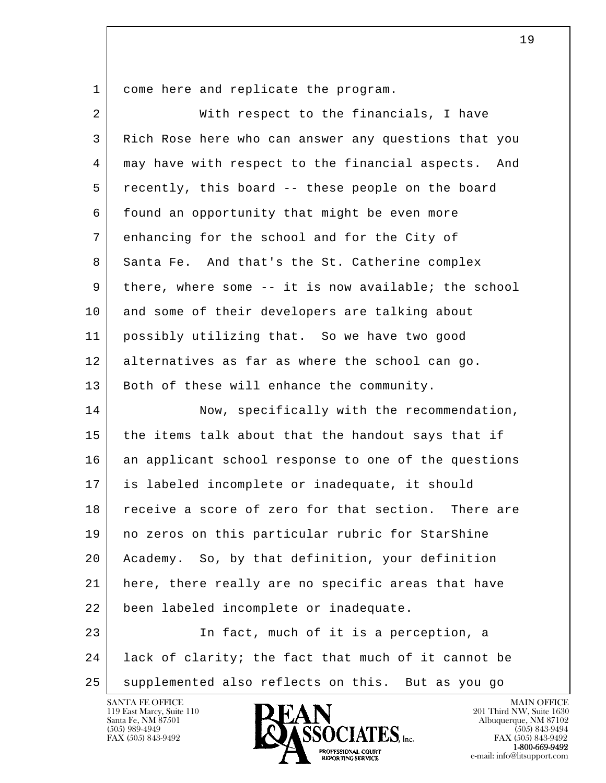1 come here and replicate the program.

| $\overline{2}$ | With respect to the financials, I have               |
|----------------|------------------------------------------------------|
| 3              | Rich Rose here who can answer any questions that you |
| 4              | may have with respect to the financial aspects. And  |
| 5              | recently, this board -- these people on the board    |
| 6              | found an opportunity that might be even more         |
| 7              | enhancing for the school and for the City of         |
| 8              | Santa Fe. And that's the St. Catherine complex       |
| 9              | there, where some -- it is now available; the school |
| 10             | and some of their developers are talking about       |
| 11             | possibly utilizing that. So we have two good         |
| 12             | alternatives as far as where the school can go.      |
| 13             | Both of these will enhance the community.            |
| 14             | Now, specifically with the recommendation,           |
| 15             | the items talk about that the handout says that if   |
| 16             | an applicant school response to one of the questions |
| 17             | is labeled incomplete or inadequate, it should       |
| 18             | receive a score of zero for that section. There are  |
| 19             | no zeros on this particular rubric for StarShine     |
| 20             | Academy. So, by that definition, your definition     |
| 21             | here, there really are no specific areas that have   |
| 22             | been labeled incomplete or inadequate.               |
| 23             | In fact, much of it is a perception, a               |
| 24             | lack of clarity; the fact that much of it cannot be  |
| 25             | supplemented also reflects on this. But as you go    |

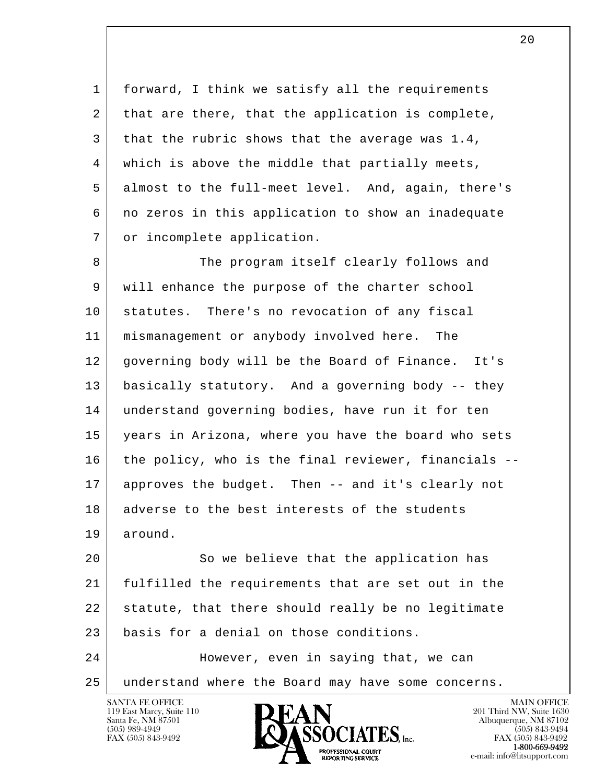1 forward, I think we satisfy all the requirements  $2$  that are there, that the application is complete, 3 that the rubric shows that the average was  $1.4$ , 4 which is above the middle that partially meets, 5 almost to the full-meet level. And, again, there's 6 no zeros in this application to show an inadequate 7 | or incomplete application.

8 The program itself clearly follows and 9 will enhance the purpose of the charter school 10 statutes. There's no revocation of any fiscal 11 mismanagement or anybody involved here. The 12 governing body will be the Board of Finance. It's 13 basically statutory. And a governing body -- they 14 understand governing bodies, have run it for ten 15 years in Arizona, where you have the board who sets 16 the policy, who is the final reviewer, financials -- 17 approves the budget. Then -- and it's clearly not 18 adverse to the best interests of the students 19 around.

l  $\overline{\phantom{a}}$ 20 So we believe that the application has 21 fulfilled the requirements that are set out in the 22 statute, that there should really be no legitimate 23 basis for a denial on those conditions. 24 However, even in saying that, we can

25 understand where the Board may have some concerns.



FAX (505) 843-9492<br>1-800-669-9492

 $2.0$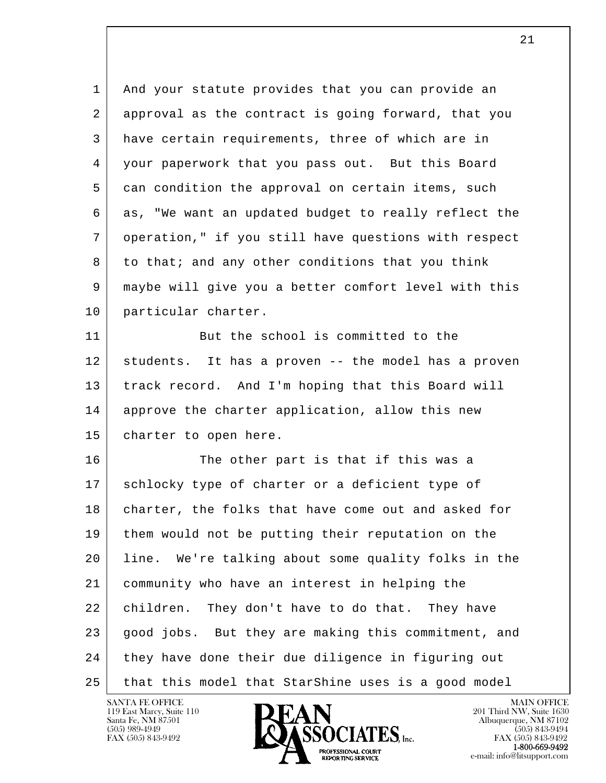l  $\overline{\phantom{a}}$  1 And your statute provides that you can provide an 2 approval as the contract is going forward, that you 3 have certain requirements, three of which are in 4 your paperwork that you pass out. But this Board 5 can condition the approval on certain items, such 6 as, "We want an updated budget to really reflect the 7 operation," if you still have questions with respect 8 to that; and any other conditions that you think 9 maybe will give you a better comfort level with this 10 | particular charter. 11 But the school is committed to the 12 students. It has a proven -- the model has a proven 13 | track record. And I'm hoping that this Board will 14 approve the charter application, allow this new 15 | charter to open here. 16 The other part is that if this was a 17 schlocky type of charter or a deficient type of 18 | charter, the folks that have come out and asked for 19 them would not be putting their reputation on the 20 line. We're talking about some quality folks in the 21 community who have an interest in helping the 22 children. They don't have to do that. They have 23 | good jobs. But they are making this commitment, and

25 that this model that StarShine uses is a good model

24 they have done their due diligence in figuring out

119 East Marcy, Suite 110<br>Santa Fe, NM 87501

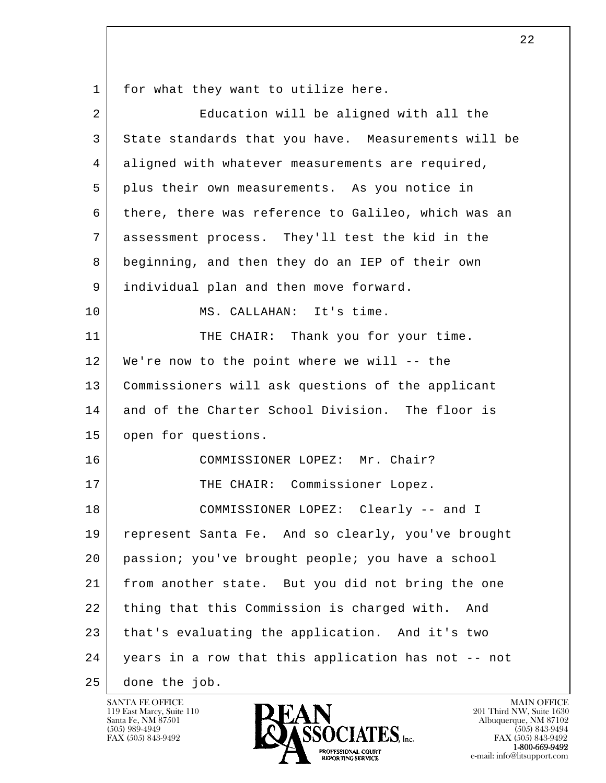1 for what they want to utilize here.

| $\overline{2}$ | Education will be aligned with all the              |
|----------------|-----------------------------------------------------|
| 3              | State standards that you have. Measurements will be |
| 4              | aligned with whatever measurements are required,    |
| 5              | plus their own measurements. As you notice in       |
| 6              | there, there was reference to Galileo, which was an |
| 7              | assessment process. They'll test the kid in the     |
| 8              | beginning, and then they do an IEP of their own     |
| 9              | individual plan and then move forward.              |
| 10             | MS. CALLAHAN: It's time.                            |
| 11             | THE CHAIR: Thank you for your time.                 |
| 12             | We're now to the point where we will -- the         |
| 13             | Commissioners will ask questions of the applicant   |
| 14             | and of the Charter School Division. The floor is    |
| 15             | open for questions.                                 |
| 16             | COMMISSIONER LOPEZ: Mr. Chair?                      |
| 17             | THE CHAIR: Commissioner Lopez.                      |
| 18             | COMMISSIONER LOPEZ: Clearly -- and I                |
| 19             | represent Santa Fe. And so clearly, you've brought  |
| 20             | passion; you've brought people; you have a school   |
| 21             | from another state. But you did not bring the one   |
| 22             | thing that this Commission is charged with.<br>And  |
| 23             | that's evaluating the application. And it's two     |
| 24             | years in a row that this application has not -- not |
| 25             | done the job.                                       |

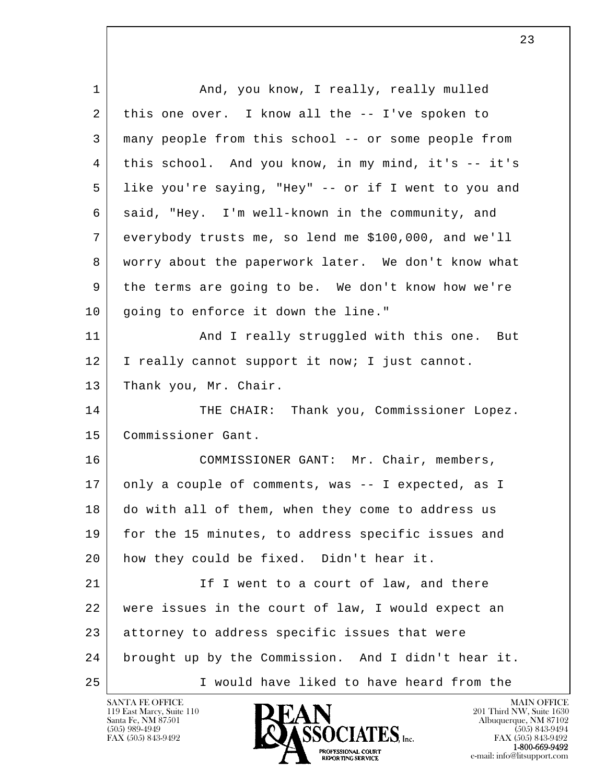| $\mathbf 1$ | And, you know, I really, really mulled               |
|-------------|------------------------------------------------------|
| 2           | this one over. I know all the -- I've spoken to      |
| 3           | many people from this school -- or some people from  |
| 4           | this school. And you know, in my mind, it's -- it's  |
| 5           | like you're saying, "Hey" -- or if I went to you and |
| 6           | said, "Hey. I'm well-known in the community, and     |
| 7           | everybody trusts me, so lend me \$100,000, and we'll |
| 8           | worry about the paperwork later. We don't know what  |
| 9           | the terms are going to be. We don't know how we're   |
| 10          | going to enforce it down the line."                  |
| 11          | And I really struggled with this one. But            |
| 12          | I really cannot support it now; I just cannot.       |
| 13          | Thank you, Mr. Chair.                                |
| 14          | THE CHAIR: Thank you, Commissioner Lopez.            |
| 15          | Commissioner Gant.                                   |
| 16          | COMMISSIONER GANT: Mr. Chair, members,               |
| 17          | only a couple of comments, was -- I expected, as I   |
| 18          | do with all of them, when they come to address us    |
| 19          | for the 15 minutes, to address specific issues and   |
| 20          | how they could be fixed. Didn't hear it.             |
| 21          | If I went to a court of law, and there               |
| 22          | were issues in the court of law, I would expect an   |
| 23          | attorney to address specific issues that were        |
| 24          | brought up by the Commission. And I didn't hear it.  |
| 25          | I would have liked to have heard from the            |

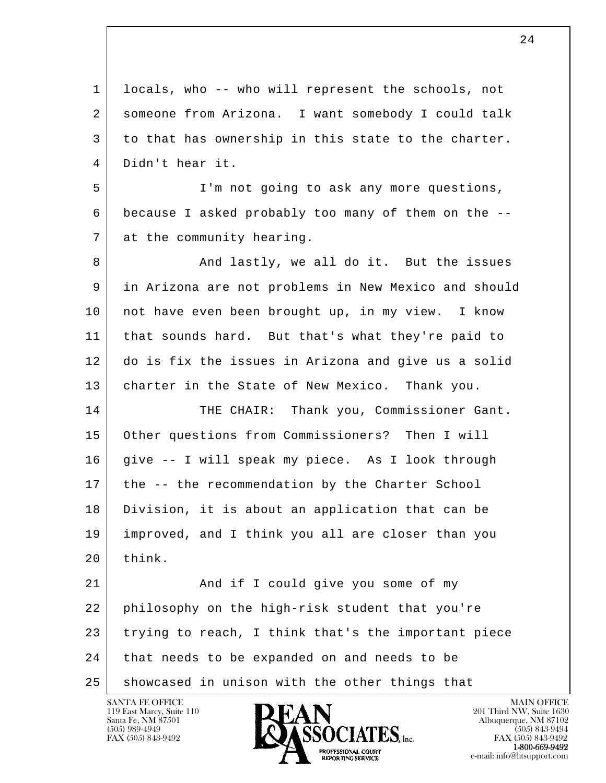l  $\overline{\phantom{a}}$  1 locals, who -- who will represent the schools, not 2 someone from Arizona. I want somebody I could talk 3 to that has ownership in this state to the charter. 4 Didn't hear it. 5 I'm not going to ask any more questions, 6 because I asked probably too many of them on the -- 7 at the community hearing. 8 And lastly, we all do it. But the issues 9 in Arizona are not problems in New Mexico and should 10 not have even been brought up, in my view. I know 11 that sounds hard. But that's what they're paid to 12 do is fix the issues in Arizona and give us a solid 13 | charter in the State of New Mexico. Thank you. 14 THE CHAIR: Thank you, Commissioner Gant. 15 Other questions from Commissioners? Then I will 16 give -- I will speak my piece. As I look through 17 the -- the recommendation by the Charter School 18 Division, it is about an application that can be 19 improved, and I think you all are closer than you 20 think. 21 And if I could give you some of my 22 philosophy on the high-risk student that you're 23 trying to reach, I think that's the important piece 24 that needs to be expanded on and needs to be 25 showcased in unison with the other things that

119 East Marcy, Suite 110<br>Santa Fe, NM 87501



FAX (505) 843-9492<br>1-800-669-9492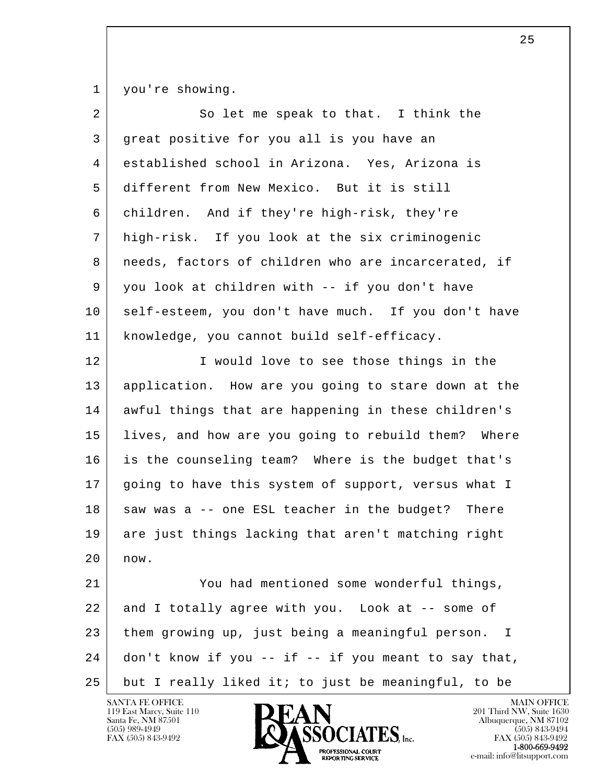1 you're showing.

| $\overline{2}$ | So let me speak to that. I think the                             |
|----------------|------------------------------------------------------------------|
| 3              | great positive for you all is you have an                        |
| $\overline{4}$ | established school in Arizona. Yes, Arizona is                   |
| 5              | different from New Mexico. But it is still                       |
| 6              | children. And if they're high-risk, they're                      |
| 7              | high-risk. If you look at the six criminogenic                   |
| 8              | needs, factors of children who are incarcerated, if              |
| 9              | you look at children with -- if you don't have                   |
| 10             | self-esteem, you don't have much. If you don't have              |
| 11             | knowledge, you cannot build self-efficacy.                       |
| 12             | I would love to see those things in the                          |
| 13             | application. How are you going to stare down at the              |
| 14             | awful things that are happening in these children's              |
| 15             | lives, and how are you going to rebuild them? Where              |
| 16             | is the counseling team? Where is the budget that's               |
| 17             | going to have this system of support, versus what I              |
| 18             | saw was a -- one ESL teacher in the budget? There                |
| 19             | are just things lacking that aren't matching right               |
| 20             | now.                                                             |
| 21             | You had mentioned some wonderful things,                         |
| 22             | and I totally agree with you. Look at -- some of                 |
| 23             | them growing up, just being a meaningful person.<br>$\mathbf{I}$ |
| 24             | don't know if you -- if -- if you meant to say that,             |
| 25             | but I really liked it; to just be meaningful, to be              |

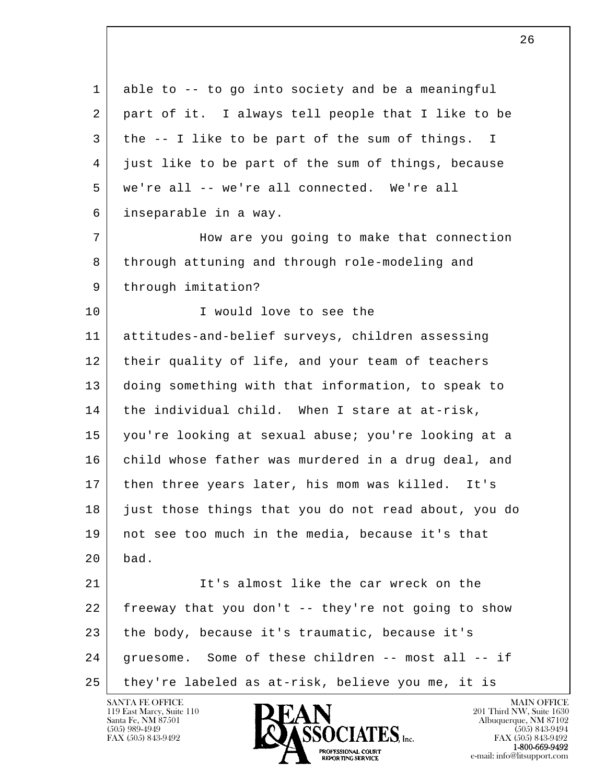l  $\overline{\phantom{a}}$  1 able to -- to go into society and be a meaningful 2 | part of it. I always tell people that I like to be 3 the -- I like to be part of the sum of things. I 4 just like to be part of the sum of things, because 5 we're all -- we're all connected. We're all 6 inseparable in a way. 7 How are you going to make that connection 8 through attuning and through role-modeling and 9 | through imitation? 10 I would love to see the 11 attitudes-and-belief surveys, children assessing 12 their quality of life, and your team of teachers 13 doing something with that information, to speak to 14 | the individual child. When I stare at at-risk, 15 you're looking at sexual abuse; you're looking at a 16 | child whose father was murdered in a drug deal, and 17 then three years later, his mom was killed. It's 18 just those things that you do not read about, you do 19 not see too much in the media, because it's that 20 bad. 21 It's almost like the car wreck on the 22 freeway that you don't -- they're not going to show 23 the body, because it's traumatic, because it's 24 | gruesome. Some of these children -- most all -- if 25 they're labeled as at-risk, believe you me, it is

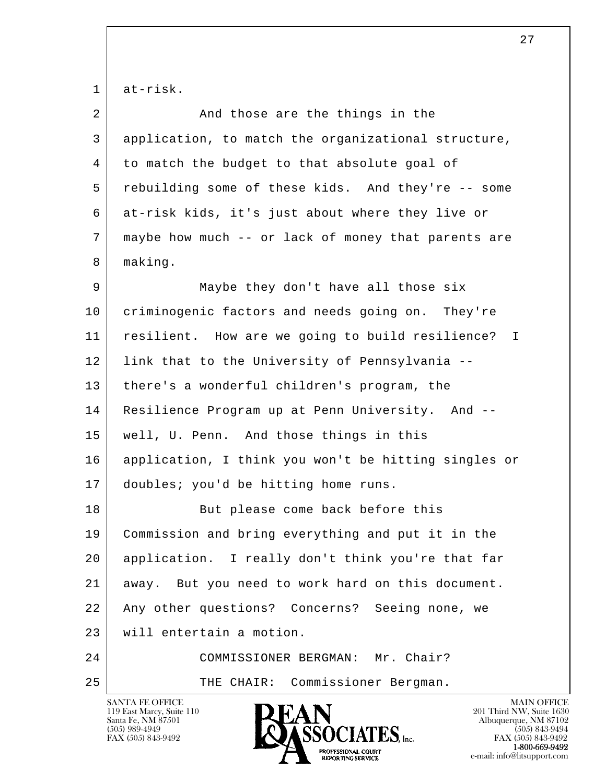1 at-risk.

| $\overline{2}$ | And those are the things in the                                                                               |
|----------------|---------------------------------------------------------------------------------------------------------------|
|                |                                                                                                               |
| 3              | application, to match the organizational structure,                                                           |
| 4              | to match the budget to that absolute goal of                                                                  |
| 5              | rebuilding some of these kids. And they're -- some                                                            |
| 6              | at-risk kids, it's just about where they live or                                                              |
| 7              | maybe how much -- or lack of money that parents are                                                           |
| 8              | making.                                                                                                       |
| 9              | Maybe they don't have all those six                                                                           |
| 10             | criminogenic factors and needs going on. They're                                                              |
| 11             | resilient. How are we going to build resilience?<br>$\mathbb{I}$                                              |
| 12             | link that to the University of Pennsylvania --                                                                |
| 13             | there's a wonderful children's program, the                                                                   |
| 14             | Resilience Program up at Penn University. And --                                                              |
| 15             | well, U. Penn. And those things in this                                                                       |
| 16             | application, I think you won't be hitting singles or                                                          |
| 17             | doubles; you'd be hitting home runs.                                                                          |
| 18             | But please come back before this                                                                              |
| 19             | Commission and bring everything and put it in the                                                             |
| 20             | application. I really don't think you're that far                                                             |
| 21             | But you need to work hard on this document.<br>away.                                                          |
| 22             | Any other questions? Concerns?<br>Seeing none, we                                                             |
| 23             | will entertain a motion.                                                                                      |
| 24             | COMMISSIONER BERGMAN: Mr. Chair?                                                                              |
| 25             | Commissioner Bergman.<br>THE CHAIR:                                                                           |
|                | <b>SANTA FE OFFICE</b><br><b>MAIN OFFICE</b><br>DEAN<br>201 Third NW, Suite 1630<br>119 East Marcy, Suite 110 |

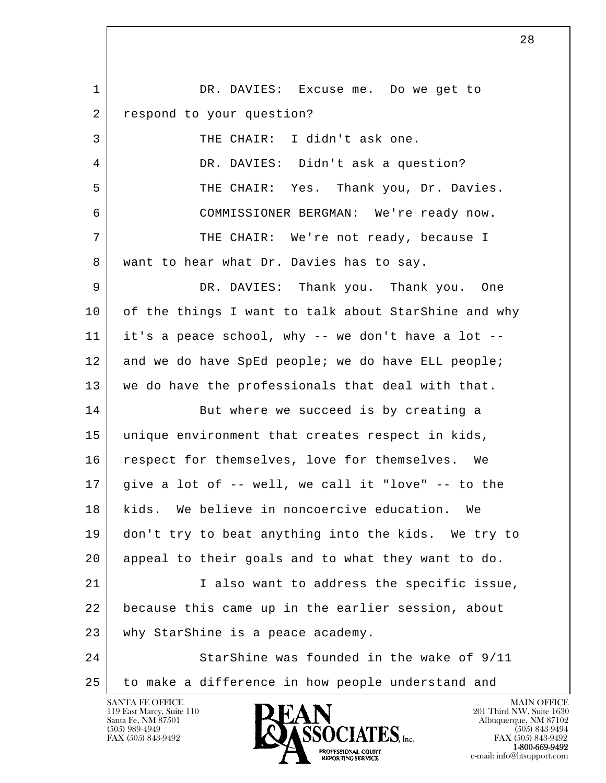l  $\overline{\phantom{a}}$ 1 | DR. DAVIES: Excuse me. Do we get to 2 respond to your question? 3 THE CHAIR: I didn't ask one. 4 DR. DAVIES: Didn't ask a question? 5 THE CHAIR: Yes. Thank you, Dr. Davies. 6 COMMISSIONER BERGMAN: We're ready now. 7 THE CHAIR: We're not ready, because I 8 | want to hear what Dr. Davies has to say. 9 DR. DAVIES: Thank you. Thank you. One 10 of the things I want to talk about StarShine and why 11 it's a peace school, why -- we don't have a lot -- 12 and we do have SpEd people; we do have ELL people; 13 we do have the professionals that deal with that. 14 But where we succeed is by creating a 15 unique environment that creates respect in kids, 16 | respect for themselves, love for themselves. We  $17$  give a lot of -- well, we call it "love" -- to the 18 kids. We believe in noncoercive education. We 19 don't try to beat anything into the kids. We try to 20 appeal to their goals and to what they want to do. 21 | Talso want to address the specific issue, 22 because this came up in the earlier session, about 23 why StarShine is a peace academy. 24 StarShine was founded in the wake of 9/11 25 to make a difference in how people understand and

119 East Marcy, Suite 110<br>Santa Fe, NM 87501

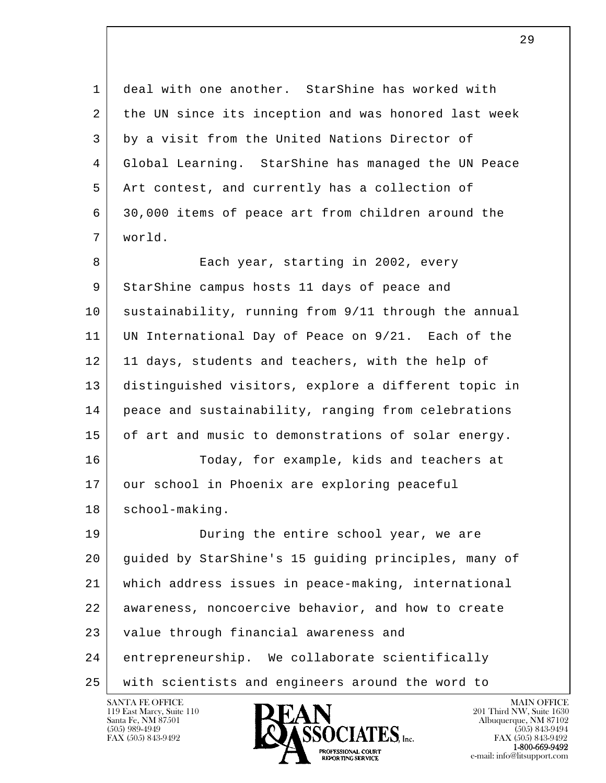1 deal with one another. StarShine has worked with 2 the UN since its inception and was honored last week 3 by a visit from the United Nations Director of 4 Global Learning. StarShine has managed the UN Peace 5 Art contest, and currently has a collection of 6 30,000 items of peace art from children around the 7 world.

8 Each year, starting in 2002, every 9 StarShine campus hosts 11 days of peace and 10 sustainability, running from 9/11 through the annual 11 UN International Day of Peace on 9/21. Each of the 12 11 days, students and teachers, with the help of 13 distinguished visitors, explore a different topic in 14 peace and sustainability, ranging from celebrations 15 of art and music to demonstrations of solar energy. 16 Today, for example, kids and teachers at 17 our school in Phoenix are exploring peaceful 18 | school-making.

l  $\overline{\phantom{a}}$ 19 During the entire school year, we are 20 guided by StarShine's 15 guiding principles, many of 21 which address issues in peace-making, international 22 | awareness, noncoercive behavior, and how to create 23 value through financial awareness and 24 entrepreneurship. We collaborate scientifically 25 with scientists and engineers around the word to

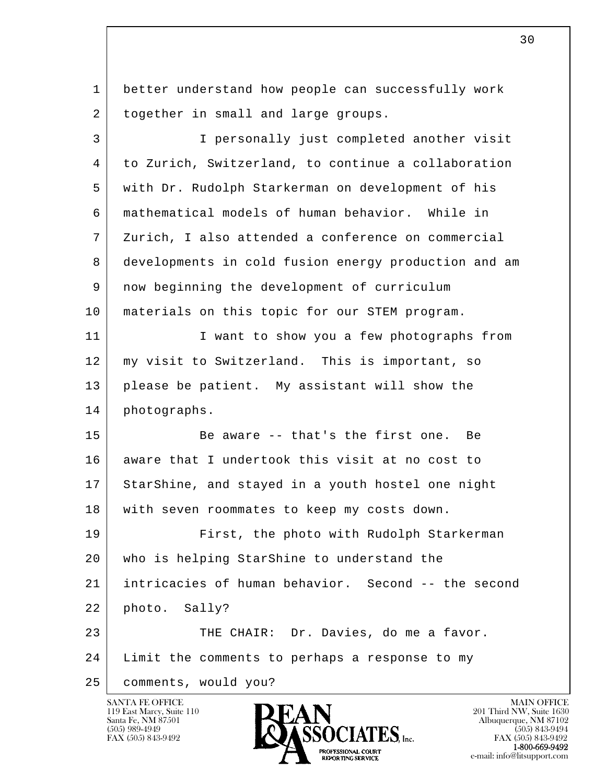l  $\overline{\phantom{a}}$  1 better understand how people can successfully work 2 together in small and large groups. 3 I personally just completed another visit 4 to Zurich, Switzerland, to continue a collaboration 5 with Dr. Rudolph Starkerman on development of his 6 mathematical models of human behavior. While in 7 Zurich, I also attended a conference on commercial 8 developments in cold fusion energy production and am 9 now beginning the development of curriculum 10 materials on this topic for our STEM program. 11 | I want to show you a few photographs from 12 | my visit to Switzerland. This is important, so 13 please be patient. My assistant will show the 14 photographs. 15 | Be aware -- that's the first one. Be 16 aware that I undertook this visit at no cost to 17 StarShine, and stayed in a youth hostel one night 18 with seven roommates to keep my costs down. 19 First, the photo with Rudolph Starkerman 20 who is helping StarShine to understand the 21 intricacies of human behavior. Second -- the second 22 photo. Sally? 23 THE CHAIR: Dr. Davies, do me a favor. 24 | Limit the comments to perhaps a response to my 25 comments, would you?

119 East Marcy, Suite 110<br>Santa Fe, NM 87501

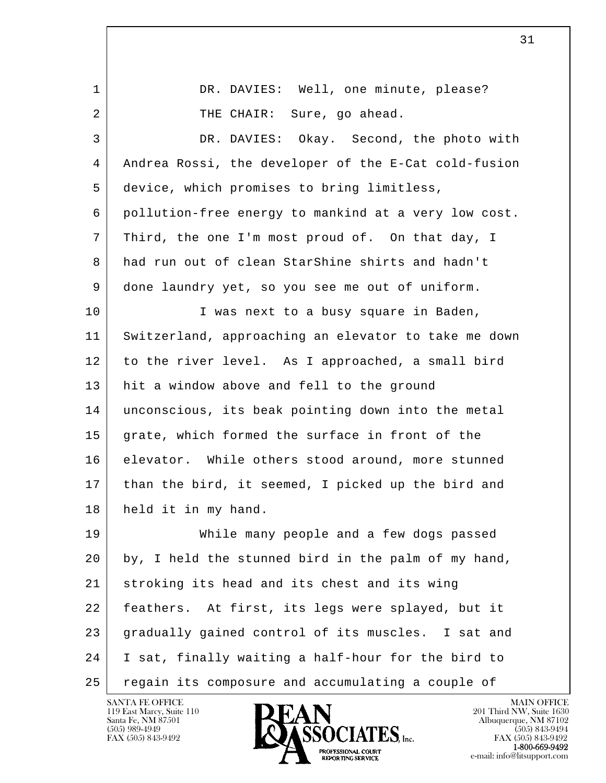l  $\overline{\phantom{a}}$ 1 DR. DAVIES: Well, one minute, please? 2 THE CHAIR: Sure, go ahead. 3 DR. DAVIES: Okay. Second, the photo with 4 Andrea Rossi, the developer of the E-Cat cold-fusion 5 device, which promises to bring limitless, 6 pollution-free energy to mankind at a very low cost. 7 Third, the one I'm most proud of. On that day, I 8 had run out of clean StarShine shirts and hadn't 9 done laundry yet, so you see me out of uniform. 10 | Twas next to a busy square in Baden, 11 Switzerland, approaching an elevator to take me down 12 to the river level. As I approached, a small bird 13 hit a window above and fell to the ground 14 unconscious, its beak pointing down into the metal 15 grate, which formed the surface in front of the 16 elevator. While others stood around, more stunned 17 than the bird, it seemed, I picked up the bird and 18 held it in my hand. 19 While many people and a few dogs passed 20 by, I held the stunned bird in the palm of my hand, 21 stroking its head and its chest and its wing 22 feathers. At first, its legs were splayed, but it 23 gradually gained control of its muscles. I sat and 24 I sat, finally waiting a half-hour for the bird to 25 regain its composure and accumulating a couple of

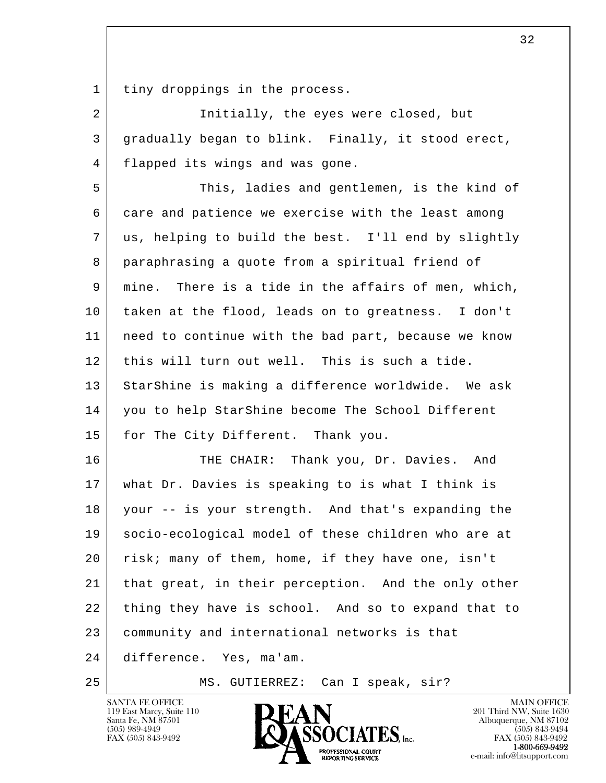1 | tiny droppings in the process.

2 Initially, the eyes were closed, but 3 gradually began to blink. Finally, it stood erect, 4 flapped its wings and was gone.

 5 This, ladies and gentlemen, is the kind of 6 care and patience we exercise with the least among 7 us, helping to build the best. I'll end by slightly 8 paraphrasing a quote from a spiritual friend of 9 mine. There is a tide in the affairs of men, which, 10 taken at the flood, leads on to greatness. I don't 11 need to continue with the bad part, because we know 12 this will turn out well. This is such a tide. 13 StarShine is making a difference worldwide. We ask 14 you to help StarShine become The School Different 15 for The City Different. Thank you.

l  $\overline{\phantom{a}}$ 16 THE CHAIR: Thank you, Dr. Davies. And 17 what Dr. Davies is speaking to is what I think is 18 your -- is your strength. And that's expanding the 19 socio-ecological model of these children who are at 20 | risk; many of them, home, if they have one, isn't 21 | that great, in their perception. And the only other 22 thing they have is school. And so to expand that to 23 community and international networks is that 24 difference. Yes, ma'am.

25 MS. GUTIERREZ: Can I speak, sir?

119 East Marcy, Suite 110<br>Santa Fe, NM 87501

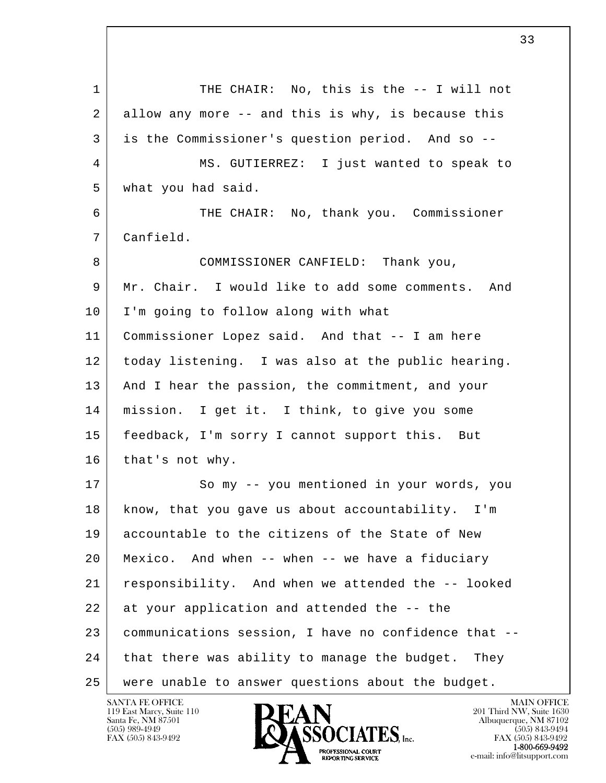l  $\overline{\phantom{a}}$ 1 THE CHAIR: No, this is the -- I will not 2 allow any more -- and this is why, is because this 3 is the Commissioner's question period. And so -- 4 MS. GUTIERREZ: I just wanted to speak to 5 what you had said. 6 THE CHAIR: No, thank you. Commissioner 7 Canfield. 8 COMMISSIONER CANFIELD: Thank you, 9 Mr. Chair. I would like to add some comments. And 10 I'm going to follow along with what 11 Commissioner Lopez said. And that -- I am here 12 today listening. I was also at the public hearing. 13 | And I hear the passion, the commitment, and your 14 mission. I get it. I think, to give you some 15 feedback, I'm sorry I cannot support this. But 16 | that's not why. 17 So my -- you mentioned in your words, you 18 know, that you gave us about accountability. I'm 19 accountable to the citizens of the State of New 20 Mexico. And when -- when -- we have a fiduciary 21 responsibility. And when we attended the -- looked 22 at your application and attended the -- the 23 communications session, I have no confidence that -- 24 that there was ability to manage the budget. They 25 were unable to answer questions about the budget.

119 East Marcy, Suite 110<br>Santa Fe, NM 87501

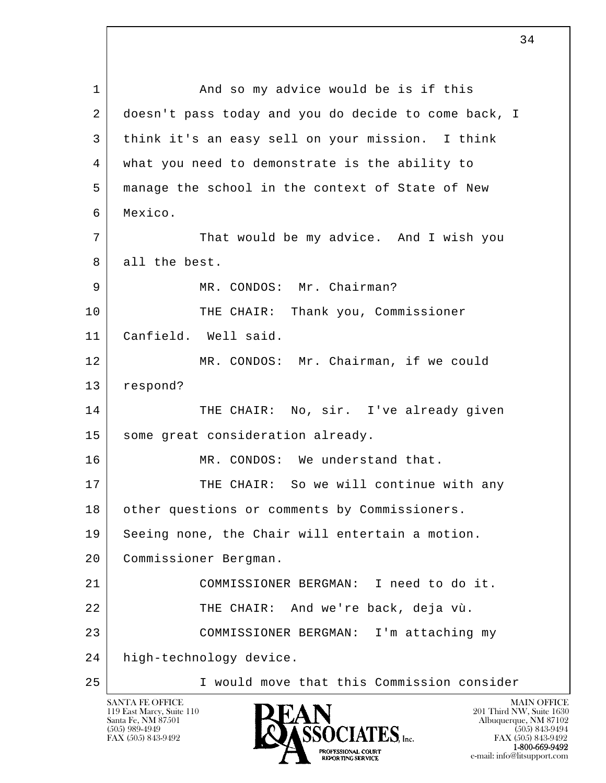l  $\overline{\phantom{a}}$ 1 and so my advice would be is if this 2 doesn't pass today and you do decide to come back, I 3 think it's an easy sell on your mission. I think 4 what you need to demonstrate is the ability to 5 manage the school in the context of State of New 6 Mexico. 7 That would be my advice. And I wish you 8 all the best. 9 MR. CONDOS: Mr. Chairman? 10 THE CHAIR: Thank you, Commissioner 11 Canfield. Well said. 12 MR. CONDOS: Mr. Chairman, if we could 13 respond? 14 THE CHAIR: No, sir. I've already given 15 some great consideration already. 16 MR. CONDOS: We understand that. 17 THE CHAIR: So we will continue with any 18 other questions or comments by Commissioners. 19 Seeing none, the Chair will entertain a motion. 20 Commissioner Bergman. 21 COMMISSIONER BERGMAN: I need to do it. 22 | THE CHAIR: And we're back, deja vù. 23 COMMISSIONER BERGMAN: I'm attaching my 24 high-technology device. 25 I would move that this Commission consider

119 East Marcy, Suite 110<br>Santa Fe, NM 87501

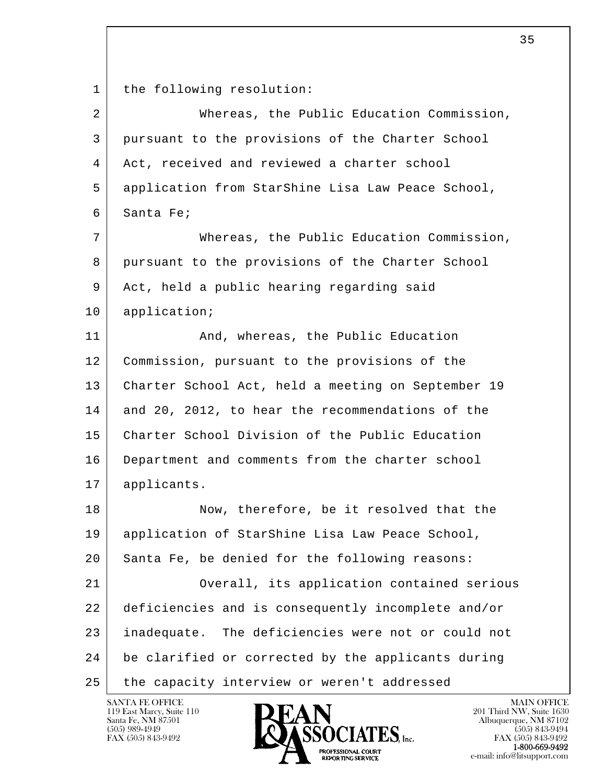1 | the following resolution:

| 2  | Whereas, the Public Education Commission,             |
|----|-------------------------------------------------------|
| 3  | pursuant to the provisions of the Charter School      |
| 4  | Act, received and reviewed a charter school           |
| 5  | application from StarShine Lisa Law Peace School,     |
| 6  | Santa Fe;                                             |
| 7  | Whereas, the Public Education Commission,             |
| 8  | pursuant to the provisions of the Charter School      |
| 9  | Act, held a public hearing regarding said             |
| 10 | application;                                          |
| 11 | And, whereas, the Public Education                    |
| 12 | Commission, pursuant to the provisions of the         |
| 13 | Charter School Act, held a meeting on September 19    |
| 14 | and 20, 2012, to hear the recommendations of the      |
| 15 | Charter School Division of the Public Education       |
| 16 | Department and comments from the charter school       |
| 17 | applicants.                                           |
| 18 | Now, therefore, be it resolved that the               |
| 19 | application of StarShine Lisa Law Peace School,       |
| 20 | Santa Fe, be denied for the following reasons:        |
| 21 | Overall, its application contained serious            |
| 22 | deficiencies and is consequently incomplete and/or    |
| 23 | The deficiencies were not or could not<br>inadequate. |
| 24 | be clarified or corrected by the applicants during    |
| 25 | the capacity interview or weren't addressed           |

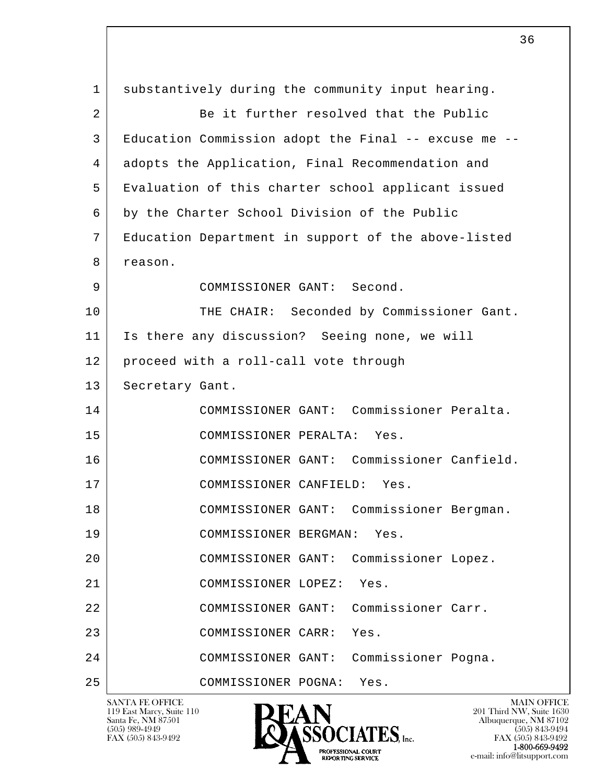l  $\overline{\phantom{a}}$  1 substantively during the community input hearing. 2 Be it further resolved that the Public 3 Education Commission adopt the Final -- excuse me -- 4 adopts the Application, Final Recommendation and 5 Evaluation of this charter school applicant issued 6 by the Charter School Division of the Public 7 Education Department in support of the above-listed 8 reason. 9 COMMISSIONER GANT: Second. 10 THE CHAIR: Seconded by Commissioner Gant. 11 Is there any discussion? Seeing none, we will 12 proceed with a roll-call vote through 13 | Secretary Gant. 14 COMMISSIONER GANT: Commissioner Peralta. 15 COMMISSIONER PERALTA: Yes. 16 COMMISSIONER GANT: Commissioner Canfield. 17 COMMISSIONER CANFIELD: Yes. 18 COMMISSIONER GANT: Commissioner Bergman. 19 COMMISSIONER BERGMAN: Yes. 20 COMMISSIONER GANT: Commissioner Lopez. 21 COMMISSIONER LOPEZ: Yes. 22 COMMISSIONER GANT: Commissioner Carr. 23 COMMISSIONER CARR: Yes. 24 COMMISSIONER GANT: Commissioner Pogna. 25 COMMISSIONER POGNA: Yes.

119 East Marcy, Suite 110<br>Santa Fe, NM 87501

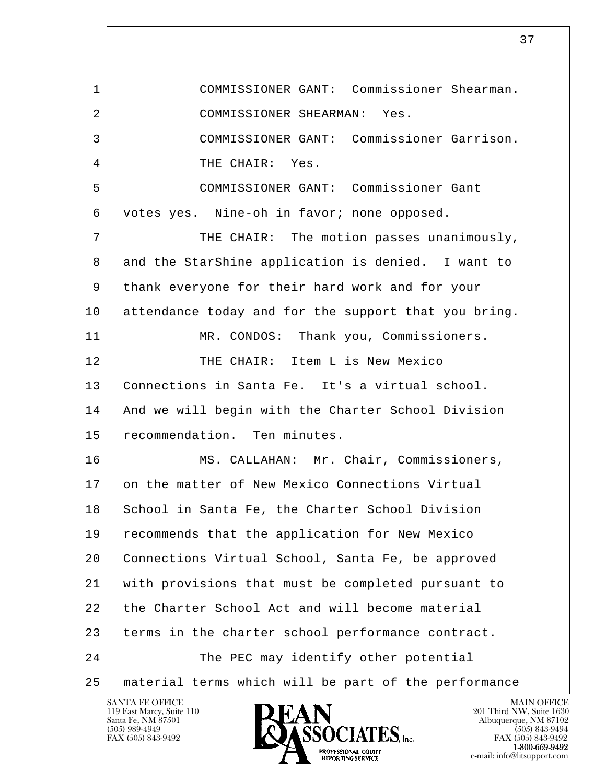l  $\overline{\phantom{a}}$  1 COMMISSIONER GANT: Commissioner Shearman. 2 COMMISSIONER SHEARMAN: Yes. 3 COMMISSIONER GANT: Commissioner Garrison. 4 THE CHAIR: Yes. 5 COMMISSIONER GANT: Commissioner Gant 6 votes yes. Nine-oh in favor; none opposed. 7 THE CHAIR: The motion passes unanimously, 8 and the StarShine application is denied. I want to 9 thank everyone for their hard work and for your 10 attendance today and for the support that you bring. 11 | MR. CONDOS: Thank you, Commissioners. 12 THE CHAIR: Item L is New Mexico 13 Connections in Santa Fe. It's a virtual school. 14 | And we will begin with the Charter School Division 15 recommendation. Ten minutes. 16 MS. CALLAHAN: Mr. Chair, Commissioners, 17 on the matter of New Mexico Connections Virtual 18 School in Santa Fe, the Charter School Division 19 recommends that the application for New Mexico 20 Connections Virtual School, Santa Fe, be approved 21 with provisions that must be completed pursuant to 22 the Charter School Act and will become material 23 terms in the charter school performance contract. 24 The PEC may identify other potential 25 material terms which will be part of the performance

119 East Marcy, Suite 110<br>Santa Fe, NM 87501

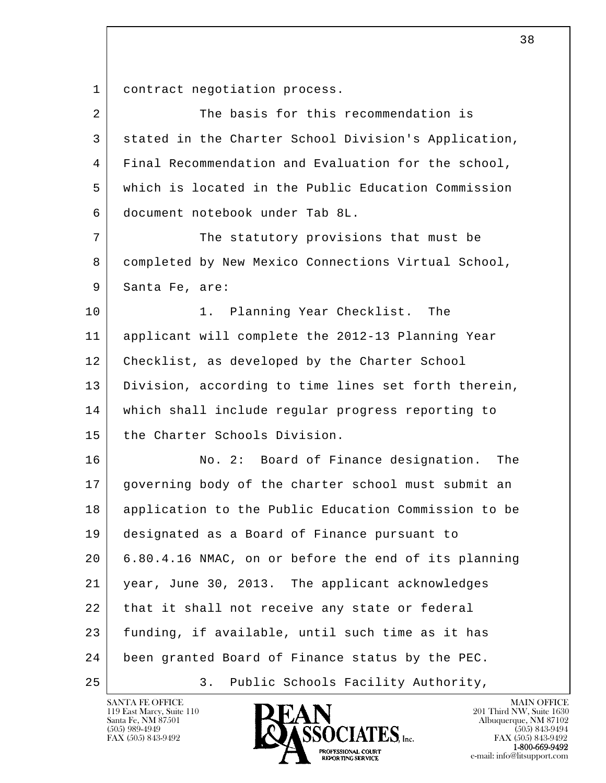l  $\overline{\phantom{a}}$ 1 contract negotiation process. 2 The basis for this recommendation is 3 stated in the Charter School Division's Application, 4 Final Recommendation and Evaluation for the school, 5 which is located in the Public Education Commission 6 document notebook under Tab 8L. 7 The statutory provisions that must be 8 completed by New Mexico Connections Virtual School, 9 Santa Fe, are: 10 | 1. Planning Year Checklist. The 11 applicant will complete the 2012-13 Planning Year 12 | Checklist, as developed by the Charter School 13 Division, according to time lines set forth therein, 14 which shall include regular progress reporting to 15 the Charter Schools Division. 16 No. 2: Board of Finance designation. The 17 governing body of the charter school must submit an 18 application to the Public Education Commission to be 19 designated as a Board of Finance pursuant to 20 6.80.4.16 NMAC, on or before the end of its planning 21 year, June 30, 2013. The applicant acknowledges 22 that it shall not receive any state or federal 23 funding, if available, until such time as it has 24 been granted Board of Finance status by the PEC. 25 | 3. Public Schools Facility Authority,

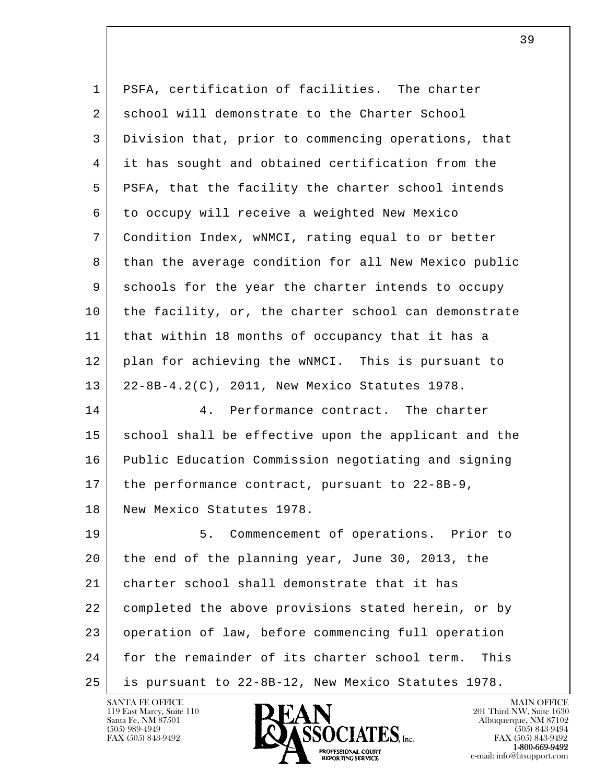| 1  | PSFA, certification of facilities. The charter        |
|----|-------------------------------------------------------|
| 2  | school will demonstrate to the Charter School         |
| 3  | Division that, prior to commencing operations, that   |
| 4  | it has sought and obtained certification from the     |
| 5  | PSFA, that the facility the charter school intends    |
| 6  | to occupy will receive a weighted New Mexico          |
| 7  | Condition Index, wNMCI, rating equal to or better     |
| 8  | than the average condition for all New Mexico public  |
| 9  | schools for the year the charter intends to occupy    |
| 10 | the facility, or, the charter school can demonstrate  |
| 11 | that within 18 months of occupancy that it has a      |
| 12 | plan for achieving the wNMCI. This is pursuant to     |
| 13 | 22-8B-4.2(C), 2011, New Mexico Statutes 1978.         |
| 14 | Performance contract. The charter<br>4.               |
| 15 | school shall be effective upon the applicant and the  |
| 16 | Public Education Commission negotiating and signing   |
| 17 | the performance contract, pursuant to 22-8B-9,        |
| 18 | New Mexico Statutes 1978                              |
| 19 | Commencement of operations. Prior to<br>5.            |
| 20 | the end of the planning year, June 30, 2013, the      |
| 21 | charter school shall demonstrate that it has          |
| 22 | completed the above provisions stated herein, or by   |
| 23 | operation of law, before commencing full operation    |
| 24 | for the remainder of its charter school term.<br>This |
| 25 | is pursuant to 22-8B-12, New Mexico Statutes 1978.    |

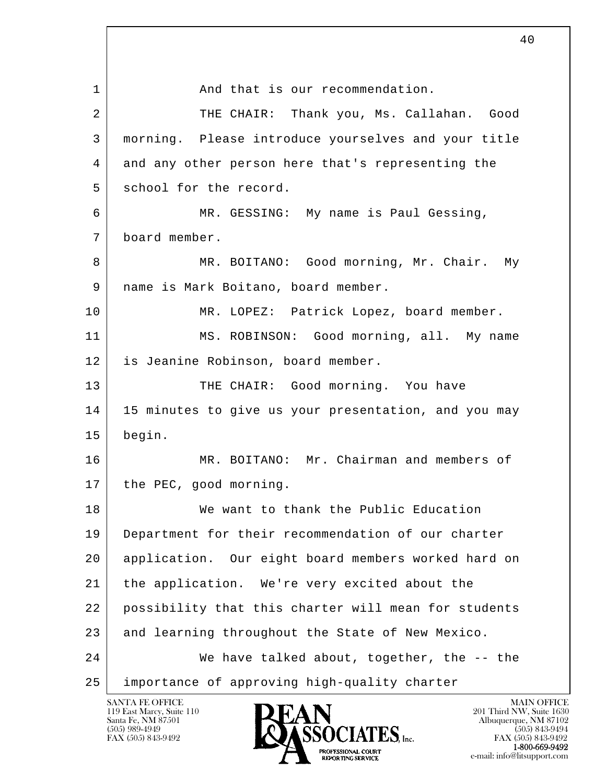l  $\overline{\phantom{a}}$ 1 and that is our recommendation. 2 THE CHAIR: Thank you, Ms. Callahan. Good 3 morning. Please introduce yourselves and your title 4 and any other person here that's representing the 5 school for the record. 6 MR. GESSING: My name is Paul Gessing, 7 board member. 8 MR. BOITANO: Good morning, Mr. Chair. My 9 | name is Mark Boitano, board member. 10 MR. LOPEZ: Patrick Lopez, board member. 11 MS. ROBINSON: Good morning, all. My name 12 is Jeanine Robinson, board member. 13 THE CHAIR: Good morning. You have 14 | 15 minutes to give us your presentation, and you may 15 begin. 16 MR. BOITANO: Mr. Chairman and members of 17 the PEC, good morning. 18 We want to thank the Public Education 19 Department for their recommendation of our charter 20 application. Our eight board members worked hard on 21 the application. We're very excited about the 22 possibility that this charter will mean for students 23 and learning throughout the State of New Mexico. 24 We have talked about, together, the -- the 25 importance of approving high-quality charter

40

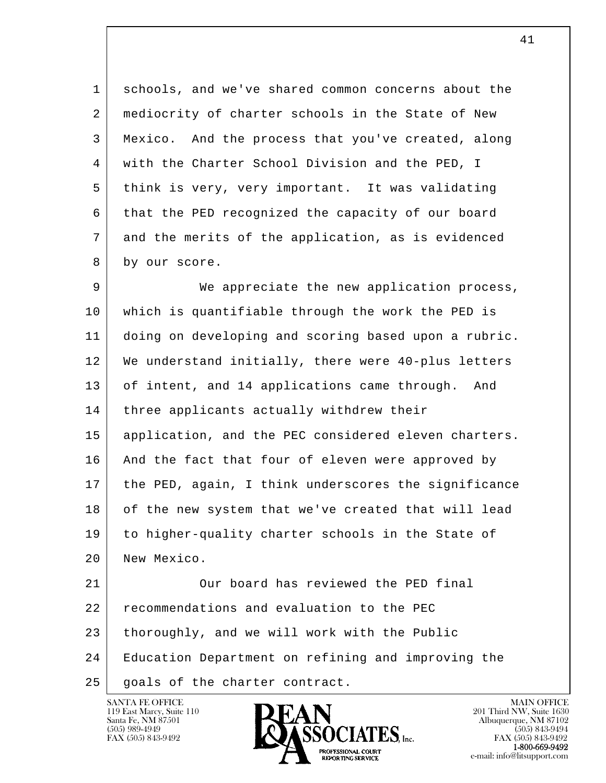1 schools, and we've shared common concerns about the 2 | mediocrity of charter schools in the State of New 3 Mexico. And the process that you've created, along 4 with the Charter School Division and the PED, I 5 think is very, very important. It was validating 6 that the PED recognized the capacity of our board 7 and the merits of the application, as is evidenced 8 by our score.

9 We appreciate the new application process, 10 which is quantifiable through the work the PED is 11 doing on developing and scoring based upon a rubric. 12 We understand initially, there were 40-plus letters 13 of intent, and 14 applications came through. And 14 | three applicants actually withdrew their 15 application, and the PEC considered eleven charters. 16 | And the fact that four of eleven were approved by 17 the PED, again, I think underscores the significance 18 of the new system that we've created that will lead 19 to higher-quality charter schools in the State of 20 New Mexico.

l  $\overline{\phantom{a}}$ 21 Our board has reviewed the PED final 22 recommendations and evaluation to the PEC 23 thoroughly, and we will work with the Public 24 Education Department on refining and improving the 25 | goals of the charter contract.

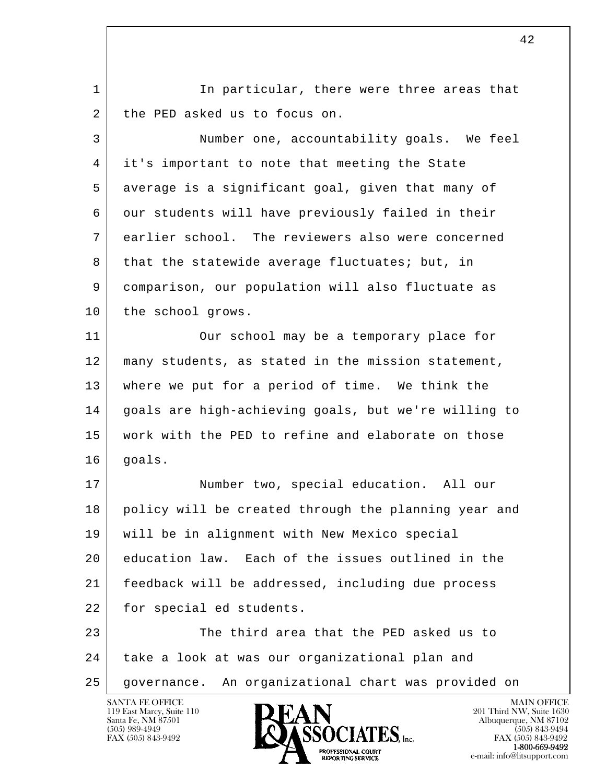1 | In particular, there were three areas that 2 the PED asked us to focus on.

 3 Number one, accountability goals. We feel 4 it's important to note that meeting the State 5 average is a significant goal, given that many of 6 our students will have previously failed in their 7 earlier school. The reviewers also were concerned 8 that the statewide average fluctuates; but, in 9 comparison, our population will also fluctuate as 10 the school grows.

11 | Our school may be a temporary place for 12 | many students, as stated in the mission statement, 13 where we put for a period of time. We think the 14 goals are high-achieving goals, but we're willing to 15 work with the PED to refine and elaborate on those 16 goals.

 17 Number two, special education. All our 18 policy will be created through the planning year and 19 will be in alignment with New Mexico special 20 education law. Each of the issues outlined in the 21 feedback will be addressed, including due process 22 for special ed students.

l  $\overline{\phantom{a}}$ 23 The third area that the PED asked us to 24 take a look at was our organizational plan and 25 governance. An organizational chart was provided on

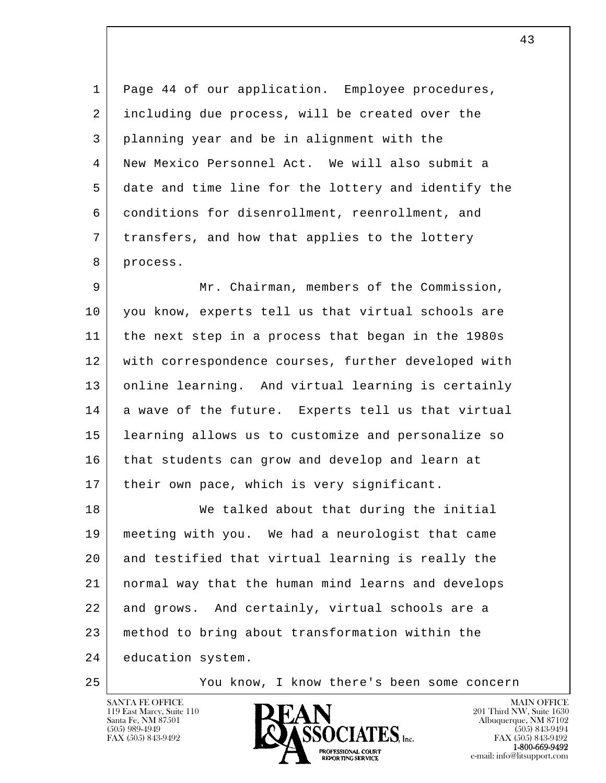1 Page 44 of our application. Employee procedures, 2 including due process, will be created over the 3 planning year and be in alignment with the 4 New Mexico Personnel Act. We will also submit a 5 date and time line for the lottery and identify the 6 conditions for disenrollment, reenrollment, and 7 transfers, and how that applies to the lottery 8 process.

 9 Mr. Chairman, members of the Commission, 10 you know, experts tell us that virtual schools are 11 the next step in a process that began in the 1980s 12 with correspondence courses, further developed with 13 online learning. And virtual learning is certainly 14 a wave of the future. Experts tell us that virtual 15 learning allows us to customize and personalize so 16 that students can grow and develop and learn at 17 their own pace, which is very significant.

l  $\overline{\phantom{a}}$ 18 We talked about that during the initial 19 meeting with you. We had a neurologist that came 20 and testified that virtual learning is really the 21 normal way that the human mind learns and develops 22 and grows. And certainly, virtual schools are a 23 method to bring about transformation within the 24 education system.

25 You know, I know there's been some concern

119 East Marcy, Suite 110<br>Santa Fe, NM 87501



FAX (505) 843-9492<br>1-800-669-9492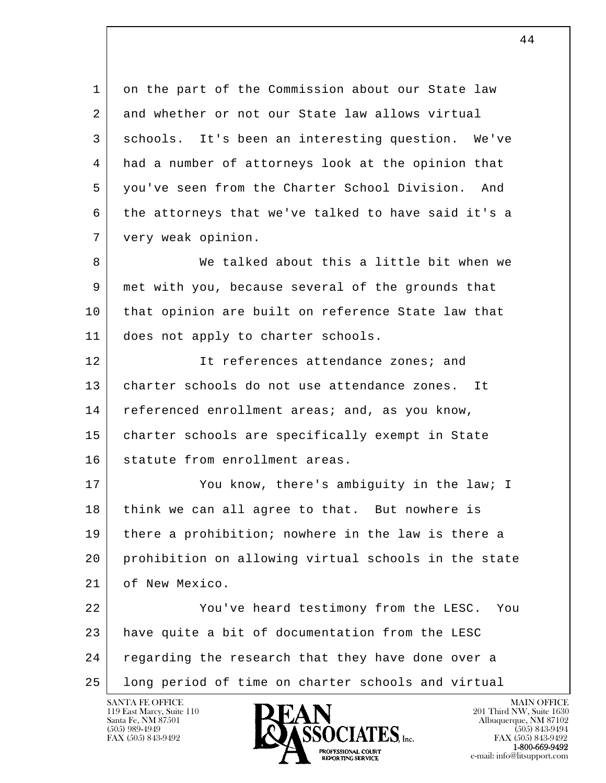1 on the part of the Commission about our State law 2 and whether or not our State law allows virtual 3 schools. It's been an interesting question. We've 4 had a number of attorneys look at the opinion that 5 you've seen from the Charter School Division. And 6 the attorneys that we've talked to have said it's a 7 very weak opinion. 8 We talked about this a little bit when we 9 met with you, because several of the grounds that 10 | that opinion are built on reference State law that

 11 does not apply to charter schools. 12 It references attendance zones; and

13 | charter schools do not use attendance zones. It 14 referenced enrollment areas; and, as you know, 15 charter schools are specifically exempt in State 16 statute from enrollment areas.

17 You know, there's ambiquity in the law; I 18 think we can all agree to that. But nowhere is 19 there a prohibition; nowhere in the law is there a 20 prohibition on allowing virtual schools in the state 21 of New Mexico.

l  $\overline{\phantom{a}}$ 22 | You've heard testimony from the LESC. You 23 have quite a bit of documentation from the LESC 24 regarding the research that they have done over a 25 long period of time on charter schools and virtual



FAX (505) 843-9492<br>**1-800-669-9492**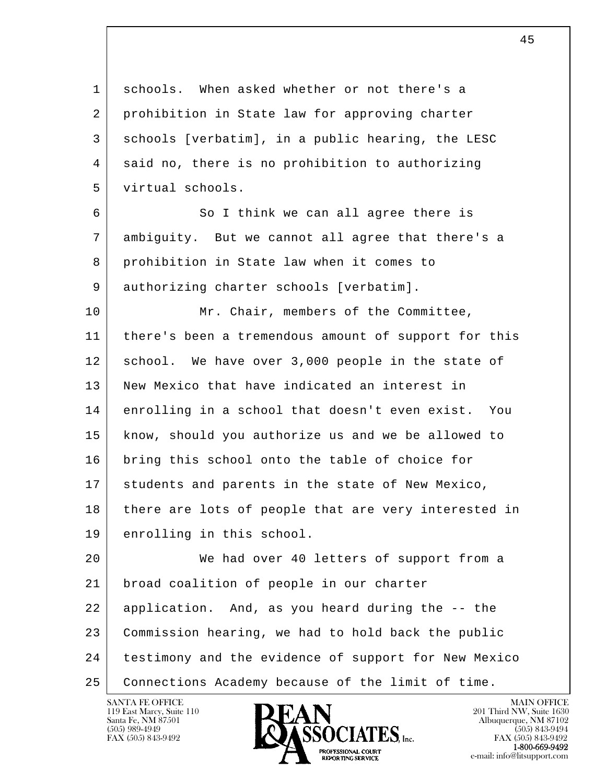1 schools. When asked whether or not there's a 2 prohibition in State law for approving charter 3 schools [verbatim], in a public hearing, the LESC 4 said no, there is no prohibition to authorizing 5 virtual schools.

6 So I think we can all agree there is 7 ambiguity. But we cannot all agree that there's a 8 prohibition in State law when it comes to 9 authorizing charter schools [verbatim].

10 Mr. Chair, members of the Committee, 11 there's been a tremendous amount of support for this 12 school. We have over 3,000 people in the state of 13 New Mexico that have indicated an interest in 14 enrolling in a school that doesn't even exist. You 15 know, should you authorize us and we be allowed to 16 bring this school onto the table of choice for 17 students and parents in the state of New Mexico, 18 there are lots of people that are very interested in 19 enrolling in this school.

l  $\overline{\phantom{a}}$  20 We had over 40 letters of support from a 21 broad coalition of people in our charter 22 application. And, as you heard during the -- the 23 Commission hearing, we had to hold back the public 24 testimony and the evidence of support for New Mexico 25 Connections Academy because of the limit of time.

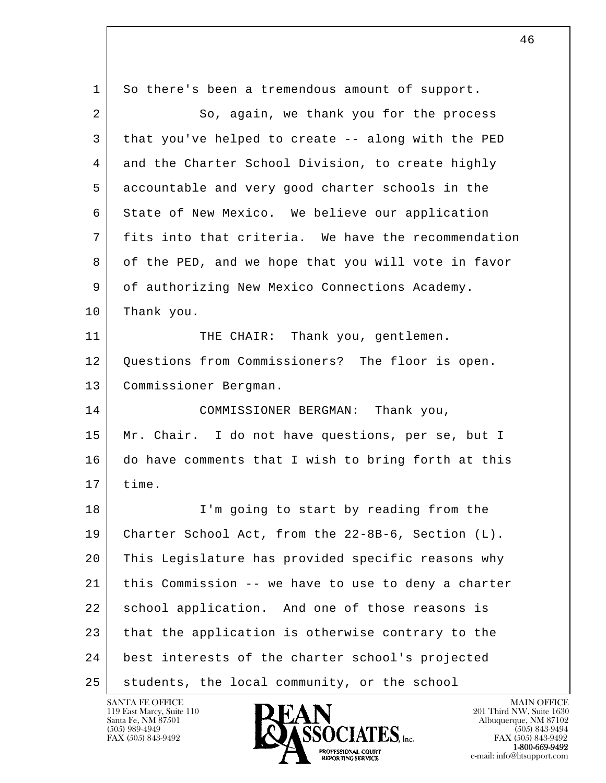l  $\overline{\phantom{a}}$  1 So there's been a tremendous amount of support. 2 So, again, we thank you for the process 3 that you've helped to create -- along with the PED 4 and the Charter School Division, to create highly 5 accountable and very good charter schools in the 6 State of New Mexico. We believe our application 7 fits into that criteria. We have the recommendation 8 of the PED, and we hope that you will vote in favor 9 of authorizing New Mexico Connections Academy. 10 Thank you. 11 | THE CHAIR: Thank you, gentlemen. 12 Ouestions from Commissioners? The floor is open. 13 Commissioner Bergman. 14 COMMISSIONER BERGMAN: Thank you, 15 Mr. Chair. I do not have questions, per se, but I 16 do have comments that I wish to bring forth at this 17 time. 18 I'm going to start by reading from the 19 Charter School Act, from the 22-8B-6, Section (L). 20 This Legislature has provided specific reasons why 21 this Commission -- we have to use to deny a charter 22 | school application. And one of those reasons is 23 that the application is otherwise contrary to the 24 best interests of the charter school's projected 25 students, the local community, or the school

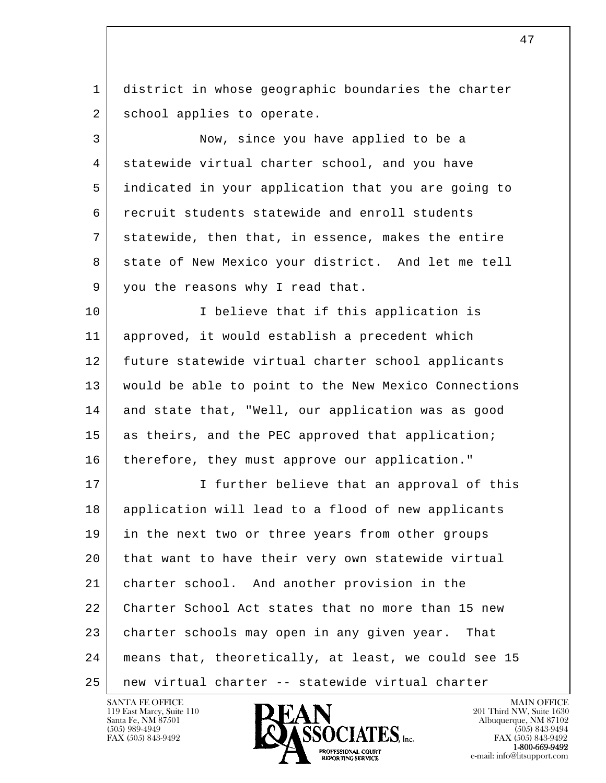1 district in whose geographic boundaries the charter 2 school applies to operate.

 3 Now, since you have applied to be a 4 statewide virtual charter school, and you have 5 indicated in your application that you are going to 6 recruit students statewide and enroll students 7 statewide, then that, in essence, makes the entire 8 state of New Mexico your district. And let me tell 9 you the reasons why I read that.

10 | I believe that if this application is 11 approved, it would establish a precedent which 12 | future statewide virtual charter school applicants 13 would be able to point to the New Mexico Connections 14 and state that, "Well, our application was as good 15 as theirs, and the PEC approved that application; 16 therefore, they must approve our application."

l  $\overline{\phantom{a}}$ 17 I further believe that an approval of this 18 application will lead to a flood of new applicants 19 in the next two or three years from other groups 20 that want to have their very own statewide virtual 21 charter school. And another provision in the 22 Charter School Act states that no more than 15 new 23 charter schools may open in any given year. That 24 means that, theoretically, at least, we could see 15 25 new virtual charter -- statewide virtual charter

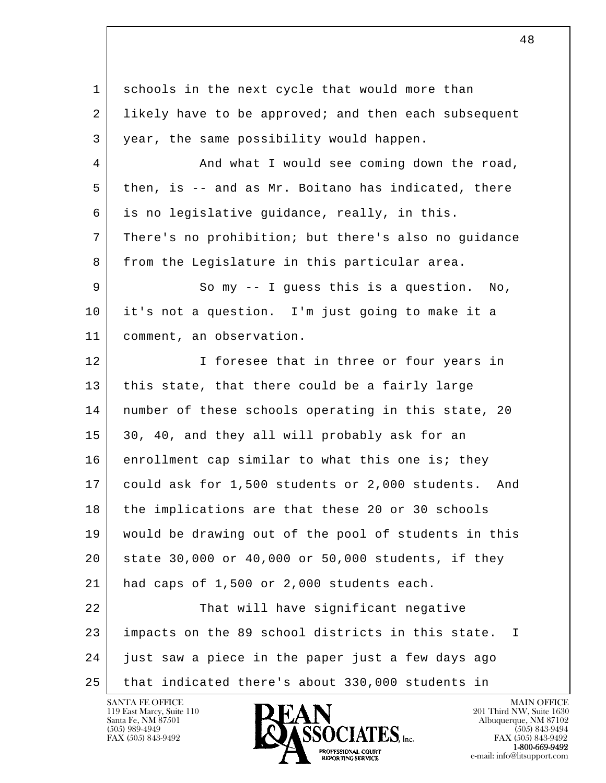l  $\overline{\phantom{a}}$ 1 schools in the next cycle that would more than 2 likely have to be approved; and then each subsequent 3 year, the same possibility would happen. 4 And what I would see coming down the road, 5 then, is -- and as Mr. Boitano has indicated, there 6 is no legislative guidance, really, in this. 7 There's no prohibition; but there's also no guidance 8 from the Legislature in this particular area. 9 So my -- I guess this is a question. No, 10 it's not a question. I'm just going to make it a 11 comment, an observation. 12 I foresee that in three or four years in 13 | this state, that there could be a fairly large 14 | number of these schools operating in this state, 20 15 30, 40, and they all will probably ask for an 16 enrollment cap similar to what this one is; they 17 could ask for 1,500 students or 2,000 students. And 18 the implications are that these 20 or 30 schools 19 would be drawing out of the pool of students in this 20 state 30,000 or 40,000 or 50,000 students, if they 21 had caps of 1,500 or 2,000 students each. 22 | That will have significant negative 23 impacts on the 89 school districts in this state. I 24 just saw a piece in the paper just a few days ago 25 that indicated there's about 330,000 students in

48

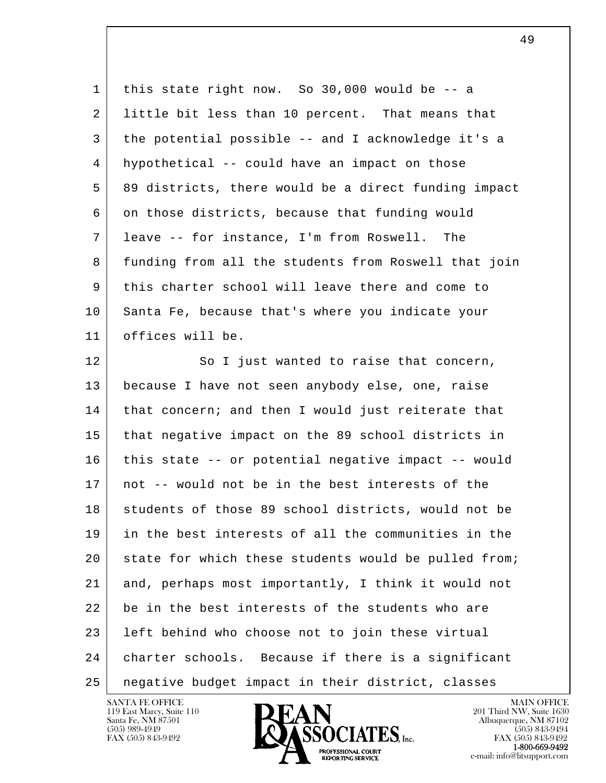1 this state right now. So 30,000 would be -- a 2 little bit less than 10 percent. That means that 3 the potential possible -- and I acknowledge it's a 4 hypothetical -- could have an impact on those 5 89 districts, there would be a direct funding impact 6 on those districts, because that funding would 7 leave -- for instance, I'm from Roswell. The 8 funding from all the students from Roswell that join 9 this charter school will leave there and come to 10 Santa Fe, because that's where you indicate your 11 offices will be. 12 So I just wanted to raise that concern, 13 because I have not seen anybody else, one, raise

l  $\overline{\phantom{a}}$ 14 | that concern; and then I would just reiterate that 15 that negative impact on the 89 school districts in 16 this state -- or potential negative impact -- would 17 not -- would not be in the best interests of the 18 students of those 89 school districts, would not be 19 in the best interests of all the communities in the 20 state for which these students would be pulled from; 21 and, perhaps most importantly, I think it would not 22 be in the best interests of the students who are 23 left behind who choose not to join these virtual 24 charter schools. Because if there is a significant 25 negative budget impact in their district, classes



FAX (505) 843-9492<br>1-800-669-9492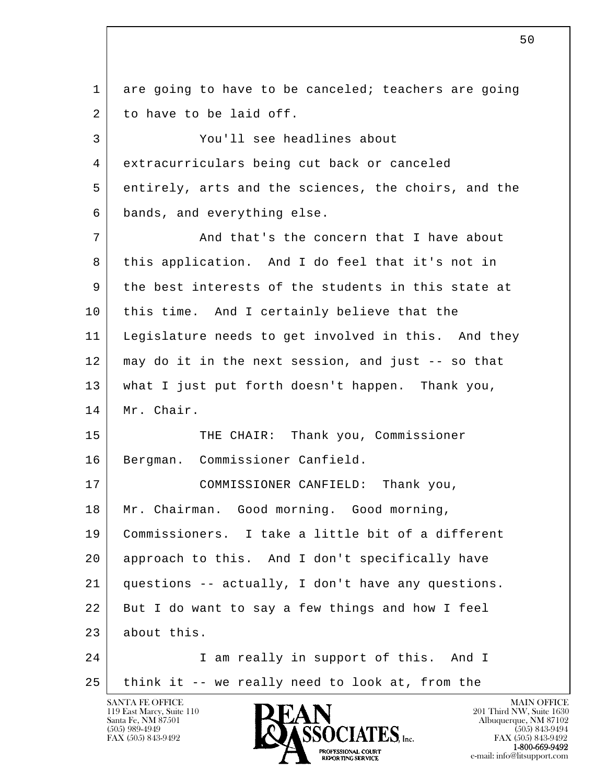l  $\overline{\phantom{a}}$ SANTA FE OFFICE MAIN OFFICE MAIN OFFICE MAIN OFFICE MAIN OFFICE 1 are going to have to be canceled; teachers are going 2 to have to be laid off. 3 You'll see headlines about 4 extracurriculars being cut back or canceled 5 entirely, arts and the sciences, the choirs, and the 6 bands, and everything else. 7 and that's the concern that I have about 8 this application. And I do feel that it's not in 9 the best interests of the students in this state at 10 this time. And I certainly believe that the 11 Legislature needs to get involved in this. And they 12 may do it in the next session, and just -- so that 13 what I just put forth doesn't happen. Thank you, 14 Mr. Chair. 15 THE CHAIR: Thank you, Commissioner 16 Bergman. Commissioner Canfield. 17 COMMISSIONER CANFIELD: Thank you, 18 Mr. Chairman. Good morning. Good morning, 19 Commissioners. I take a little bit of a different 20 approach to this. And I don't specifically have 21 questions -- actually, I don't have any questions. 22 But I do want to say a few things and how I feel 23 about this. 24 I am really in support of this. And I  $25$  think it -- we really need to look at, from the

 $\sim$  50

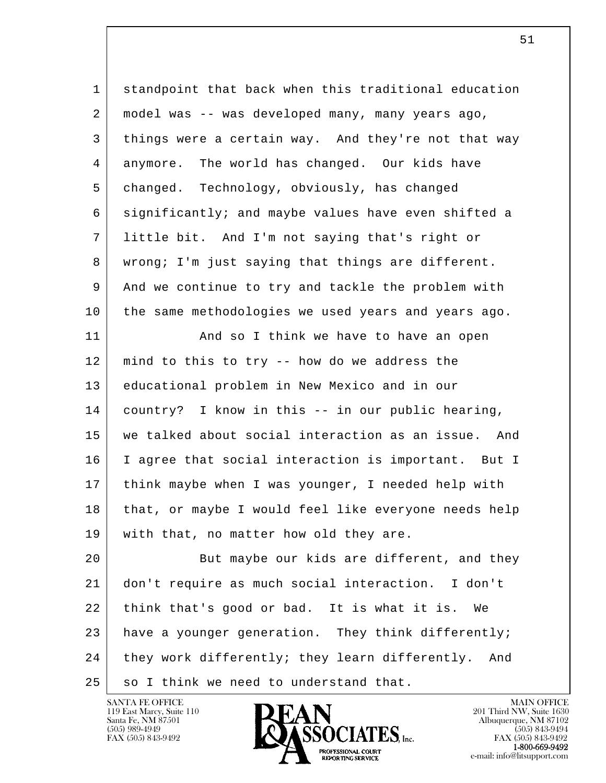| $\mathbf{1}$ | standpoint that back when this traditional education   |
|--------------|--------------------------------------------------------|
| 2            | model was -- was developed many, many years ago,       |
| 3            | things were a certain way. And they're not that way    |
| 4            | anymore. The world has changed. Our kids have          |
| 5            | changed. Technology, obviously, has changed            |
| 6            | significantly; and maybe values have even shifted a    |
| 7            | little bit. And I'm not saying that's right or         |
| 8            | wrong; I'm just saying that things are different.      |
| 9            | And we continue to try and tackle the problem with     |
| 10           | the same methodologies we used years and years ago.    |
| 11           | And so I think we have to have an open                 |
| 12           | mind to this to try -- how do we address the           |
| 13           | educational problem in New Mexico and in our           |
| 14           | country? I know in this -- in our public hearing,      |
| 15           | we talked about social interaction as an issue.<br>And |
| 16           | I agree that social interaction is important. But I    |
| 17           | think maybe when I was younger, I needed help with     |
| 18           | that, or maybe I would feel like everyone needs help   |
| 19           | with that, no matter how old they are.                 |
| 20           | But maybe our kids are different, and they             |
| 21           | don't require as much social interaction. I don't      |
| 22           | think that's good or bad. It is what it is. We         |
| 23           | have a younger generation. They think differently;     |
| 24           | they work differently; they learn differently.<br>And  |
| 25           | so I think we need to understand that.                 |

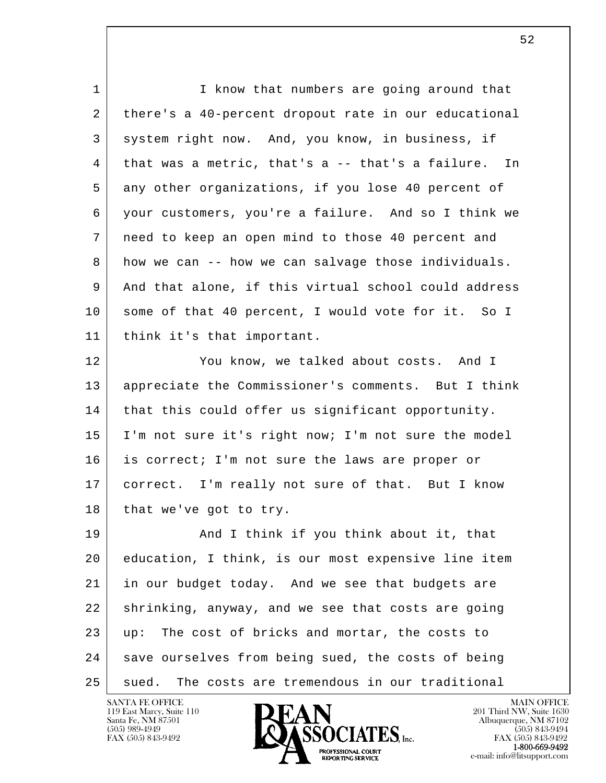| $\mathbf{1}$ | I know that numbers are going around that            |
|--------------|------------------------------------------------------|
| 2            | there's a 40-percent dropout rate in our educational |
| 3            | system right now. And, you know, in business, if     |
| 4            | that was a metric, that's a -- that's a failure. In  |
| 5            | any other organizations, if you lose 40 percent of   |
| 6            | your customers, you're a failure. And so I think we  |
| 7            | need to keep an open mind to those 40 percent and    |
| 8            | how we can -- how we can salvage those individuals.  |
| 9            | And that alone, if this virtual school could address |
| 10           | some of that 40 percent, I would vote for it. So I   |
| 11           | think it's that important.                           |
| 12           | You know, we talked about costs. And I               |
| 13           | appreciate the Commissioner's comments. But I think  |
| 14           | that this could offer us significant opportunity.    |
| 15           | I'm not sure it's right now; I'm not sure the model  |
| 16           | is correct; I'm not sure the laws are proper or      |
| 17           | correct. I'm really not sure of that. But I know     |
| 18           | that we've got to try.                               |
| 19           | And I think if you think about it, that              |
| 20           | education, I think, is our most expensive line item  |
| 21           | in our budget today. And we see that budgets are     |
| 22           | shrinking, anyway, and we see that costs are going   |
| 23           | The cost of bricks and mortar, the costs to<br>up:   |
| 24           | save ourselves from being sued, the costs of being   |
| 25           | The costs are tremendous in our traditional<br>sued. |

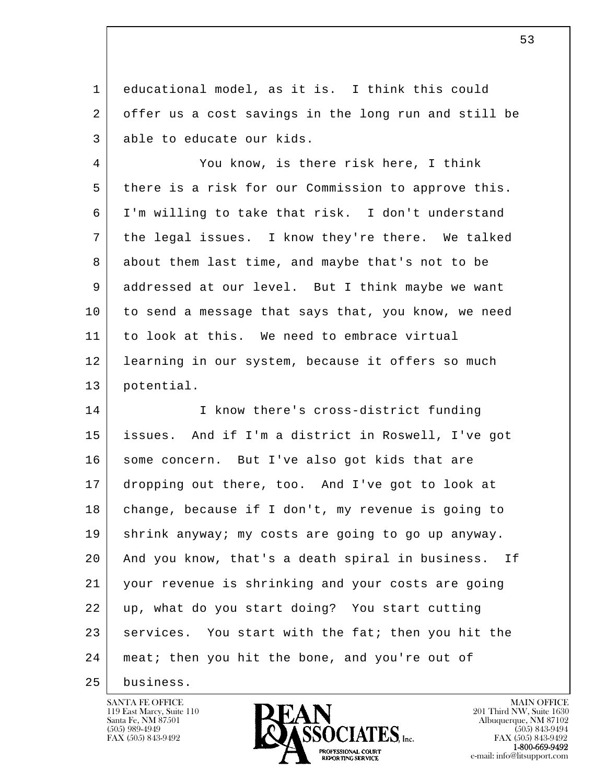1 educational model, as it is. I think this could 2 offer us a cost savings in the long run and still be 3 able to educate our kids.

4 | You know, is there risk here, I think 5 there is a risk for our Commission to approve this. 6 I'm willing to take that risk. I don't understand 7 the legal issues. I know they're there. We talked 8 about them last time, and maybe that's not to be 9 addressed at our level. But I think maybe we want 10 to send a message that says that, you know, we need 11 to look at this. We need to embrace virtual 12 learning in our system, because it offers so much 13 potential.

l  $\overline{\phantom{a}}$ 14 I know there's cross-district funding 15 issues. And if I'm a district in Roswell, I've got 16 | some concern. But I've also got kids that are 17 dropping out there, too. And I've got to look at 18 change, because if I don't, my revenue is going to 19 shrink anyway; my costs are going to go up anyway. 20 And you know, that's a death spiral in business. If 21 your revenue is shrinking and your costs are going 22 up, what do you start doing? You start cutting 23 services. You start with the fat; then you hit the 24 | meat; then you hit the bone, and you're out of

25 business.

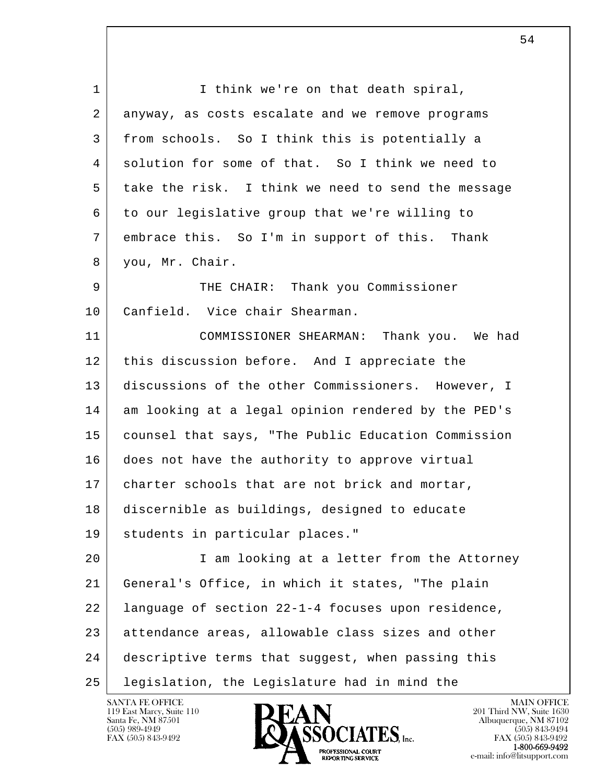l  $\overline{\phantom{a}}$ 1 I think we're on that death spiral, 2 anyway, as costs escalate and we remove programs 3 from schools. So I think this is potentially a 4 solution for some of that. So I think we need to 5 take the risk. I think we need to send the message 6 to our legislative group that we're willing to 7 embrace this. So I'm in support of this. Thank 8 you, Mr. Chair. 9 THE CHAIR: Thank you Commissioner 10 Canfield. Vice chair Shearman. 11 COMMISSIONER SHEARMAN: Thank you. We had 12 this discussion before. And I appreciate the 13 discussions of the other Commissioners. However, I 14 am looking at a legal opinion rendered by the PED's 15 counsel that says, "The Public Education Commission 16 does not have the authority to approve virtual 17 charter schools that are not brick and mortar, 18 discernible as buildings, designed to educate 19 students in particular places." 20 I am looking at a letter from the Attorney 21 General's Office, in which it states, "The plain 22 language of section 22-1-4 focuses upon residence, 23 attendance areas, allowable class sizes and other 24 descriptive terms that suggest, when passing this 25 legislation, the Legislature had in mind the

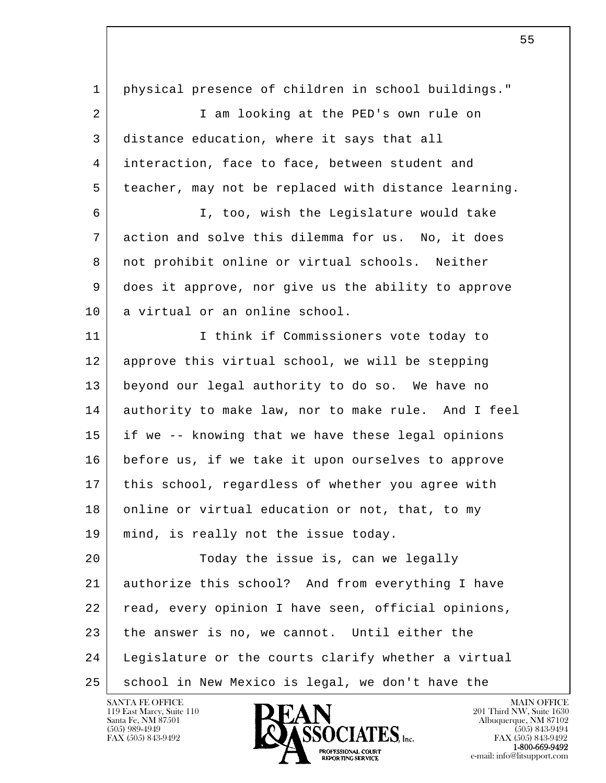| $\mathbf{1}$ | physical presence of children in school buildings."  |
|--------------|------------------------------------------------------|
| 2            | I am looking at the PED's own rule on                |
| 3            | distance education, where it says that all           |
| 4            | interaction, face to face, between student and       |
| 5            | teacher, may not be replaced with distance learning. |
| 6            | I, too, wish the Legislature would take              |
| 7            | action and solve this dilemma for us. No, it does    |
| 8            | not prohibit online or virtual schools. Neither      |
| 9            | does it approve, nor give us the ability to approve  |
| 10           | a virtual or an online school.                       |
| 11           | I think if Commissioners vote today to               |
| 12           | approve this virtual school, we will be stepping     |
| 13           | beyond our legal authority to do so. We have no      |
| 14           | authority to make law, nor to make rule. And I feel  |
| 15           | if we -- knowing that we have these legal opinions   |
| 16           | before us, if we take it upon ourselves to approve   |
| 17           | this school, regardless of whether you agree with    |
| 18           | online or virtual education or not, that, to my      |
| 19           | mind, is really not the issue today.                 |
| 20           | Today the issue is, can we legally                   |
| 21           | authorize this school? And from everything I have    |
| 22           | read, every opinion I have seen, official opinions,  |
| 23           | the answer is no, we cannot. Until either the        |
| 24           | Legislature or the courts clarify whether a virtual  |
| 25           | school in New Mexico is legal, we don't have the     |

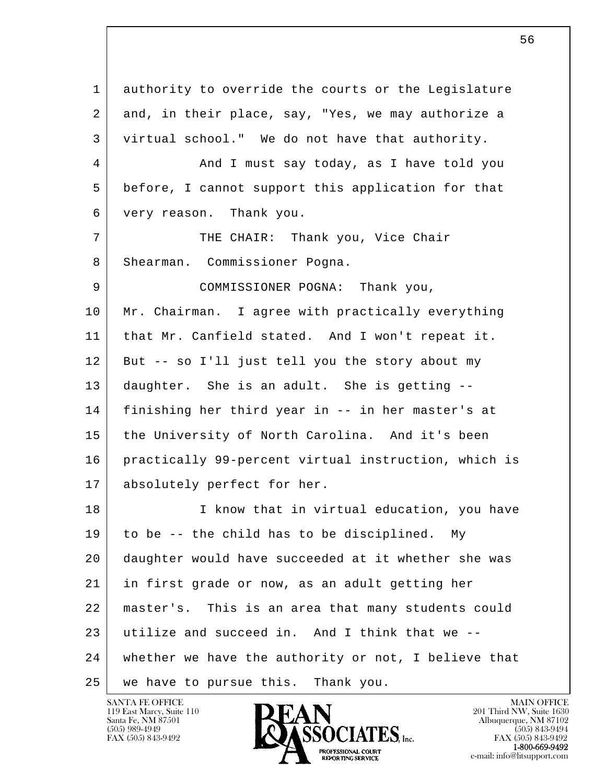l  $\overline{\phantom{a}}$  1 authority to override the courts or the Legislature 2 and, in their place, say, "Yes, we may authorize a 3 virtual school." We do not have that authority. 4 And I must say today, as I have told you 5 before, I cannot support this application for that 6 very reason. Thank you. 7 | THE CHAIR: Thank you, Vice Chair 8 Shearman. Commissioner Pogna. 9 COMMISSIONER POGNA: Thank you, 10 Mr. Chairman. I agree with practically everything 11 that Mr. Canfield stated. And I won't repeat it. 12 But -- so I'll just tell you the story about my 13 daughter. She is an adult. She is getting -- 14 finishing her third year in -- in her master's at 15 the University of North Carolina. And it's been 16 practically 99-percent virtual instruction, which is 17 absolutely perfect for her. 18 I know that in virtual education, you have 19 to be -- the child has to be disciplined. My 20 daughter would have succeeded at it whether she was 21 in first grade or now, as an adult getting her 22 master's. This is an area that many students could 23 utilize and succeed in. And I think that we -- 24 whether we have the authority or not, I believe that 25 we have to pursue this. Thank you.

119 East Marcy, Suite 110<br>Santa Fe, NM 87501

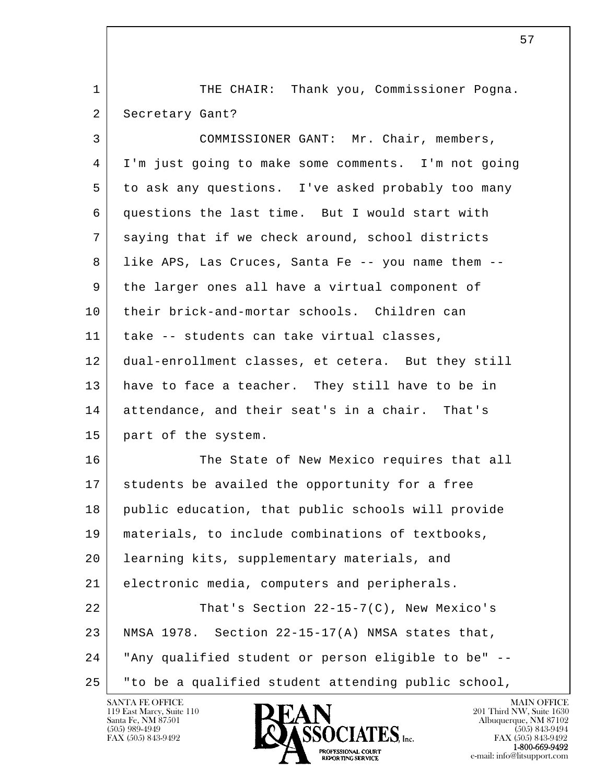1 | THE CHAIR: Thank you, Commissioner Pogna. 2 Secretary Gant? 3 COMMISSIONER GANT: Mr. Chair, members, 4 I'm just going to make some comments. I'm not going 5 to ask any questions. I've asked probably too many

 6 questions the last time. But I would start with 7 saying that if we check around, school districts 8 like APS, Las Cruces, Santa Fe -- you name them -- 9 the larger ones all have a virtual component of 10 their brick-and-mortar schools. Children can 11 take -- students can take virtual classes, 12 dual-enrollment classes, et cetera. But they still 13 have to face a teacher. They still have to be in 14 attendance, and their seat's in a chair. That's 15 part of the system.

l  $\overline{\phantom{a}}$ 16 The State of New Mexico requires that all 17 students be availed the opportunity for a free 18 public education, that public schools will provide 19 materials, to include combinations of textbooks, 20 learning kits, supplementary materials, and 21 electronic media, computers and peripherals. 22 That's Section 22-15-7(C), New Mexico's 23 | NMSA 1978. Section 22-15-17(A) NMSA states that, 24 "Any qualified student or person eligible to be" -- 25 "to be a qualified student attending public school,

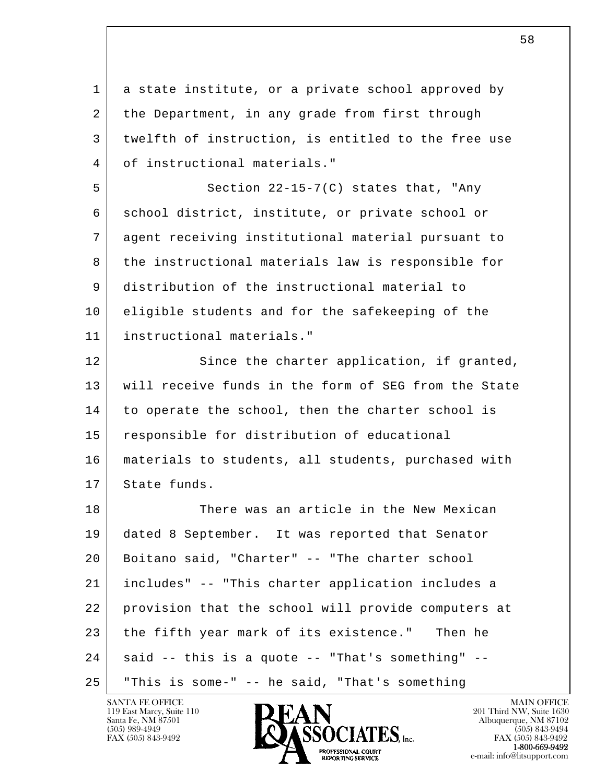| $\mathbf{1}$ | a state institute, or a private school approved by   |
|--------------|------------------------------------------------------|
| 2            | the Department, in any grade from first through      |
| 3            | twelfth of instruction, is entitled to the free use  |
| 4            | of instructional materials."                         |
| 5            | Section $22-15-7(C)$ states that, "Any               |
| 6            | school district, institute, or private school or     |
| 7            | agent receiving institutional material pursuant to   |
| 8            | the instructional materials law is responsible for   |
| 9            | distribution of the instructional material to        |
| 10           | eligible students and for the safekeeping of the     |
| 11           | instructional materials."                            |
| 12           | Since the charter application, if granted,           |
| 13           | will receive funds in the form of SEG from the State |
| 14           | to operate the school, then the charter school is    |
| 15           | responsible for distribution of educational          |
| 16           | materials to students, all students, purchased with  |
| 17           | State funds.                                         |
| 18           | There was an article in the New Mexican              |
| 19           | dated 8 September. It was reported that Senator      |
| 20           | Boitano said, "Charter" -- "The charter school       |
| 21           | includes" -- "This charter application includes a    |
| 22           | provision that the school will provide computers at  |
| 23           | the fifth year mark of its existence."<br>Then he    |
| 24           | said -- this is a quote -- "That's something" --     |
| 25           | "This is some-" -- he said, "That's something        |

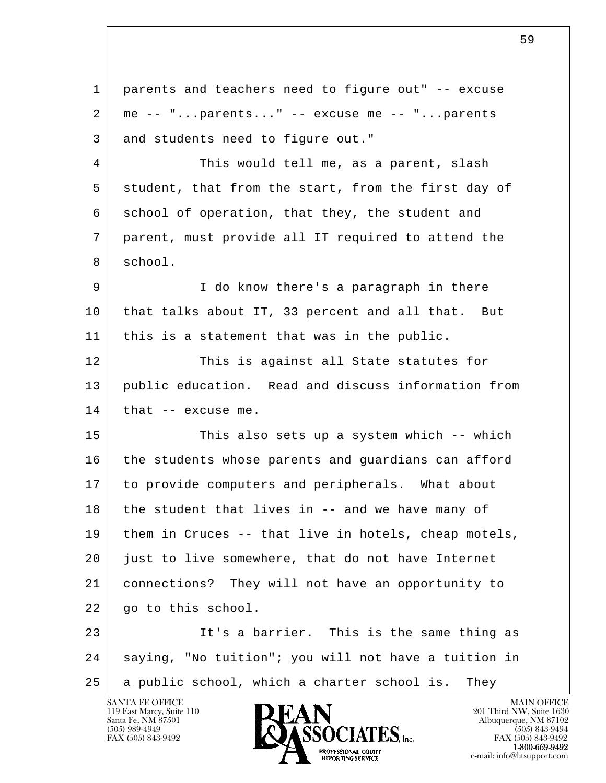l  $\overline{\phantom{a}}$  1 parents and teachers need to figure out" -- excuse  $2 \mid$  me -- "...parents..." -- excuse me -- "...parents 3 and students need to figure out." 4 This would tell me, as a parent, slash 5 student, that from the start, from the first day of 6 school of operation, that they, the student and 7 parent, must provide all IT required to attend the 8 school. 9 I do know there's a paragraph in there 10 that talks about IT, 33 percent and all that. But 11 | this is a statement that was in the public. 12 This is against all State statutes for 13 public education. Read and discuss information from  $14$  that  $-$  excuse me. 15 This also sets up a system which -- which 16 the students whose parents and guardians can afford 17 to provide computers and peripherals. What about 18 the student that lives in -- and we have many of 19 them in Cruces -- that live in hotels, cheap motels, 20 just to live somewhere, that do not have Internet 21 connections? They will not have an opportunity to 22 | go to this school. 23 It's a barrier. This is the same thing as 24 saying, "No tuition"; you will not have a tuition in 25 a public school, which a charter school is. They

 $\sim$  59

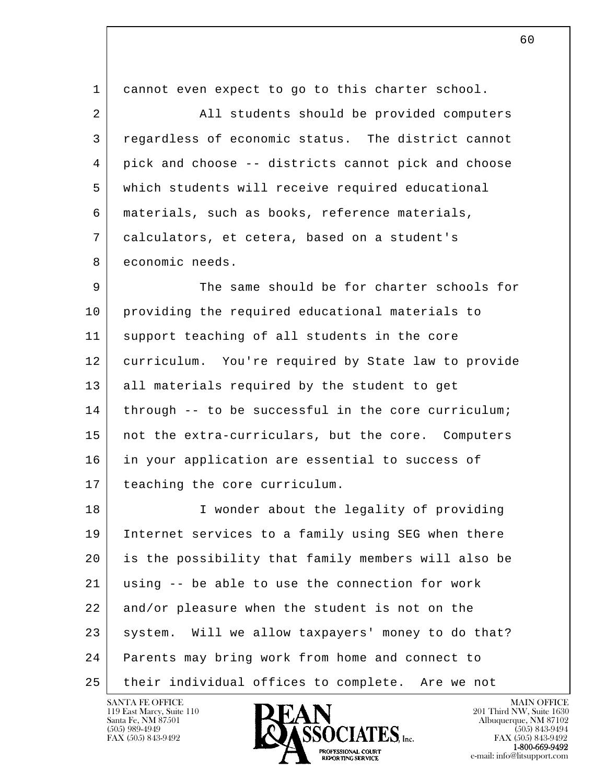l  $\overline{\phantom{a}}$  1 cannot even expect to go to this charter school. 2 | All students should be provided computers 3 regardless of economic status. The district cannot 4 pick and choose -- districts cannot pick and choose 5 which students will receive required educational 6 materials, such as books, reference materials, 7 calculators, et cetera, based on a student's 8 economic needs. 9 The same should be for charter schools for 10 providing the required educational materials to 11 support teaching of all students in the core 12 curriculum. You're required by State law to provide 13 all materials required by the student to get 14 through -- to be successful in the core curriculum; 15 | not the extra-curriculars, but the core. Computers 16 in your application are essential to success of 17 teaching the core curriculum. 18 I wonder about the legality of providing 19 Internet services to a family using SEG when there 20 is the possibility that family members will also be 21 using -- be able to use the connection for work 22 and/or pleasure when the student is not on the 23 | system. Will we allow taxpayers' money to do that? 24 Parents may bring work from home and connect to 25 | their individual offices to complete. Are we not

119 East Marcy, Suite 110<br>Santa Fe, NM 87501



FAX (505) 843-9492<br>**1-800-669-9492**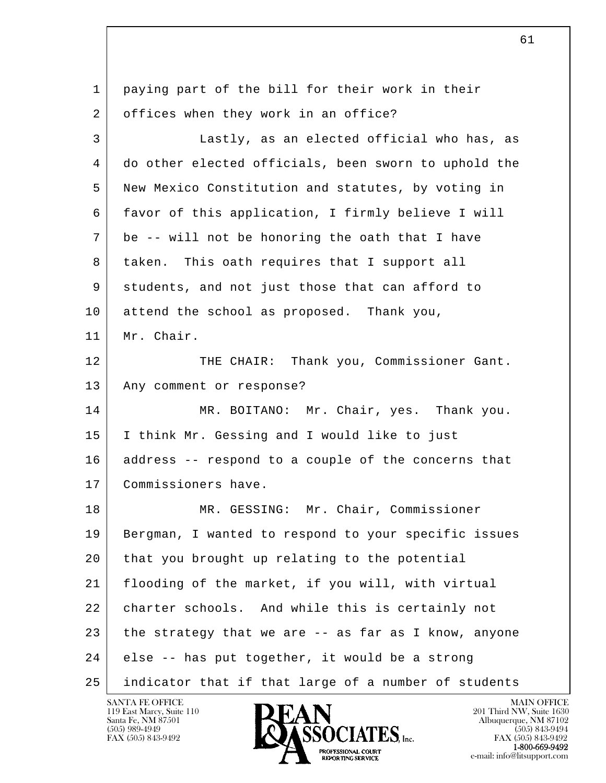| $\mathbf 1$ | paying part of the bill for their work in their      |
|-------------|------------------------------------------------------|
| 2           | offices when they work in an office?                 |
| 3           | Lastly, as an elected official who has, as           |
| 4           | do other elected officials, been sworn to uphold the |
| 5           | New Mexico Constitution and statutes, by voting in   |
| 6           | favor of this application, I firmly believe I will   |
| 7           | be -- will not be honoring the oath that I have      |
| 8           | taken. This oath requires that I support all         |
| 9           | students, and not just those that can afford to      |
| 10          | attend the school as proposed. Thank you,            |
| 11          | Mr. Chair.                                           |
| 12          | THE CHAIR: Thank you, Commissioner Gant.             |
| 13          | Any comment or response?                             |
| 14          | MR. BOITANO: Mr. Chair, yes. Thank you.              |
| 15          | I think Mr. Gessing and I would like to just         |
| 16          | address -- respond to a couple of the concerns that  |
| 17          | Commissioners have.                                  |
| 18          | MR. GESSING: Mr. Chair, Commissioner                 |
| 19          | Bergman, I wanted to respond to your specific issues |
| 20          | that you brought up relating to the potential        |
| 21          | flooding of the market, if you will, with virtual    |
| 22          | charter schools. And while this is certainly not     |
| 23          | the strategy that we are -- as far as I know, anyone |
| 24          | else -- has put together, it would be a strong       |
| 25          | indicator that if that large of a number of students |

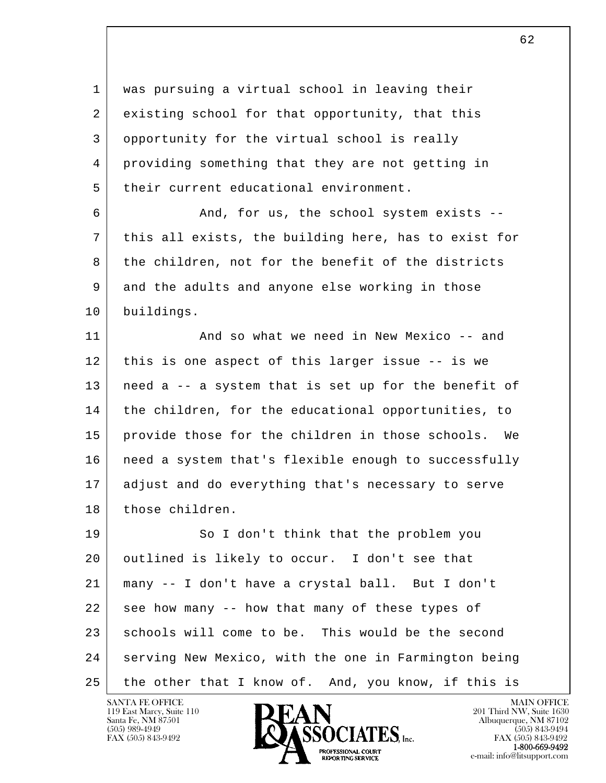1 was pursuing a virtual school in leaving their 2 existing school for that opportunity, that this 3 opportunity for the virtual school is really 4 providing something that they are not getting in 5 their current educational environment. 6 And, for us, the school system exists -- 7 this all exists, the building here, has to exist for 8 the children, not for the benefit of the districts 9 and the adults and anyone else working in those 10 buildings. 11 | And so what we need in New Mexico -- and 12 this is one aspect of this larger issue -- is we 13 need a -- a system that is set up for the benefit of 14 | the children, for the educational opportunities, to 15 provide those for the children in those schools. We 16 | need a system that's flexible enough to successfully 17 adjust and do everything that's necessary to serve

l  $\overline{\phantom{a}}$ 19 So I don't think that the problem you 20 | outlined is likely to occur. I don't see that 21 many -- I don't have a crystal ball. But I don't 22 see how many -- how that many of these types of 23 schools will come to be. This would be the second 24 serving New Mexico, with the one in Farmington being 25 the other that I know of. And, you know, if this is

119 East Marcy, Suite 110<br>Santa Fe, NM 87501

18 those children.

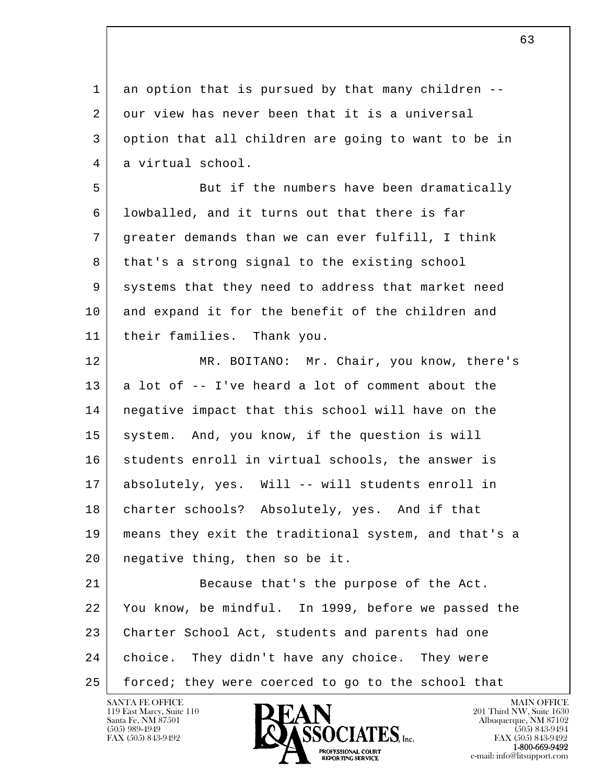l  $\overline{\phantom{a}}$ 1 an option that is pursued by that many children --2 our view has never been that it is a universal 3 option that all children are going to want to be in 4 a virtual school. 5 But if the numbers have been dramatically 6 lowballed, and it turns out that there is far 7 greater demands than we can ever fulfill, I think 8 that's a strong signal to the existing school 9 systems that they need to address that market need 10 and expand it for the benefit of the children and 11 their families. Thank you. 12 MR. BOITANO: Mr. Chair, you know, there's  $13$  a lot of  $-$  I've heard a lot of comment about the 14 negative impact that this school will have on the 15 system. And, you know, if the question is will 16 students enroll in virtual schools, the answer is 17 absolutely, yes. Will -- will students enroll in 18 charter schools? Absolutely, yes. And if that 19 means they exit the traditional system, and that's a 20 negative thing, then so be it. 21 Because that's the purpose of the Act. 22 You know, be mindful. In 1999, before we passed the 23 Charter School Act, students and parents had one 24 choice. They didn't have any choice. They were 25 forced; they were coerced to go to the school that

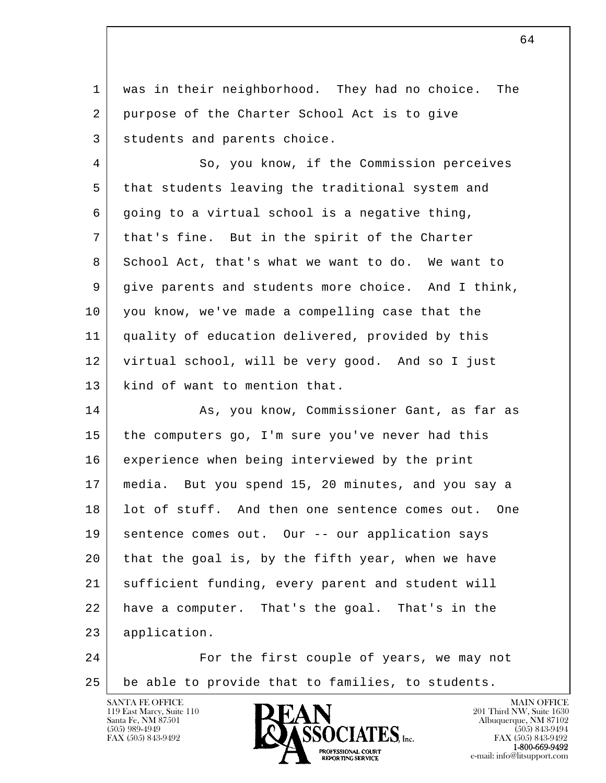1 was in their neighborhood. They had no choice. The 2 purpose of the Charter School Act is to give 3 students and parents choice.

4 So, you know, if the Commission perceives 5 that students leaving the traditional system and  $6$  going to a virtual school is a negative thing, 7 that's fine. But in the spirit of the Charter 8 School Act, that's what we want to do. We want to 9 give parents and students more choice. And I think, 10 you know, we've made a compelling case that the 11 quality of education delivered, provided by this 12 virtual school, will be very good. And so I just 13 | kind of want to mention that.

l 14 As, you know, Commissioner Gant, as far as 15 the computers go, I'm sure you've never had this 16 experience when being interviewed by the print 17 media. But you spend 15, 20 minutes, and you say a 18 | lot of stuff. And then one sentence comes out. One 19 | sentence comes out. Our -- our application says 20 that the goal is, by the fifth year, when we have 21 | sufficient funding, every parent and student will 22 have a computer. That's the goal. That's in the 23 application.

 $\overline{\phantom{a}}$ 24 For the first couple of years, we may not 25 be able to provide that to families, to students.



FAX (505) 843-9492<br>**1-800-669-9492** e-mail: info@litsupport.com<br>REPORTING SERVICE e-mail: info@litsupport.com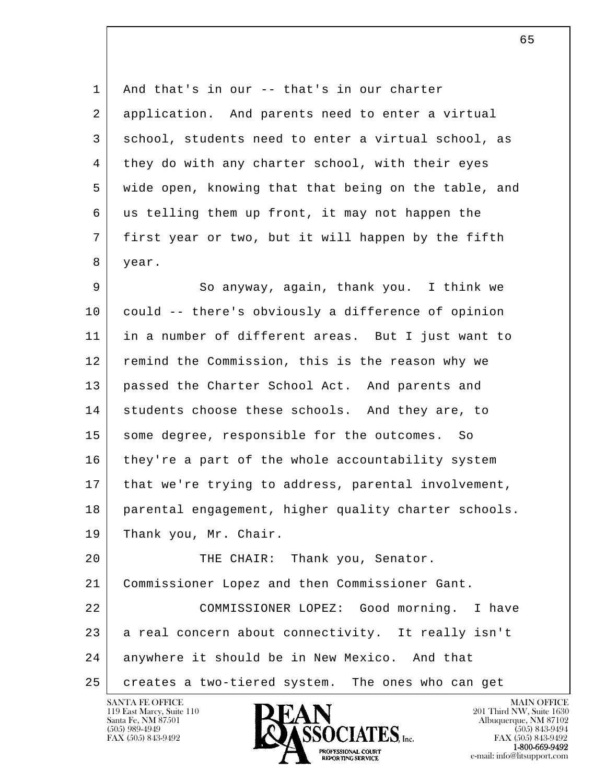1 And that's in our -- that's in our charter 2 | application. And parents need to enter a virtual 3 | school, students need to enter a virtual school, as 4 they do with any charter school, with their eyes 5 wide open, knowing that that being on the table, and 6 us telling them up front, it may not happen the 7 first year or two, but it will happen by the fifth 8 year.

9 So anyway, again, thank you. I think we 10 could -- there's obviously a difference of opinion 11 in a number of different areas. But I just want to 12 remind the Commission, this is the reason why we 13 passed the Charter School Act. And parents and 14 students choose these schools. And they are, to 15 some degree, responsible for the outcomes. So 16 they're a part of the whole accountability system 17 | that we're trying to address, parental involvement, 18 parental engagement, higher quality charter schools. 19 Thank you, Mr. Chair.

l  $\overline{\phantom{a}}$ 20 | THE CHAIR: Thank you, Senator. 21 Commissioner Lopez and then Commissioner Gant. 22 COMMISSIONER LOPEZ: Good morning. I have 23 a real concern about connectivity. It really isn't 24 anywhere it should be in New Mexico. And that 25 creates a two-tiered system. The ones who can get

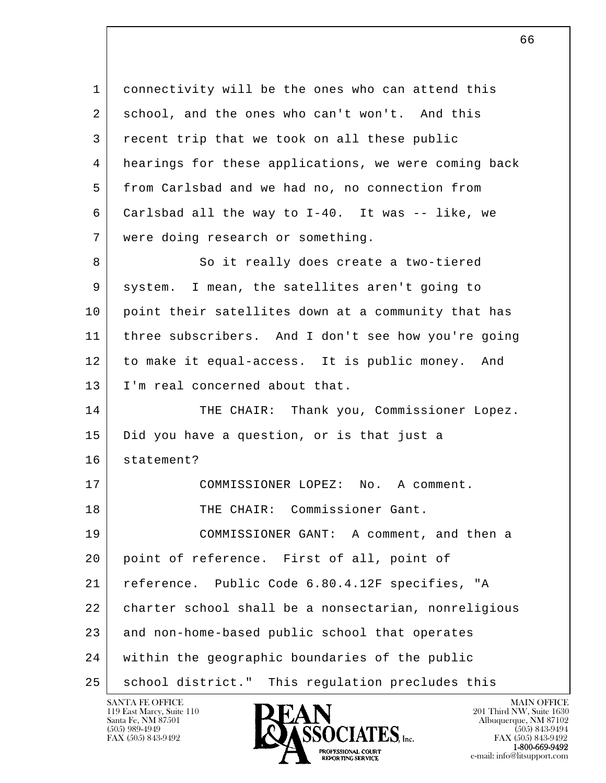l  $\overline{\phantom{a}}$  1 connectivity will be the ones who can attend this 2 school, and the ones who can't won't. And this 3 recent trip that we took on all these public 4 hearings for these applications, we were coming back 5 from Carlsbad and we had no, no connection from 6 Carlsbad all the way to I-40. It was -- like, we 7 were doing research or something. 8 So it really does create a two-tiered 9 system. I mean, the satellites aren't going to 10 point their satellites down at a community that has 11 three subscribers. And I don't see how you're going 12 to make it equal-access. It is public money. And 13 | I'm real concerned about that. 14 THE CHAIR: Thank you, Commissioner Lopez. 15 | Did you have a question, or is that just a 16 statement? 17 COMMISSIONER LOPEZ: No. A comment. 18 THE CHAIR: Commissioner Gant. 19 COMMISSIONER GANT: A comment, and then a 20 point of reference. First of all, point of 21 reference. Public Code 6.80.4.12F specifies, "A 22 charter school shall be a nonsectarian, nonreligious 23 and non-home-based public school that operates 24 within the geographic boundaries of the public 25 | school district." This regulation precludes this

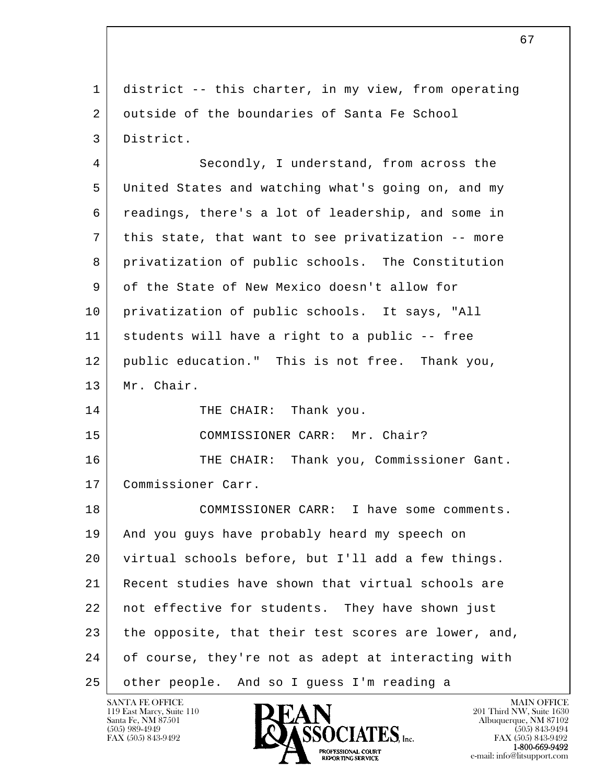l  $\overline{\phantom{a}}$  1 district -- this charter, in my view, from operating 2 outside of the boundaries of Santa Fe School 3 District. 4 Secondly, I understand, from across the 5 United States and watching what's going on, and my 6 readings, there's a lot of leadership, and some in 7 this state, that want to see privatization -- more 8 privatization of public schools. The Constitution 9 of the State of New Mexico doesn't allow for 10 privatization of public schools. It says, "All 11 students will have a right to a public -- free 12 public education." This is not free. Thank you, 13 Mr. Chair. 14 THE CHAIR: Thank you. 15 | COMMISSIONER CARR: Mr. Chair? 16 THE CHAIR: Thank you, Commissioner Gant. 17 Commissioner Carr. 18 COMMISSIONER CARR: I have some comments. 19 And you guys have probably heard my speech on 20 virtual schools before, but I'll add a few things. 21 Recent studies have shown that virtual schools are 22 | not effective for students. They have shown just 23 the opposite, that their test scores are lower, and, 24 of course, they're not as adept at interacting with 25 other people. And so I guess I'm reading a

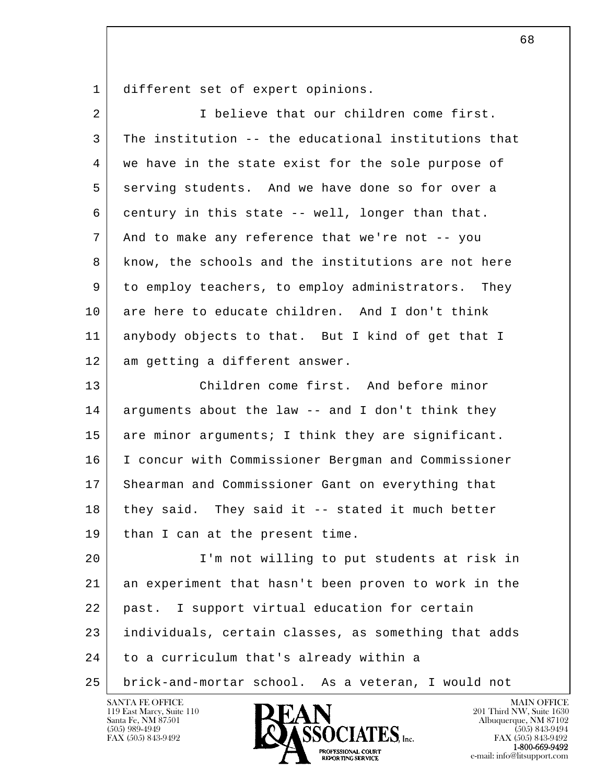1 different set of expert opinions.

| $\overline{2}$ | I believe that our children come first.              |
|----------------|------------------------------------------------------|
| 3              | The institution -- the educational institutions that |
| 4              | we have in the state exist for the sole purpose of   |
| 5              | serving students. And we have done so for over a     |
| 6              | century in this state -- well, longer than that.     |
| 7              | And to make any reference that we're not -- you      |
| 8              | know, the schools and the institutions are not here  |
| 9              | to employ teachers, to employ administrators. They   |
| 10             | are here to educate children. And I don't think      |
| 11             | anybody objects to that. But I kind of get that I    |
| 12             | am getting a different answer.                       |
| 13             | Children come first. And before minor                |
| 14             | arguments about the law -- and I don't think they    |
| 15             | are minor arguments; I think they are significant.   |
| 16             | I concur with Commissioner Bergman and Commissioner  |
| 17             | Shearman and Commissioner Gant on everything that    |
| 18             | they said. They said it -- stated it much better     |
| 19             | than I can at the present time.                      |
| 20             | I'm not willing to put students at risk in           |
| 21             | an experiment that hasn't been proven to work in the |
| 22             | I support virtual education for certain<br>past.     |
| 23             | individuals, certain classes, as something that adds |
| 24             | to a curriculum that's already within a              |
| 25             | brick-and-mortar school. As a veteran, I would not   |
|                |                                                      |

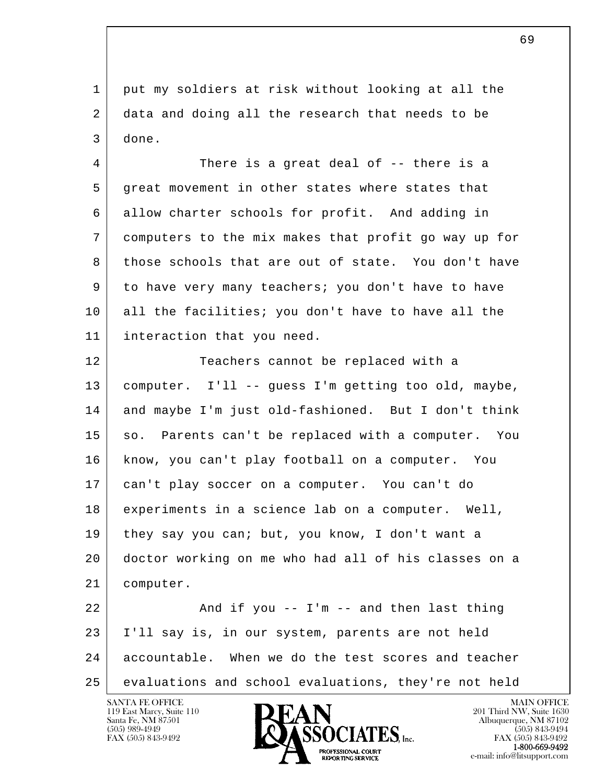1 put my soldiers at risk without looking at all the 2 data and doing all the research that needs to be 3 done.

4 There is a great deal of -- there is a 5 great movement in other states where states that 6 allow charter schools for profit. And adding in 7 computers to the mix makes that profit go way up for 8 those schools that are out of state. You don't have 9 to have very many teachers; you don't have to have 10 all the facilities; you don't have to have all the 11 interaction that you need.

12 Teachers cannot be replaced with a 13 computer. I'll -- guess I'm getting too old, maybe, 14 and maybe I'm just old-fashioned. But I don't think 15 so. Parents can't be replaced with a computer. You 16 know, you can't play football on a computer. You 17 can't play soccer on a computer. You can't do 18 experiments in a science lab on a computer. Well, 19 they say you can; but, you know, I don't want a 20 doctor working on me who had all of his classes on a 21 computer.  $22$   $\vert$  and if you -- I'm -- and then last thing

l  $\overline{\phantom{a}}$  23 I'll say is, in our system, parents are not held 24 accountable. When we do the test scores and teacher 25 evaluations and school evaluations, they're not held

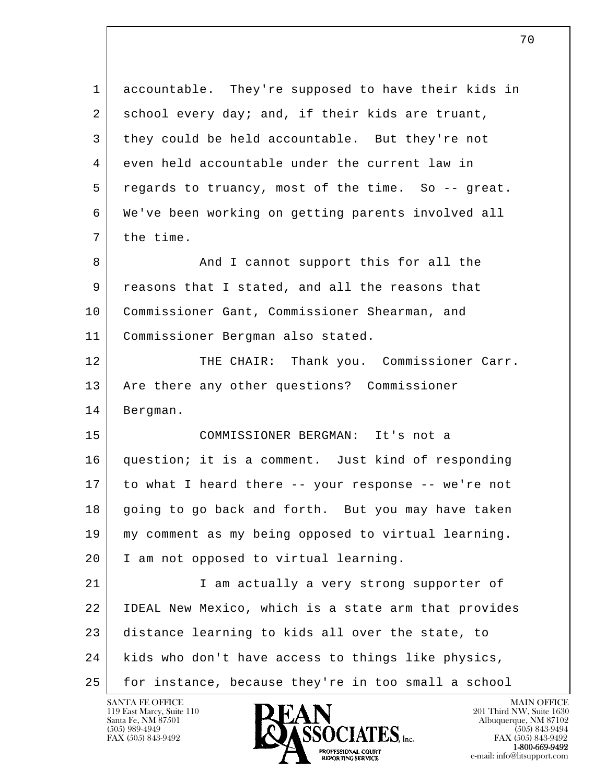l  $\overline{\phantom{a}}$  1 accountable. They're supposed to have their kids in 2 school every day; and, if their kids are truant, 3 they could be held accountable. But they're not 4 even held accountable under the current law in 5 regards to truancy, most of the time. So -- great. 6 We've been working on getting parents involved all 7 the time. 8 And I cannot support this for all the 9 reasons that I stated, and all the reasons that 10 Commissioner Gant, Commissioner Shearman, and 11 Commissioner Bergman also stated. 12 THE CHAIR: Thank you. Commissioner Carr. 13 | Are there any other questions? Commissioner 14 Bergman. 15 COMMISSIONER BERGMAN: It's not a 16 question; it is a comment. Just kind of responding 17 to what I heard there -- your response -- we're not 18 going to go back and forth. But you may have taken 19 my comment as my being opposed to virtual learning. 20 I am not opposed to virtual learning. 21 | T am actually a very strong supporter of 22 IDEAL New Mexico, which is a state arm that provides 23 distance learning to kids all over the state, to 24 kids who don't have access to things like physics, 25 for instance, because they're in too small a school

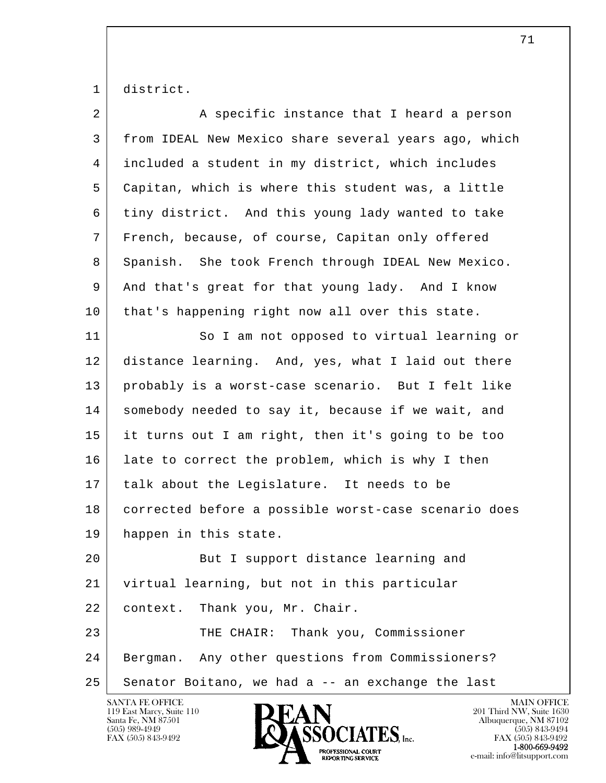1 district.

| 2  | A specific instance that I heard a person            |
|----|------------------------------------------------------|
| 3  | from IDEAL New Mexico share several years ago, which |
| 4  | included a student in my district, which includes    |
| 5  | Capitan, which is where this student was, a little   |
| 6  | tiny district. And this young lady wanted to take    |
| 7  | French, because, of course, Capitan only offered     |
| 8  | Spanish. She took French through IDEAL New Mexico.   |
| 9  | And that's great for that young lady. And I know     |
| 10 | that's happening right now all over this state.      |
| 11 | So I am not opposed to virtual learning or           |
| 12 | distance learning. And, yes, what I laid out there   |
| 13 | probably is a worst-case scenario. But I felt like   |
| 14 | somebody needed to say it, because if we wait, and   |
| 15 | it turns out I am right, then it's going to be too   |
| 16 | late to correct the problem, which is why I then     |
| 17 | talk about the Legislature. It needs to be           |
| 18 | corrected before a possible worst-case scenario does |
| 19 | happen in this state.                                |
| 20 | But I support distance learning and                  |
| 21 | virtual learning, but not in this particular         |
| 22 | Thank you, Mr. Chair.<br>context.                    |
| 23 | THE CHAIR: Thank you, Commissioner                   |
| 24 | Bergman. Any other questions from Commissioners?     |
| 25 | Senator Boitano, we had a -- an exchange the last    |
|    |                                                      |

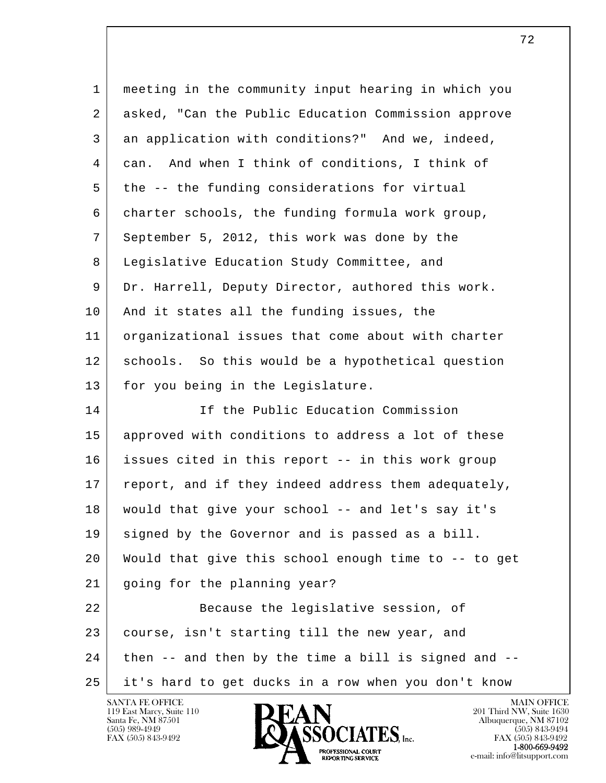| $\mathbf{1}$   | meeting in the community input hearing in which you  |
|----------------|------------------------------------------------------|
| $\overline{a}$ | asked, "Can the Public Education Commission approve  |
| 3              | an application with conditions?" And we, indeed,     |
| 4              | And when I think of conditions, I think of<br>can.   |
| 5              | the -- the funding considerations for virtual        |
| 6              | charter schools, the funding formula work group,     |
| 7              | September 5, 2012, this work was done by the         |
| 8              | Legislative Education Study Committee, and           |
| 9              | Dr. Harrell, Deputy Director, authored this work.    |
| 10             | And it states all the funding issues, the            |
| 11             | organizational issues that come about with charter   |
| 12             | schools. So this would be a hypothetical question    |
| 13             | for you being in the Legislature.                    |
| 14             | If the Public Education Commission                   |
| 15             | approved with conditions to address a lot of these   |
| 16             | issues cited in this report -- in this work group    |
| 17             | report, and if they indeed address them adequately,  |
| 18             | would that give your school -- and let's say it's    |
| 19             | signed by the Governor and is passed as a bill.      |
| 20             | Would that give this school enough time to -- to get |
| 21             | going for the planning year?                         |
| 22             | Because the legislative session, of                  |
| 23             | course, isn't starting till the new year, and        |
| 24             | then -- and then by the time a bill is signed and -- |
| 25             | it's hard to get ducks in a row when you don't know  |

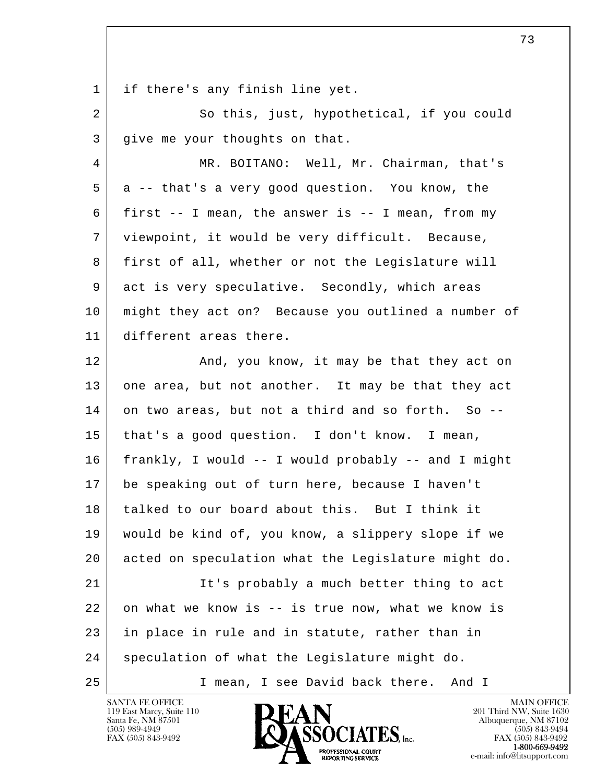1 if there's any finish line yet.

2 So this, just, hypothetical, if you could 3 give me your thoughts on that.

 4 MR. BOITANO: Well, Mr. Chairman, that's 5 a -- that's a very good question. You know, the 6 first  $-$  I mean, the answer is  $-$  I mean, from my 7 viewpoint, it would be very difficult. Because, 8 first of all, whether or not the Legislature will 9 act is very speculative. Secondly, which areas 10 might they act on? Because you outlined a number of 11 different areas there.

l  $\overline{\phantom{a}}$ 12 | And, you know, it may be that they act on 13 one area, but not another. It may be that they act 14 on two areas, but not a third and so forth. So -- 15 that's a good question. I don't know. I mean, 16 frankly, I would -- I would probably -- and I might 17 be speaking out of turn here, because I haven't 18 talked to our board about this. But I think it 19 would be kind of, you know, a slippery slope if we 20 acted on speculation what the Legislature might do. 21 It's probably a much better thing to act  $22$  on what we know is  $-$  is true now, what we know is 23 in place in rule and in statute, rather than in 24 speculation of what the Legislature might do. 25 I mean, I see David back there. And I

119 East Marcy, Suite 110<br>Santa Fe, NM 87501



FAX (505) 843-9492<br>1-800-669-9492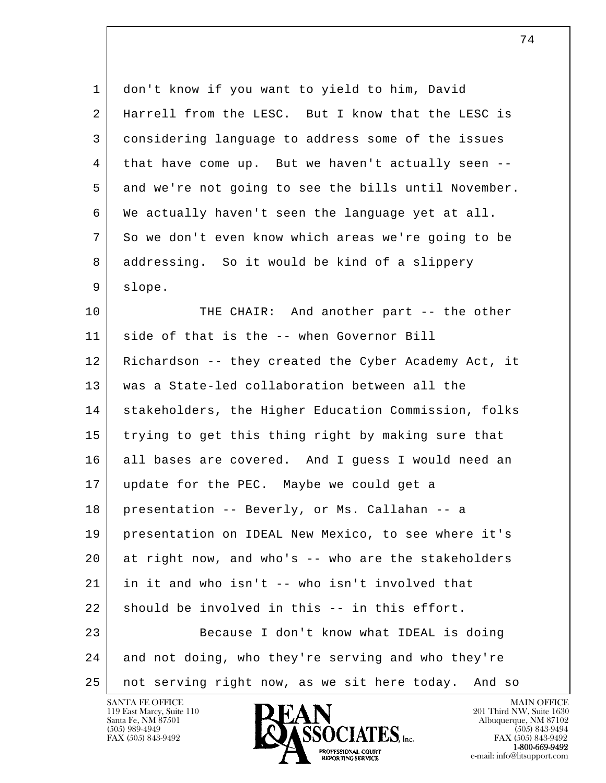1 don't know if you want to yield to him, David 2 Harrell from the LESC. But I know that the LESC is 3 considering language to address some of the issues 4 that have come up. But we haven't actually seen -- 5 and we're not going to see the bills until November. 6 We actually haven't seen the language yet at all. 7 So we don't even know which areas we're going to be 8 addressing. So it would be kind of a slippery 9 slope.

l  $\overline{\phantom{a}}$ 10 THE CHAIR: And another part -- the other 11 side of that is the -- when Governor Bill 12 Richardson -- they created the Cyber Academy Act, it 13 was a State-led collaboration between all the 14 | stakeholders, the Higher Education Commission, folks 15 trying to get this thing right by making sure that 16 all bases are covered. And I guess I would need an 17 update for the PEC. Maybe we could get a 18 presentation -- Beverly, or Ms. Callahan -- a 19 presentation on IDEAL New Mexico, to see where it's 20 at right now, and who's -- who are the stakeholders 21 in it and who isn't -- who isn't involved that  $22$  should be involved in this  $-$  in this effort. 23 Because I don't know what IDEAL is doing 24 and not doing, who they're serving and who they're 25 not serving right now, as we sit here today. And so

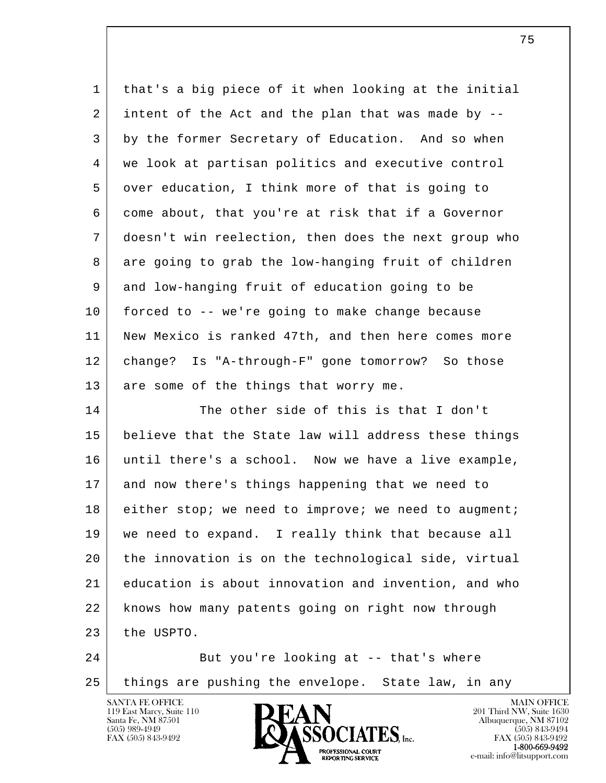| $\mathbf 1$ | that's a big piece of it when looking at the initial |
|-------------|------------------------------------------------------|
| 2           | intent of the Act and the plan that was made by --   |
| 3           | by the former Secretary of Education. And so when    |
| 4           | we look at partisan politics and executive control   |
| 5           | over education, I think more of that is going to     |
| 6           | come about, that you're at risk that if a Governor   |
| 7           | doesn't win reelection, then does the next group who |
| 8           | are going to grab the low-hanging fruit of children  |
| 9           | and low-hanging fruit of education going to be       |
| 10          | forced to -- we're going to make change because      |
| 11          | New Mexico is ranked 47th, and then here comes more  |
| 12          | change? Is "A-through-F" gone tomorrow? So those     |
| 13          | are some of the things that worry me.                |
| 14          | The other side of this is that I don't               |
| 15          | believe that the State law will address these things |
| 16          | until there's a school. Now we have a live example,  |
| 17          | and now there's things happening that we need to     |
| 18          | either stop; we need to improve; we need to augment; |
| 19          | we need to expand. I really think that because all   |
| 20          | the innovation is on the technological side, virtual |
| 21          | education is about innovation and invention, and who |
| 22          | knows how many patents going on right now through    |
| 23          | the USPTO.                                           |
| 24          | But you're looking at -- that's where                |
|             |                                                      |

25 things are pushing the envelope. State law, in any

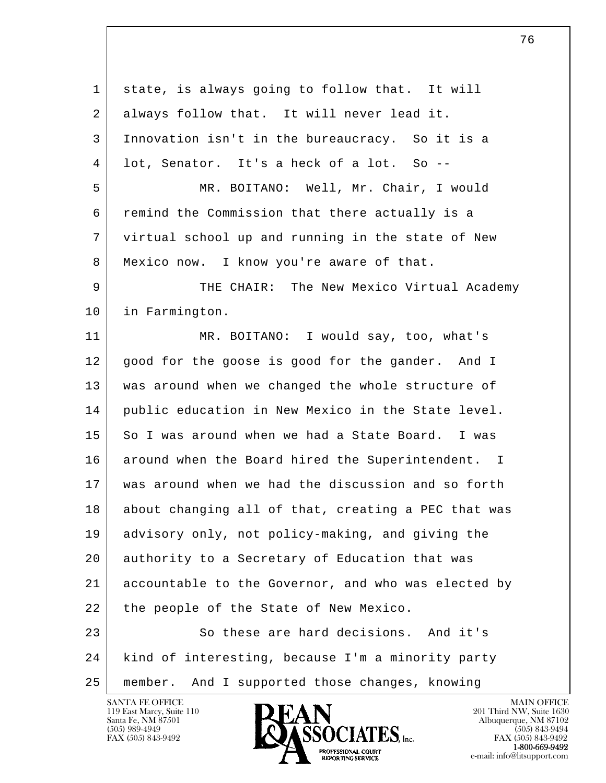l  $\overline{\phantom{a}}$  1 state, is always going to follow that. It will 2 always follow that. It will never lead it. 3 Innovation isn't in the bureaucracy. So it is a 4 lot, Senator. It's a heck of a lot. So -- 5 MR. BOITANO: Well, Mr. Chair, I would 6 remind the Commission that there actually is a 7 virtual school up and running in the state of New 8 Mexico now. I know you're aware of that. 9 THE CHAIR: The New Mexico Virtual Academy 10 in Farmington. 11 MR. BOITANO: I would say, too, what's 12 good for the goose is good for the gander. And I 13 was around when we changed the whole structure of 14 public education in New Mexico in the State level. 15 So I was around when we had a State Board. I was 16 around when the Board hired the Superintendent. I 17 was around when we had the discussion and so forth 18 about changing all of that, creating a PEC that was 19 advisory only, not policy-making, and giving the 20 authority to a Secretary of Education that was 21 accountable to the Governor, and who was elected by 22 the people of the State of New Mexico. 23 So these are hard decisions. And it's 24 kind of interesting, because I'm a minority party 25 member. And I supported those changes, knowing



FAX (505) 843-9492<br>1-800-669-9492 e-mail: info@litsupport.com<br>REPORTING SERVICE e-mail: info@litsupport.com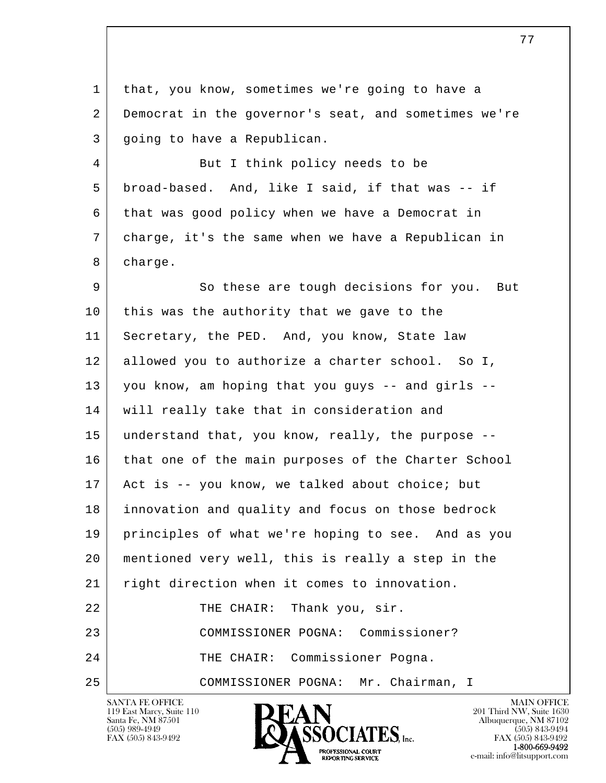1 that, you know, sometimes we're going to have a 2 Democrat in the governor's seat, and sometimes we're 3 going to have a Republican.

4 But I think policy needs to be 5 broad-based. And, like I said, if that was -- if 6 that was good policy when we have a Democrat in 7 charge, it's the same when we have a Republican in 8 charge.

l  $\overline{\phantom{a}}$ 9 So these are tough decisions for you. But 10 this was the authority that we gave to the 11 Secretary, the PED. And, you know, State law 12 allowed you to authorize a charter school. So I, 13 you know, am hoping that you guys -- and girls -- 14 will really take that in consideration and 15 understand that, you know, really, the purpose -- 16 that one of the main purposes of the Charter School 17 Act is -- you know, we talked about choice; but 18 innovation and quality and focus on those bedrock 19 principles of what we're hoping to see. And as you 20 mentioned very well, this is really a step in the 21 right direction when it comes to innovation. 22 | THE CHAIR: Thank you, sir. 23 COMMISSIONER POGNA: Commissioner? 24 THE CHAIR: Commissioner Pogna. 25 COMMISSIONER POGNA: Mr. Chairman, I

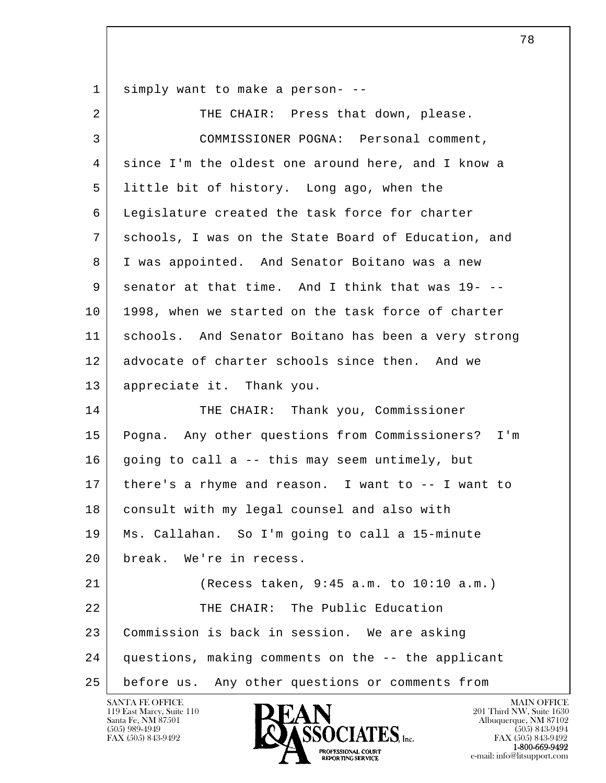1 simply want to make a person- --

| $\overline{a}$ | THE CHAIR: Press that down, please.                   |
|----------------|-------------------------------------------------------|
| 3              | COMMISSIONER POGNA: Personal comment,                 |
| 4              | since I'm the oldest one around here, and I know a    |
| 5              | little bit of history. Long ago, when the             |
| 6              | Legislature created the task force for charter        |
| 7              | schools, I was on the State Board of Education, and   |
| 8              | I was appointed. And Senator Boitano was a new        |
| 9              | senator at that time. And I think that was 19- --     |
| 10             | 1998, when we started on the task force of charter    |
| 11             | schools. And Senator Boitano has been a very strong   |
| 12             | advocate of charter schools since then. And we        |
| 13             | appreciate it. Thank you.                             |
| 14             | THE CHAIR: Thank you, Commissioner                    |
| 15             | Pogna. Any other questions from Commissioners?<br>I'm |
| 16             | going to call a -- this may seem untimely, but        |
| 17             | there's a rhyme and reason. I want to -- I want to    |
| 18             | consult with my legal counsel and also with           |
| 19             | Ms. Callahan. So I'm going to call a 15-minute        |
| 20             | break. We're in recess.                               |
| 21             | (Recess taken, 9:45 a.m. to 10:10 a.m.)               |
| 22             | THE CHAIR: The Public Education                       |
| 23             | Commission is back in session. We are asking          |
| 24             | questions, making comments on the -- the applicant    |
| 25             | before us. Any other questions or comments from       |

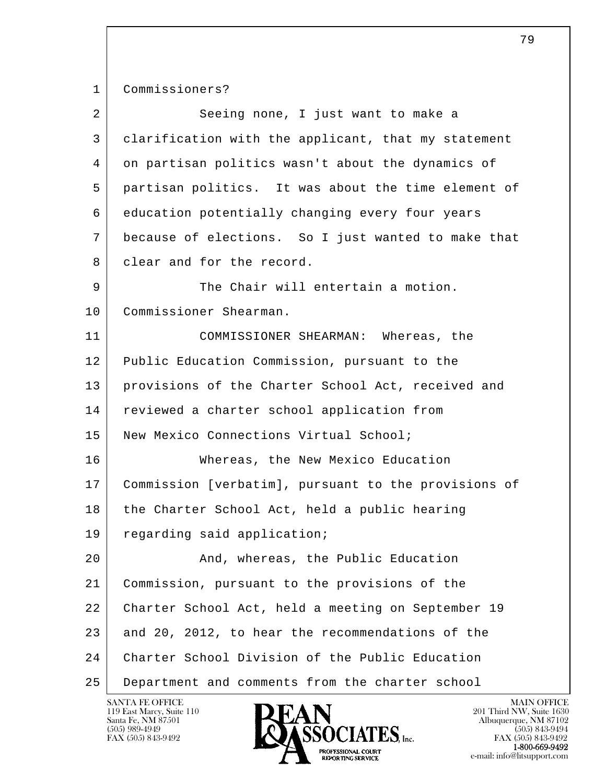l  $\overline{\phantom{a}}$  1 Commissioners? 2 Seeing none, I just want to make a 3 clarification with the applicant, that my statement 4 on partisan politics wasn't about the dynamics of 5 partisan politics. It was about the time element of 6 education potentially changing every four years 7 because of elections. So I just wanted to make that 8 clear and for the record. 9 The Chair will entertain a motion. 10 Commissioner Shearman. 11 COMMISSIONER SHEARMAN: Whereas, the 12 Public Education Commission, pursuant to the 13 | provisions of the Charter School Act, received and 14 | reviewed a charter school application from 15 | New Mexico Connections Virtual School; 16 Whereas, the New Mexico Education 17 Commission [verbatim], pursuant to the provisions of 18 the Charter School Act, held a public hearing 19 regarding said application; 20 | Rand, whereas, the Public Education 21 Commission, pursuant to the provisions of the 22 Charter School Act, held a meeting on September 19 23 and 20, 2012, to hear the recommendations of the 24 Charter School Division of the Public Education 25 Department and comments from the charter school

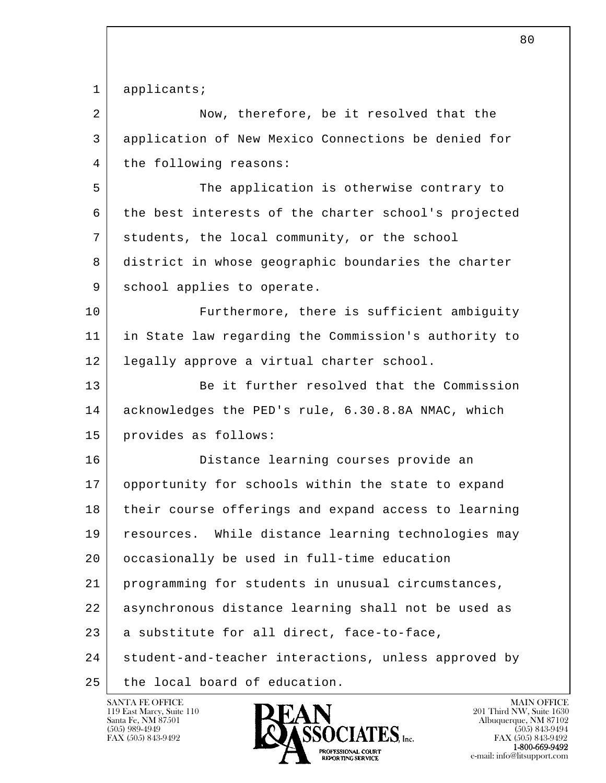l  $\overline{\phantom{a}}$ 1 applicants; 2 Now, therefore, be it resolved that the 3 application of New Mexico Connections be denied for 4 | the following reasons: 5 The application is otherwise contrary to 6 the best interests of the charter school's projected 7 students, the local community, or the school 8 district in whose geographic boundaries the charter 9 school applies to operate. 10 Furthermore, there is sufficient ambiguity 11 in State law regarding the Commission's authority to 12 legally approve a virtual charter school. 13 Be it further resolved that the Commission 14 acknowledges the PED's rule, 6.30.8.8A NMAC, which 15 provides as follows: 16 Distance learning courses provide an 17 opportunity for schools within the state to expand 18 their course offerings and expand access to learning 19 resources. While distance learning technologies may 20 | occasionally be used in full-time education 21 programming for students in unusual circumstances, 22 asynchronous distance learning shall not be used as 23 a substitute for all direct, face-to-face, 24 student-and-teacher interactions, unless approved by 25 | the local board of education.

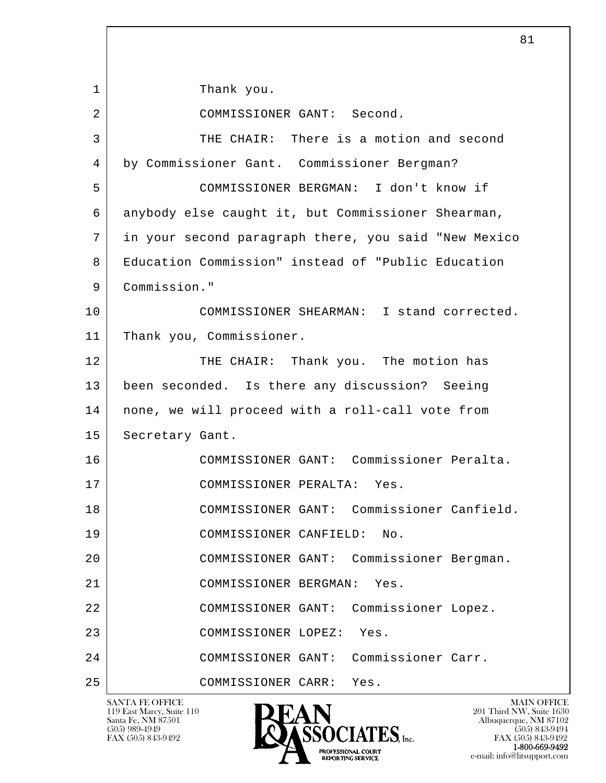l  $\overline{\phantom{a}}$ 1 | Thank you. 2 COMMISSIONER GANT: Second. 3 THE CHAIR: There is a motion and second 4 by Commissioner Gant. Commissioner Bergman? 5 COMMISSIONER BERGMAN: I don't know if 6 anybody else caught it, but Commissioner Shearman, 7 in your second paragraph there, you said "New Mexico 8 Education Commission" instead of "Public Education 9 Commission." 10 COMMISSIONER SHEARMAN: I stand corrected. 11 Thank you, Commissioner. 12 THE CHAIR: Thank you. The motion has 13 been seconded. Is there any discussion? Seeing 14 none, we will proceed with a roll-call vote from 15 Secretary Gant. 16 COMMISSIONER GANT: Commissioner Peralta. 17 COMMISSIONER PERALTA: Yes. 18 COMMISSIONER GANT: Commissioner Canfield. 19 COMMISSIONER CANFIELD: No. 20 COMMISSIONER GANT: Commissioner Bergman. 21 COMMISSIONER BERGMAN: Yes. 22 COMMISSIONER GANT: Commissioner Lopez. 23 COMMISSIONER LOPEZ: Yes. 24 COMMISSIONER GANT: Commissioner Carr. 25 COMMISSIONER CARR: Yes.

119 East Marcy, Suite 110<br>Santa Fe, NM 87501



FAX (505) 843-9492 FAX (505) 843-9492 1-800-669-9492 e-mail: info@litsupport.com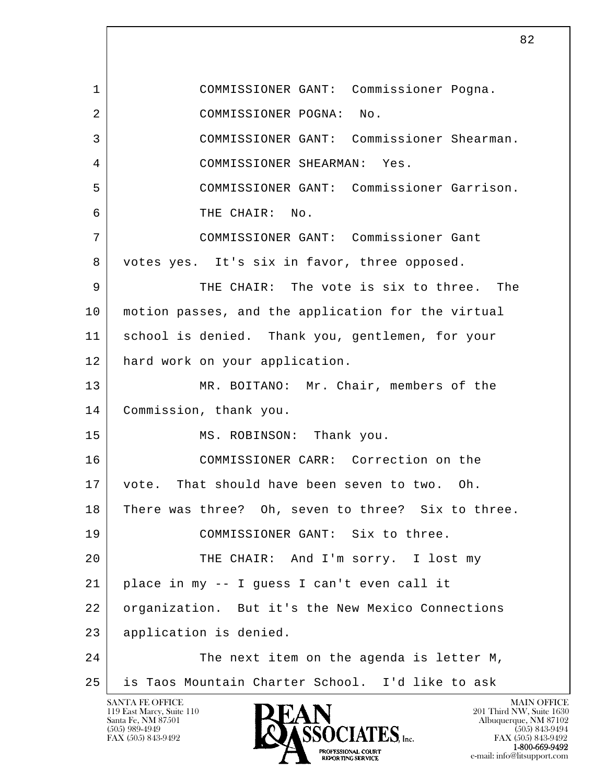l  $\overline{\phantom{a}}$ SANTA FE OFFICE MAIN OFFICE MAIN OFFICE MAIN OFFICE MAIN OFFICE 1 COMMISSIONER GANT: Commissioner Pogna. 2 COMMISSIONER POGNA: No. 3 COMMISSIONER GANT: Commissioner Shearman. 4 COMMISSIONER SHEARMAN: Yes. 5 COMMISSIONER GANT: Commissioner Garrison. 6 THE CHAIR: No. 7 COMMISSIONER GANT: Commissioner Gant 8 votes yes. It's six in favor, three opposed. 9 THE CHAIR: The vote is six to three. The 10 motion passes, and the application for the virtual 11 school is denied. Thank you, gentlemen, for your 12 | hard work on your application. 13 MR. BOITANO: Mr. Chair, members of the 14 Commission, thank you. 15 MS. ROBINSON: Thank you. 16 COMMISSIONER CARR: Correction on the 17 vote. That should have been seven to two. Oh. 18 There was three? Oh, seven to three? Six to three. 19 COMMISSIONER GANT: Six to three. 20 THE CHAIR: And I'm sorry. I lost my  $21$  place in my  $-$  I quess I can't even call it 22 organization. But it's the New Mexico Connections 23 application is denied. 24 The next item on the agenda is letter M, 25 is Taos Mountain Charter School. I'd like to ask

119 East Marcy, Suite 110<br>Santa Fe, NM 87501

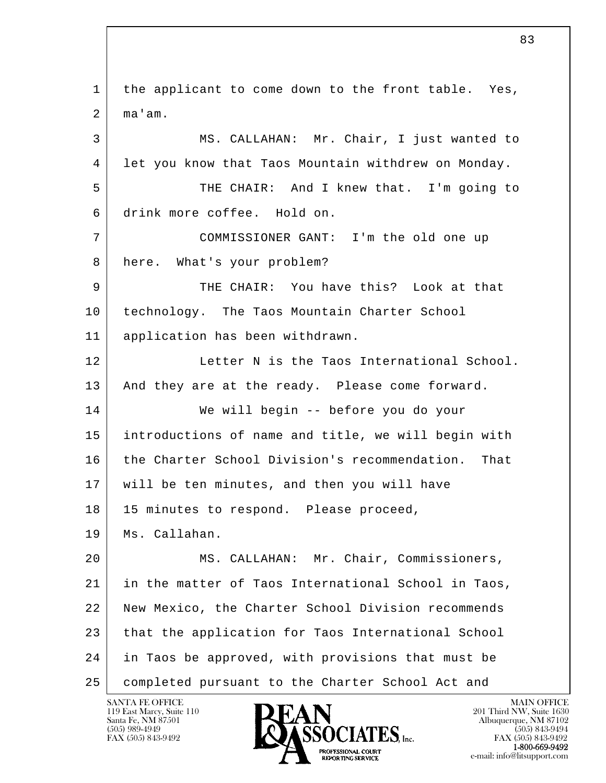l  $\overline{\phantom{a}}$  1 the applicant to come down to the front table. Yes,  $2 \mid$  ma'am. 3 MS. CALLAHAN: Mr. Chair, I just wanted to 4 let you know that Taos Mountain withdrew on Monday. 5 THE CHAIR: And I knew that. I'm going to 6 drink more coffee. Hold on. 7 COMMISSIONER GANT: I'm the old one up 8 here. What's your problem? 9 THE CHAIR: You have this? Look at that 10 technology. The Taos Mountain Charter School 11 application has been withdrawn. 12 Letter N is the Taos International School. 13 | And they are at the ready. Please come forward. 14 We will begin -- before you do your 15 introductions of name and title, we will begin with 16 the Charter School Division's recommendation. That 17 will be ten minutes, and then you will have 18 | 15 minutes to respond. Please proceed, 19 Ms. Callahan. 20 MS. CALLAHAN: Mr. Chair, Commissioners, 21 in the matter of Taos International School in Taos, 22 New Mexico, the Charter School Division recommends 23 that the application for Taos International School 24 in Taos be approved, with provisions that must be 25 completed pursuant to the Charter School Act and

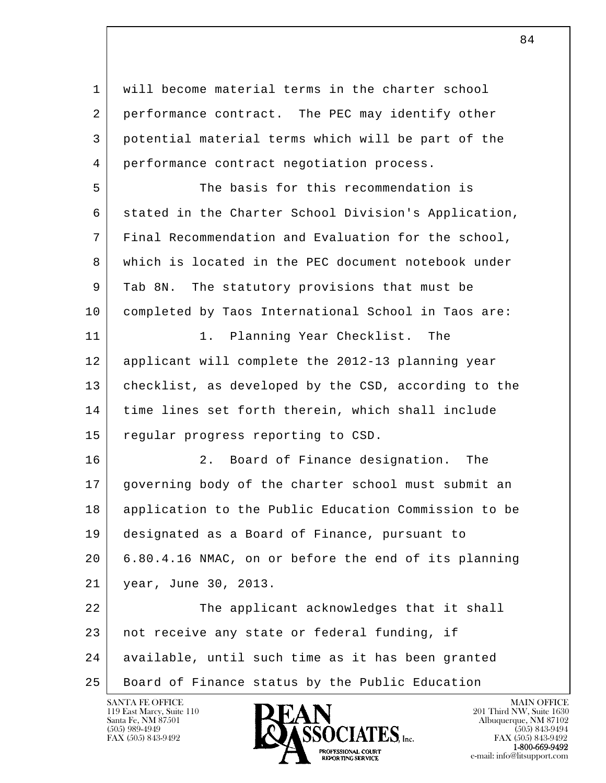l  $\overline{\phantom{a}}$  1 will become material terms in the charter school 2 performance contract. The PEC may identify other 3 potential material terms which will be part of the 4 performance contract negotiation process. 5 The basis for this recommendation is 6 stated in the Charter School Division's Application, 7 Final Recommendation and Evaluation for the school, 8 which is located in the PEC document notebook under 9 Tab 8N. The statutory provisions that must be 10 completed by Taos International School in Taos are: 11 1. Planning Year Checklist. The 12 applicant will complete the 2012-13 planning year 13 checklist, as developed by the CSD, according to the 14 time lines set forth therein, which shall include 15 regular progress reporting to CSD. 16 2. Board of Finance designation. The 17 governing body of the charter school must submit an 18 application to the Public Education Commission to be 19 designated as a Board of Finance, pursuant to 20 6.80.4.16 NMAC, on or before the end of its planning 21 year, June 30, 2013. 22 The applicant acknowledges that it shall 23 not receive any state or federal funding, if 24 available, until such time as it has been granted 25 Board of Finance status by the Public Education

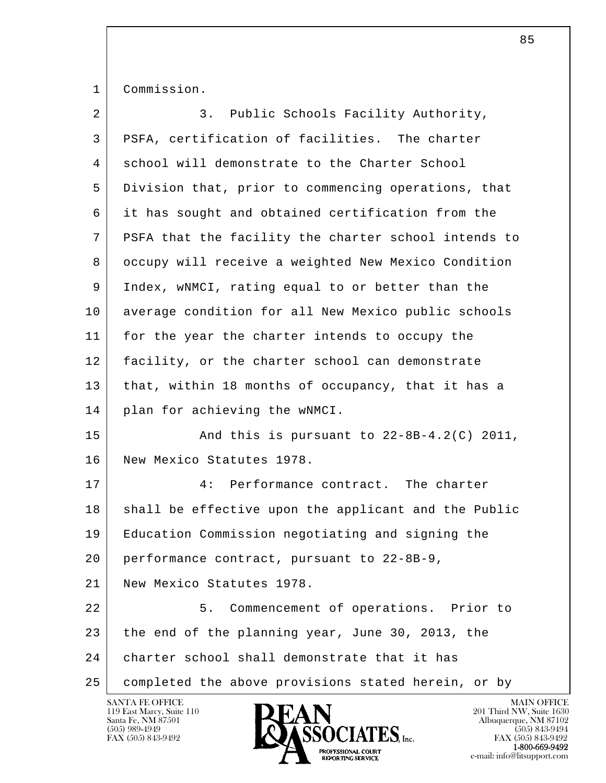1 Commission.

| $\overline{a}$ | Public Schools Facility Authority,<br>3.             |
|----------------|------------------------------------------------------|
| 3              | PSFA, certification of facilities. The charter       |
| 4              | school will demonstrate to the Charter School        |
| 5              | Division that, prior to commencing operations, that  |
| 6              | it has sought and obtained certification from the    |
| 7              | PSFA that the facility the charter school intends to |
| 8              | occupy will receive a weighted New Mexico Condition  |
| 9              | Index, wNMCI, rating equal to or better than the     |
| 10             | average condition for all New Mexico public schools  |
| 11             | for the year the charter intends to occupy the       |
| 12             | facility, or the charter school can demonstrate      |
| 13             | that, within 18 months of occupancy, that it has a   |
| 14             | plan for achieving the wNMCI.                        |
| 15             | And this is pursuant to $22-8B-4.2(C)$ 2011,         |
| 16             | New Mexico Statutes 1978.                            |
| 17             | Performance contract. The charter<br>4 :             |
| 18             | shall be effective upon the applicant and the Public |
| 19             | Education Commission negotiating and signing the     |
| 20             | performance contract, pursuant to 22-8B-9,           |
| 21             | New Mexico Statutes 1978.                            |
| 22             | 5.<br>Commencement of operations. Prior to           |
| 23             | the end of the planning year, June 30, 2013, the     |
| 24             | charter school shall demonstrate that it has         |
| 25             | completed the above provisions stated herein, or by  |

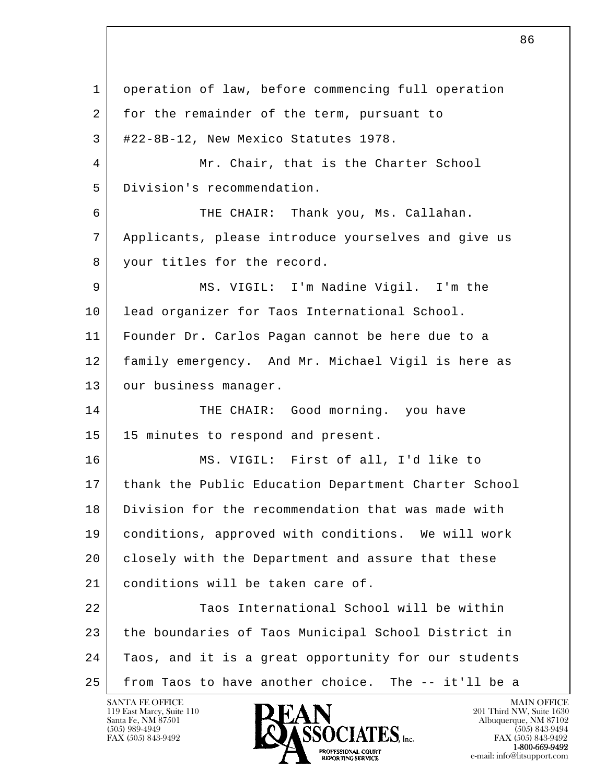l  $\overline{\phantom{a}}$  1 operation of law, before commencing full operation 2 for the remainder of the term, pursuant to  $3$  #22-8B-12, New Mexico Statutes 1978. 4 Mr. Chair, that is the Charter School 5 Division's recommendation. 6 THE CHAIR: Thank you, Ms. Callahan. 7 Applicants, please introduce yourselves and give us 8 your titles for the record. 9 | MS. VIGIL: I'm Nadine Vigil. I'm the 10 lead organizer for Taos International School. 11 Founder Dr. Carlos Pagan cannot be here due to a 12 family emergency. And Mr. Michael Vigil is here as 13 | our business manager. 14 THE CHAIR: Good morning. you have 15 15 minutes to respond and present. 16 MS. VIGIL: First of all, I'd like to 17 thank the Public Education Department Charter School 18 Division for the recommendation that was made with 19 conditions, approved with conditions. We will work 20 closely with the Department and assure that these 21 conditions will be taken care of. 22 Taos International School will be within 23 the boundaries of Taos Municipal School District in 24 Taos, and it is a great opportunity for our students 25 from Taos to have another choice. The -- it'll be a

119 East Marcy, Suite 110<br>Santa Fe, NM 87501

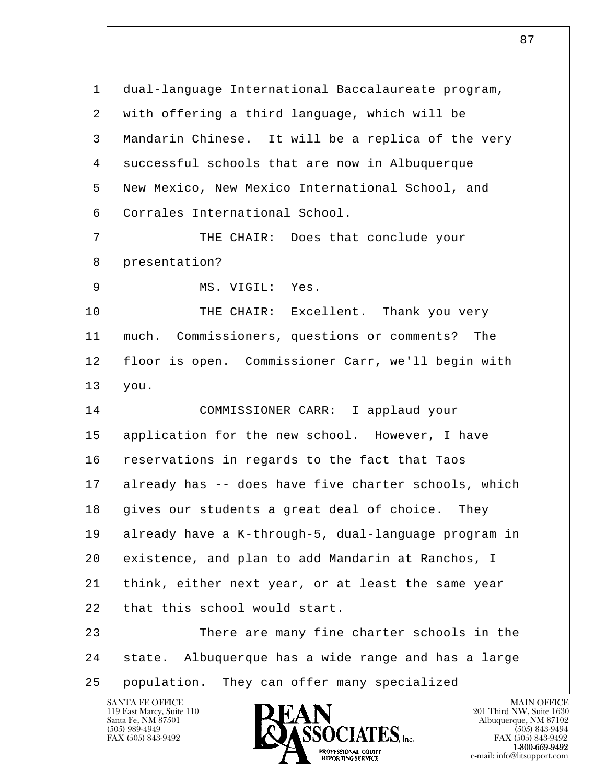l  $\overline{\phantom{a}}$  1 dual-language International Baccalaureate program, 2 with offering a third language, which will be 3 Mandarin Chinese. It will be a replica of the very 4 successful schools that are now in Albuquerque 5 New Mexico, New Mexico International School, and 6 Corrales International School. 7 THE CHAIR: Does that conclude your 8 presentation? 9 MS. VIGIL: Yes. 10 THE CHAIR: Excellent. Thank you very 11 much. Commissioners, questions or comments? The 12 floor is open. Commissioner Carr, we'll begin with 13 you. 14 COMMISSIONER CARR: I applaud your 15 application for the new school. However, I have 16 reservations in regards to the fact that Taos 17 already has -- does have five charter schools, which 18 gives our students a great deal of choice. They 19 already have a K-through-5, dual-language program in 20 existence, and plan to add Mandarin at Ranchos, I 21 | think, either next year, or at least the same year 22 that this school would start. 23 There are many fine charter schools in the 24 state. Albuquerque has a wide range and has a large 25 population. They can offer many specialized

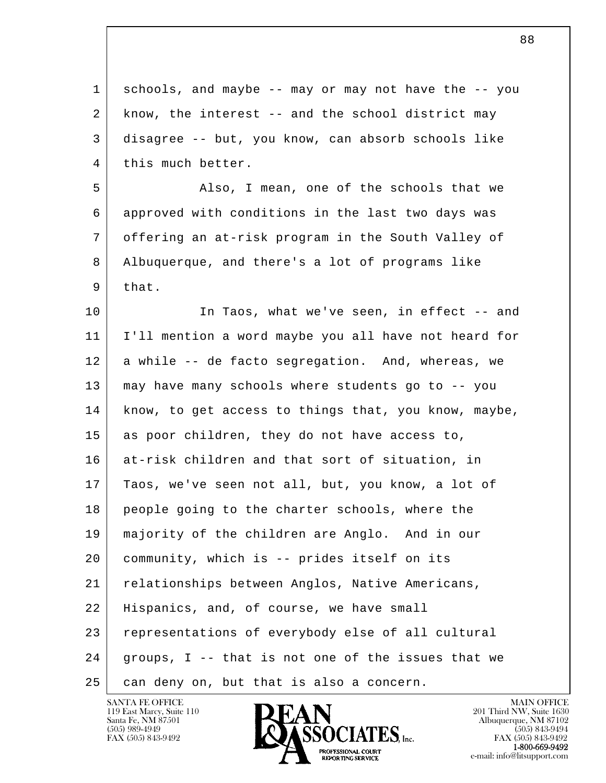l  $\overline{\phantom{a}}$  1 schools, and maybe -- may or may not have the -- you 2 know, the interest -- and the school district may 3 disagree -- but, you know, can absorb schools like 4 this much better. 5 Also, I mean, one of the schools that we 6 approved with conditions in the last two days was 7 offering an at-risk program in the South Valley of 8 Albuquerque, and there's a lot of programs like  $9$  that. 10 In Taos, what we've seen, in effect -- and 11 I'll mention a word maybe you all have not heard for 12 a while -- de facto segregation. And, whereas, we 13 may have many schools where students go to -- you 14 know, to get access to things that, you know, maybe, 15 as poor children, they do not have access to, 16 at-risk children and that sort of situation, in 17 Taos, we've seen not all, but, you know, a lot of 18 people going to the charter schools, where the 19 majority of the children are Anglo. And in our 20 community, which is -- prides itself on its 21 relationships between Anglos, Native Americans, 22 | Hispanics, and, of course, we have small 23 representations of everybody else of all cultural  $24$  groups, I -- that is not one of the issues that we 25 can deny on, but that is also a concern.



FAX (505) 843-9492<br>**1-800-669-9492**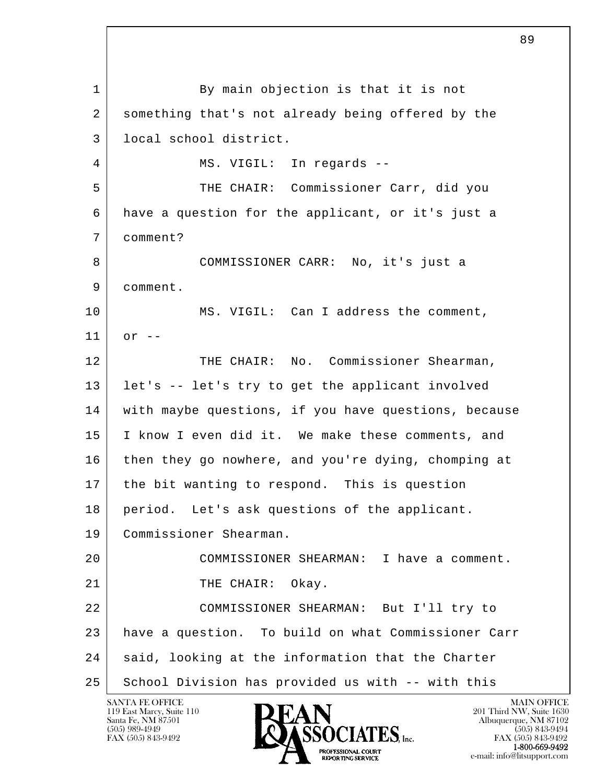l  $\overline{\phantom{a}}$ 1 By main objection is that it is not 2 something that's not already being offered by the 3 local school district. 4 | MS. VIGIL: In regards -- 5 THE CHAIR: Commissioner Carr, did you 6 have a question for the applicant, or it's just a 7 comment? 8 COMMISSIONER CARR: No, it's just a 9 comment. 10 MS. VIGIL: Can I address the comment, 11 or -- 12 THE CHAIR: No. Commissioner Shearman, 13 let's -- let's try to get the applicant involved 14 with maybe questions, if you have questions, because 15 I know I even did it. We make these comments, and 16 then they go nowhere, and you're dying, chomping at 17 the bit wanting to respond. This is question 18 period. Let's ask questions of the applicant. 19 Commissioner Shearman. 20 COMMISSIONER SHEARMAN: I have a comment. 21 THE CHAIR: Okay. 22 COMMISSIONER SHEARMAN: But I'll try to 23 have a question. To build on what Commissioner Carr 24 said, looking at the information that the Charter 25 School Division has provided us with -- with this

119 East Marcy, Suite 110<br>Santa Fe, NM 87501

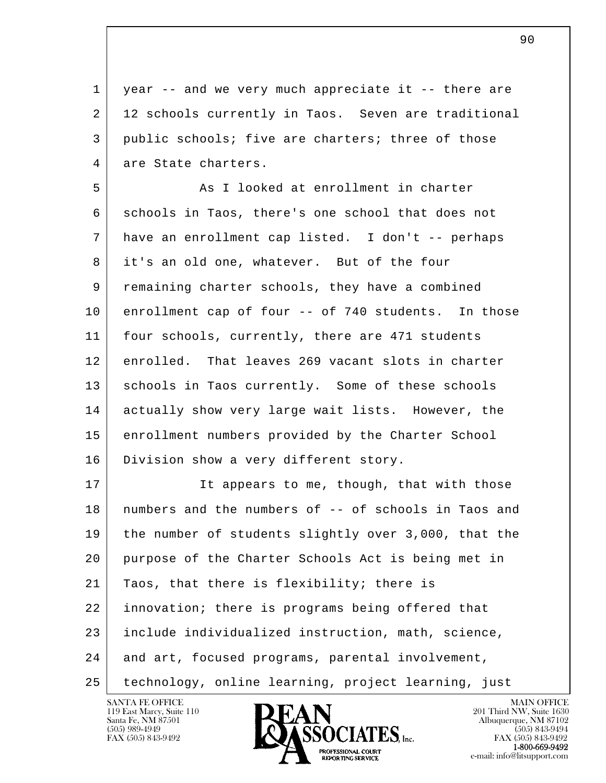1 year -- and we very much appreciate it -- there are 2 | 12 schools currently in Taos. Seven are traditional 3 public schools; five are charters; three of those 4 are State charters.

5 As I looked at enrollment in charter 6 schools in Taos, there's one school that does not 7 have an enrollment cap listed. I don't -- perhaps 8 it's an old one, whatever. But of the four 9 remaining charter schools, they have a combined 10 enrollment cap of four -- of 740 students. In those 11 | four schools, currently, there are 471 students 12 enrolled. That leaves 269 vacant slots in charter 13 | schools in Taos currently. Some of these schools 14 actually show very large wait lists. However, the 15 enrollment numbers provided by the Charter School 16 | Division show a very different story.

l  $\overline{\phantom{a}}$ 17 It appears to me, though, that with those 18 numbers and the numbers of -- of schools in Taos and 19 the number of students slightly over 3,000, that the 20 purpose of the Charter Schools Act is being met in 21 Taos, that there is flexibility; there is 22 innovation; there is programs being offered that 23 include individualized instruction, math, science, 24 and art, focused programs, parental involvement, 25 technology, online learning, project learning, just

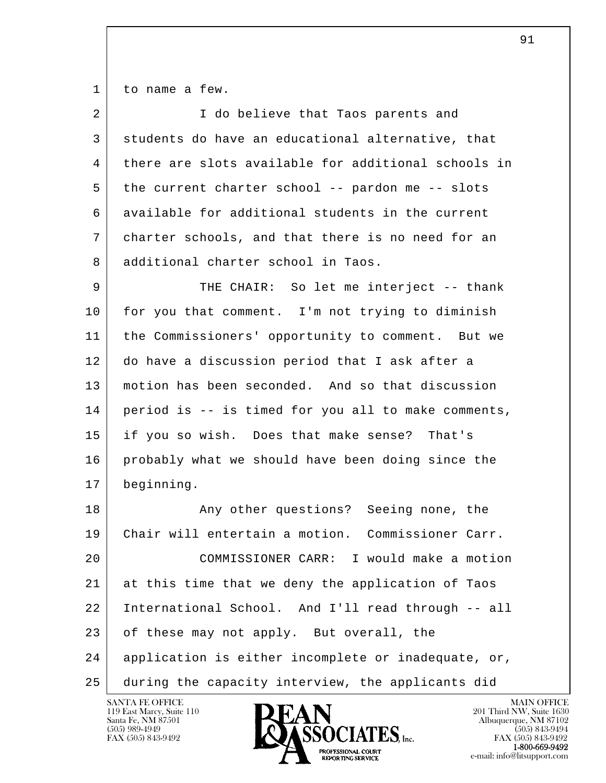1 to name a few.

| $\overline{2}$ | I do believe that Taos parents and                  |
|----------------|-----------------------------------------------------|
| 3              | students do have an educational alternative, that   |
| 4              | there are slots available for additional schools in |
| 5              | the current charter school -- pardon me -- slots    |
| 6              | available for additional students in the current    |
| 7              | charter schools, and that there is no need for an   |
| 8              | additional charter school in Taos.                  |
| 9              | THE CHAIR: So let me interject -- thank             |
| 10             | for you that comment. I'm not trying to diminish    |
| 11             | the Commissioners' opportunity to comment. But we   |
| 12             | do have a discussion period that I ask after a      |
| 13             | motion has been seconded. And so that discussion    |
| 14             | period is -- is timed for you all to make comments, |
| 15             | if you so wish. Does that make sense? That's        |
| 16             | probably what we should have been doing since the   |
| 17             | beginning.                                          |
| 18             | Any other questions? Seeing none, the               |
| 19             | Chair will entertain a motion. Commissioner Carr.   |
| 20             | COMMISSIONER CARR: I would make a motion            |
| 21             | at this time that we deny the application of Taos   |
| 22             | International School. And I'll read through -- all  |
| 23             | of these may not apply. But overall, the            |
| 24             | application is either incomplete or inadequate, or, |
| 25             | during the capacity interview, the applicants did   |

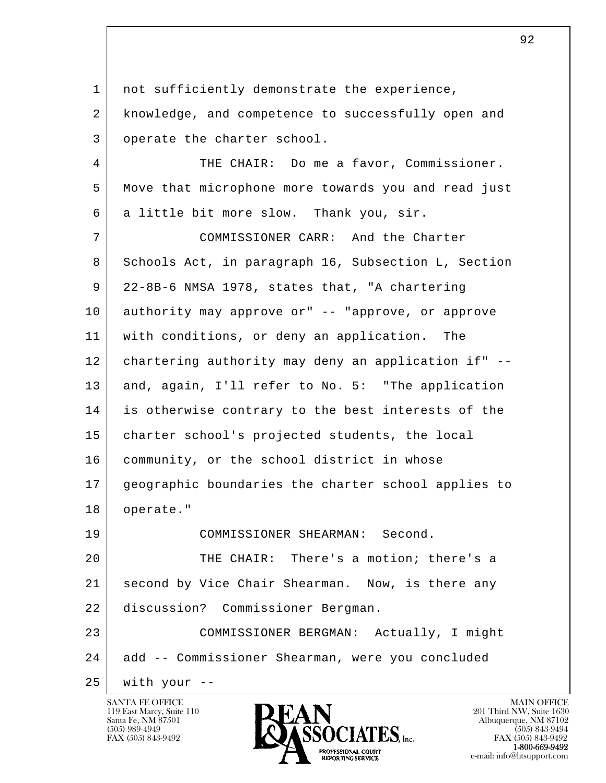l  $\overline{\phantom{a}}$ 1 | not sufficiently demonstrate the experience, 2 | knowledge, and competence to successfully open and 3 operate the charter school. 4 THE CHAIR: Do me a favor, Commissioner. 5 Move that microphone more towards you and read just 6 a little bit more slow. Thank you, sir. 7 COMMISSIONER CARR: And the Charter 8 Schools Act, in paragraph 16, Subsection L, Section 9 22-8B-6 NMSA 1978, states that, "A chartering 10 authority may approve or" -- "approve, or approve 11 with conditions, or deny an application. The 12 chartering authority may deny an application if" --13 and, again, I'll refer to No. 5: "The application 14 is otherwise contrary to the best interests of the 15 charter school's projected students, the local 16 | community, or the school district in whose 17 geographic boundaries the charter school applies to 18 | operate." 19 COMMISSIONER SHEARMAN: Second. 20 THE CHAIR: There's a motion; there's a 21 second by Vice Chair Shearman. Now, is there any 22 discussion? Commissioner Bergman. 23 COMMISSIONER BERGMAN: Actually, I might 24 add -- Commissioner Shearman, were you concluded  $25$  with your  $-$ 

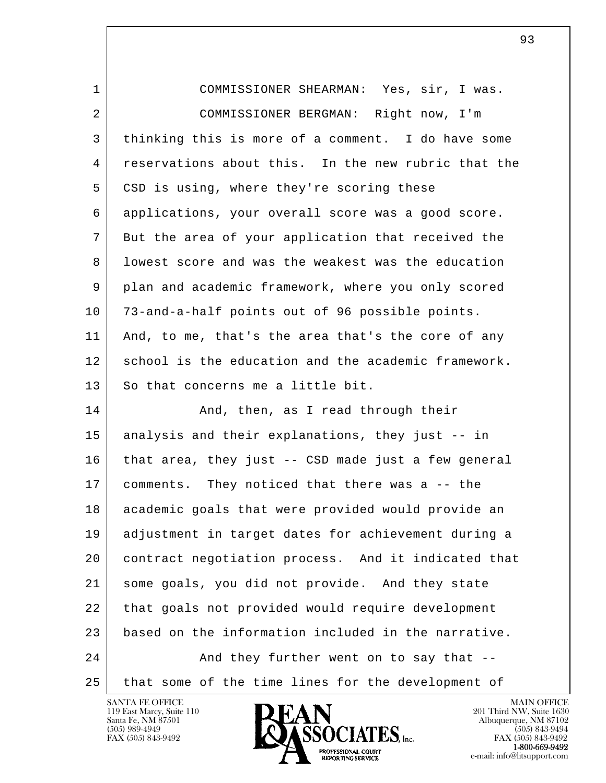| 1  | COMMISSIONER SHEARMAN: Yes, sir, I was.             |
|----|-----------------------------------------------------|
| 2  | COMMISSIONER BERGMAN: Right now, I'm                |
| 3  | thinking this is more of a comment. I do have some  |
| 4  | reservations about this. In the new rubric that the |
| 5  | CSD is using, where they're scoring these           |
| 6  | applications, your overall score was a good score.  |
| 7  | But the area of your application that received the  |
| 8  | lowest score and was the weakest was the education  |
| 9  | plan and academic framework, where you only scored  |
| 10 | 73-and-a-half points out of 96 possible points.     |
| 11 | And, to me, that's the area that's the core of any  |
| 12 | school is the education and the academic framework. |
| 13 | So that concerns me a little bit.                   |
| 14 | And, then, as I read through their                  |
| 15 | analysis and their explanations, they just -- in    |
| 16 | that area, they just -- CSD made just a few general |
| 17 | comments. They noticed that there was a -- the      |
| 18 | academic goals that were provided would provide an  |
| 19 | adjustment in target dates for achievement during a |
| 20 | contract negotiation process. And it indicated that |
| 21 | some goals, you did not provide. And they state     |
| 22 | that goals not provided would require development   |
| 23 | based on the information included in the narrative. |
| 24 | And they further went on to say that --             |
| 25 | that some of the time lines for the development of  |

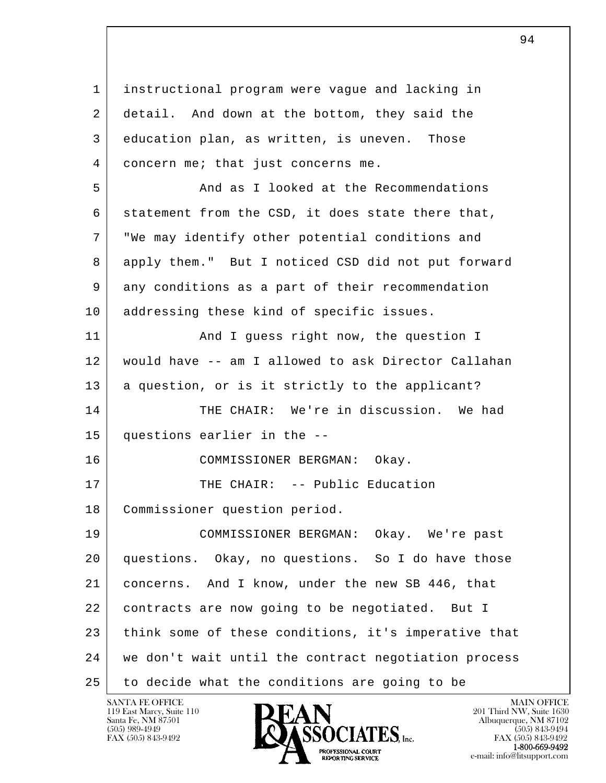l  $\overline{\phantom{a}}$  1 instructional program were vague and lacking in 2 detail. And down at the bottom, they said the 3 education plan, as written, is uneven. Those 4 concern me; that just concerns me. 5 And as I looked at the Recommendations 6 statement from the CSD, it does state there that, 7 "We may identify other potential conditions and 8 apply them." But I noticed CSD did not put forward 9 any conditions as a part of their recommendation 10 | addressing these kind of specific issues. 11 | And I guess right now, the question I 12 would have -- am I allowed to ask Director Callahan 13 a question, or is it strictly to the applicant? 14 THE CHAIR: We're in discussion. We had 15 questions earlier in the -- 16 COMMISSIONER BERGMAN: Okay. 17 | THE CHAIR: -- Public Education 18 Commissioner question period. 19 COMMISSIONER BERGMAN: Okay. We're past 20 questions. Okay, no questions. So I do have those 21 | concerns. And I know, under the new SB 446, that 22 contracts are now going to be negotiated. But I 23 think some of these conditions, it's imperative that 24 we don't wait until the contract negotiation process 25 to decide what the conditions are going to be

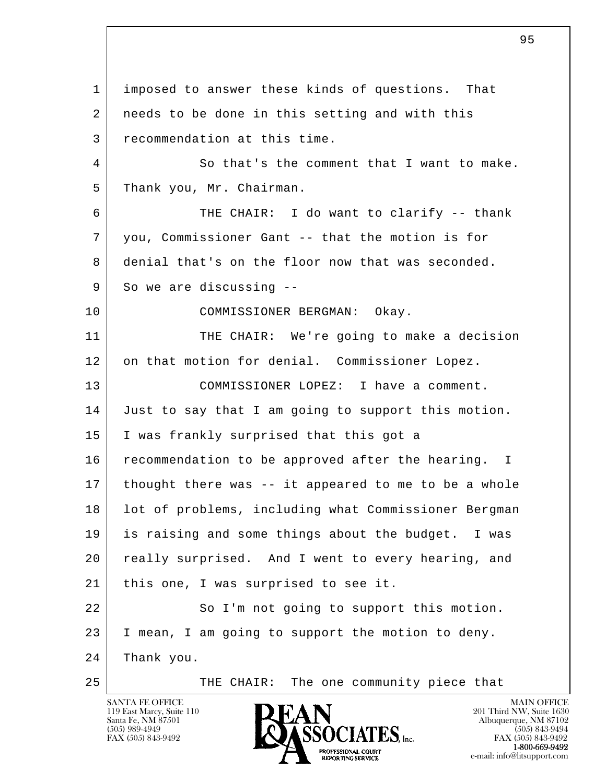l  $\overline{\phantom{a}}$  1 imposed to answer these kinds of questions. That 2 | needs to be done in this setting and with this 3 recommendation at this time. 4 So that's the comment that I want to make. 5 Thank you, Mr. Chairman. 6 THE CHAIR: I do want to clarify -- thank 7 you, Commissioner Gant -- that the motion is for 8 denial that's on the floor now that was seconded. 9 So we are discussing -- 10 COMMISSIONER BERGMAN: Okay. 11 THE CHAIR: We're going to make a decision 12 on that motion for denial. Commissioner Lopez. 13 COMMISSIONER LOPEZ: I have a comment. 14 Just to say that I am going to support this motion. 15 I was frankly surprised that this got a 16 | recommendation to be approved after the hearing. I 17 thought there was -- it appeared to me to be a whole 18 | lot of problems, including what Commissioner Bergman 19 is raising and some things about the budget. I was 20 really surprised. And I went to every hearing, and 21 | this one, I was surprised to see it. 22 So I'm not going to support this motion. 23 I mean, I am going to support the motion to deny. 24 Thank you. 25 | THE CHAIR: The one community piece that

<u>and the set of the set of the set of the set of the set of the set of the set of the set of the set of the set of the set of the set of the set of the set of the set of the set of the set of the set of the set of the set </u>

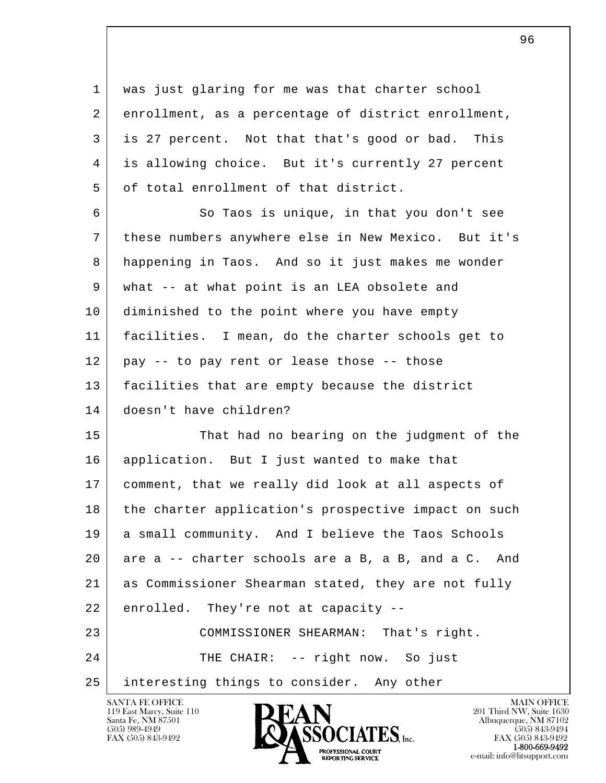1 was just glaring for me was that charter school 2 enrollment, as a percentage of district enrollment, 3 is 27 percent. Not that that's good or bad. This 4 is allowing choice. But it's currently 27 percent 5 of total enrollment of that district.

 6 So Taos is unique, in that you don't see 7 these numbers anywhere else in New Mexico. But it's 8 happening in Taos. And so it just makes me wonder 9 | what -- at what point is an LEA obsolete and 10 diminished to the point where you have empty 11 facilities. I mean, do the charter schools get to  $12$  pay  $-$  to pay rent or lease those  $-$  those 13 facilities that are empty because the district 14 doesn't have children?

l  $\overline{\phantom{a}}$  15 That had no bearing on the judgment of the 16 application. But I just wanted to make that 17 comment, that we really did look at all aspects of 18 the charter application's prospective impact on such 19 a small community. And I believe the Taos Schools 20 are a -- charter schools are a B, a B, and a C. And 21 as Commissioner Shearman stated, they are not fully 22 enrolled. They're not at capacity -- 23 COMMISSIONER SHEARMAN: That's right. 24 THE CHAIR: -- right now. So just 25 interesting things to consider. Any other

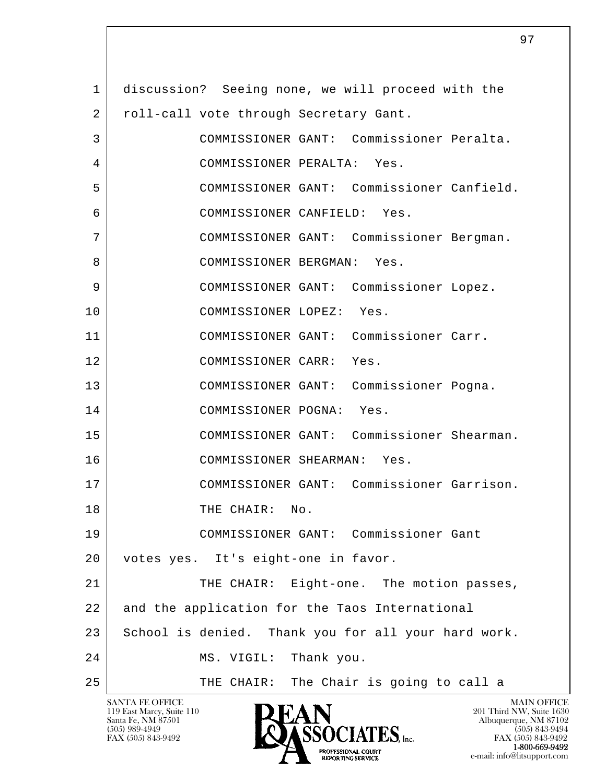l  $\overline{\phantom{a}}$  1 discussion? Seeing none, we will proceed with the 2 | roll-call vote through Secretary Gant. 3 COMMISSIONER GANT: Commissioner Peralta. 4 COMMISSIONER PERALTA: Yes. 5 COMMISSIONER GANT: Commissioner Canfield. 6 COMMISSIONER CANFIELD: Yes. 7 COMMISSIONER GANT: Commissioner Bergman. 8 | COMMISSIONER BERGMAN: Yes. 9 COMMISSIONER GANT: Commissioner Lopez. 10 COMMISSIONER LOPEZ: Yes. 11 COMMISSIONER GANT: Commissioner Carr. 12 COMMISSIONER CARR: Yes. 13 COMMISSIONER GANT: Commissioner Pogna. 14 COMMISSIONER POGNA: Yes. 15 COMMISSIONER GANT: Commissioner Shearman. 16 COMMISSIONER SHEARMAN: Yes. 17 COMMISSIONER GANT: Commissioner Garrison. 18 THE CHAIR: No. 19 COMMISSIONER GANT: Commissioner Gant 20 votes yes. It's eight-one in favor. 21 THE CHAIR: Eight-one. The motion passes, 22 and the application for the Taos International 23 School is denied. Thank you for all your hard work. 24 MS. VIGIL: Thank you. 25 | THE CHAIR: The Chair is going to call a

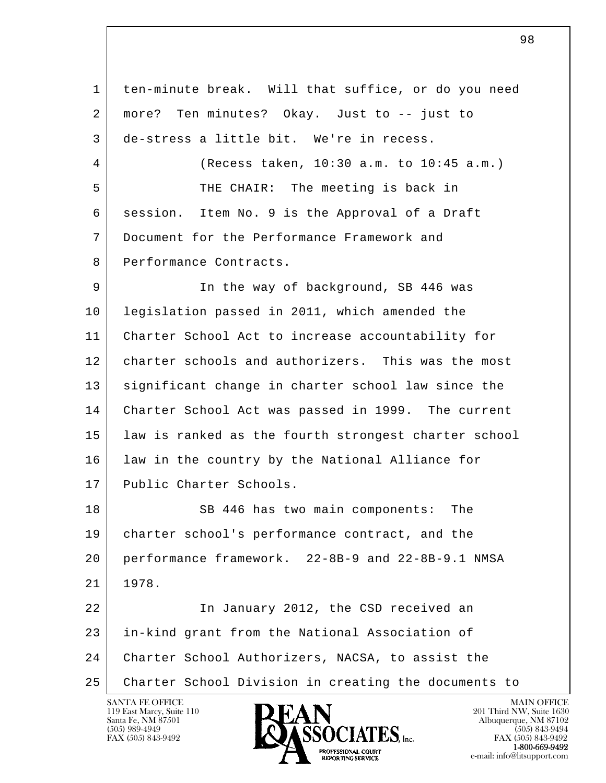l  $\overline{\phantom{a}}$  1 ten-minute break. Will that suffice, or do you need 2 more? Ten minutes? Okay. Just to -- just to 3 de-stress a little bit. We're in recess. 4 (Recess taken, 10:30 a.m. to 10:45 a.m.) 5 THE CHAIR: The meeting is back in 6 session. Item No. 9 is the Approval of a Draft 7 Document for the Performance Framework and 8 Performance Contracts. 9 | The way of background, SB 446 was 10 legislation passed in 2011, which amended the 11 Charter School Act to increase accountability for 12 charter schools and authorizers. This was the most 13 | significant change in charter school law since the 14 Charter School Act was passed in 1999. The current 15 law is ranked as the fourth strongest charter school 16 | law in the country by the National Alliance for 17 Public Charter Schools. 18 SB 446 has two main components: The 19 charter school's performance contract, and the 20 performance framework. 22-8B-9 and 22-8B-9.1 NMSA 21 1978. 22 | The January 2012, the CSD received an 23 in-kind grant from the National Association of 24 Charter School Authorizers, NACSA, to assist the 25 Charter School Division in creating the documents to

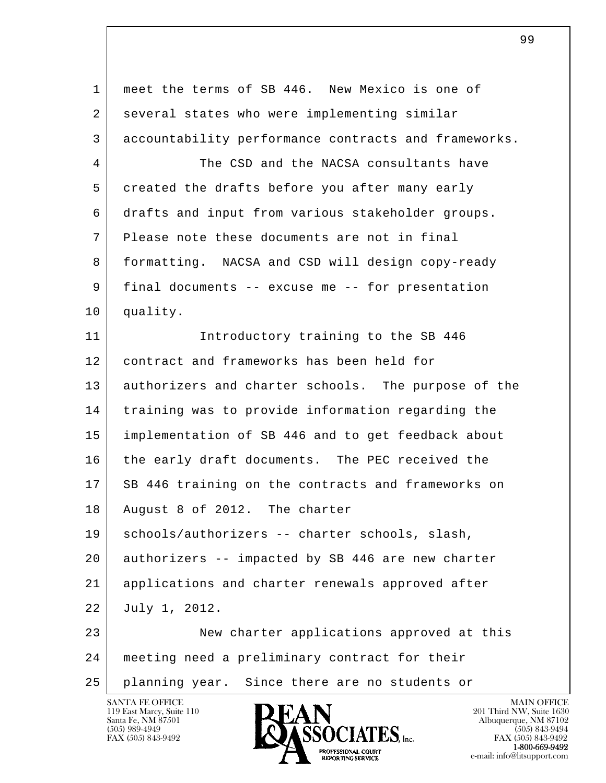l  $\overline{\phantom{a}}$  1 meet the terms of SB 446. New Mexico is one of 2 several states who were implementing similar 3 accountability performance contracts and frameworks. 4 The CSD and the NACSA consultants have 5 created the drafts before you after many early 6 drafts and input from various stakeholder groups. 7 Please note these documents are not in final 8 formatting. NACSA and CSD will design copy-ready 9 final documents -- excuse me -- for presentation 10 quality. 11 Introductory training to the SB 446 12 contract and frameworks has been held for 13 authorizers and charter schools. The purpose of the 14 training was to provide information regarding the 15 implementation of SB 446 and to get feedback about 16 the early draft documents. The PEC received the 17 SB 446 training on the contracts and frameworks on 18 August 8 of 2012. The charter 19 | schools/authorizers -- charter schools, slash, 20 authorizers -- impacted by SB 446 are new charter 21 applications and charter renewals approved after 22 July 1, 2012. 23 New charter applications approved at this 24 meeting need a preliminary contract for their 25 planning year. Since there are no students or

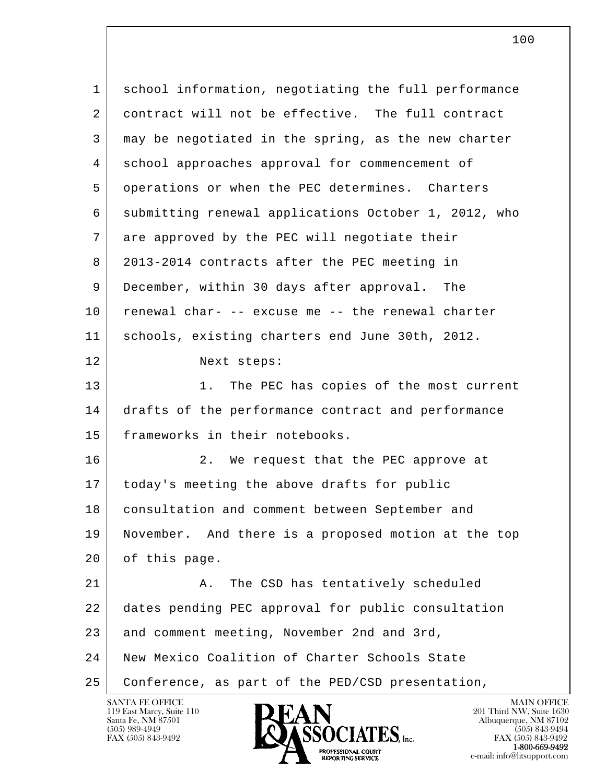| $\mathbf{1}$ | school information, negotiating the full performance |
|--------------|------------------------------------------------------|
| 2            | contract will not be effective. The full contract    |
| 3            | may be negotiated in the spring, as the new charter  |
| 4            | school approaches approval for commencement of       |
| 5            | operations or when the PEC determines. Charters      |
| 6            | submitting renewal applications October 1, 2012, who |
| 7            | are approved by the PEC will negotiate their         |
| 8            | 2013-2014 contracts after the PEC meeting in         |
| 9            | December, within 30 days after approval.<br>The      |
| 10           | renewal char- -- excuse me -- the renewal charter    |
| 11           | schools, existing charters end June 30th, 2012.      |
| 12           | Next steps:                                          |
| 13           | 1.<br>The PEC has copies of the most current         |
| 14           | drafts of the performance contract and performance   |
| 15           | frameworks in their notebooks.                       |
| 16           | 2.<br>We request that the PEC approve at             |
| 17           | today's meeting the above drafts for public          |
| 18           | consultation and comment between September and       |
| 19           | November. And there is a proposed motion at the top  |
| 20           | of this page.                                        |
| 21           | The CSD has tentatively scheduled<br>Α.              |
| 22           | dates pending PEC approval for public consultation   |
| 23           | and comment meeting, November 2nd and 3rd,           |
| 24           | New Mexico Coalition of Charter Schools State        |
| 25           | Conference, as part of the PED/CSD presentation,     |

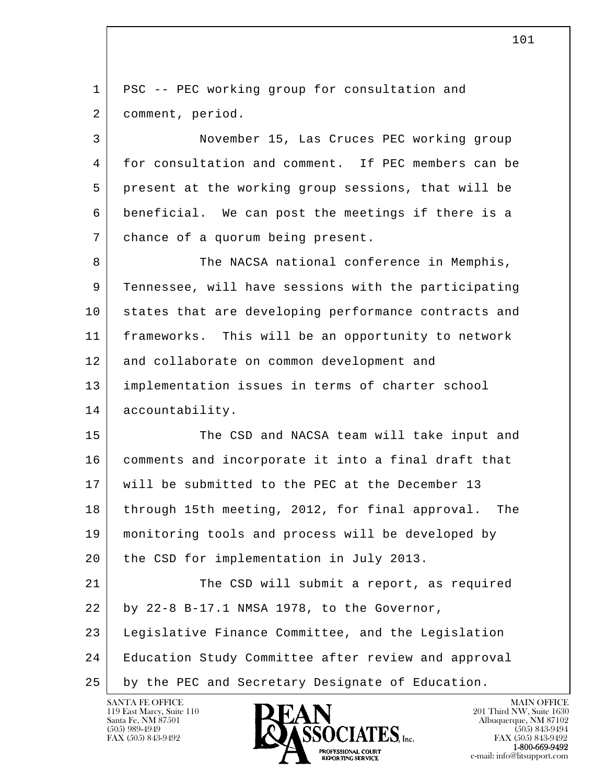l  $\overline{\phantom{a}}$  1 PSC -- PEC working group for consultation and 2 comment, period. 3 November 15, Las Cruces PEC working group 4 for consultation and comment. If PEC members can be 5 present at the working group sessions, that will be 6 beneficial. We can post the meetings if there is a 7 chance of a quorum being present. 8 The NACSA national conference in Memphis, 9 Tennessee, will have sessions with the participating 10 states that are developing performance contracts and 11 frameworks. This will be an opportunity to network 12 and collaborate on common development and 13 implementation issues in terms of charter school 14 accountability. 15 The CSD and NACSA team will take input and 16 comments and incorporate it into a final draft that 17 will be submitted to the PEC at the December 13 18 through 15th meeting, 2012, for final approval. The 19 monitoring tools and process will be developed by 20 | the CSD for implementation in July 2013. 21 The CSD will submit a report, as required 22 by 22-8 B-17.1 NMSA 1978, to the Governor, 23 Legislative Finance Committee, and the Legislation 24 Education Study Committee after review and approval 25 by the PEC and Secretary Designate of Education.

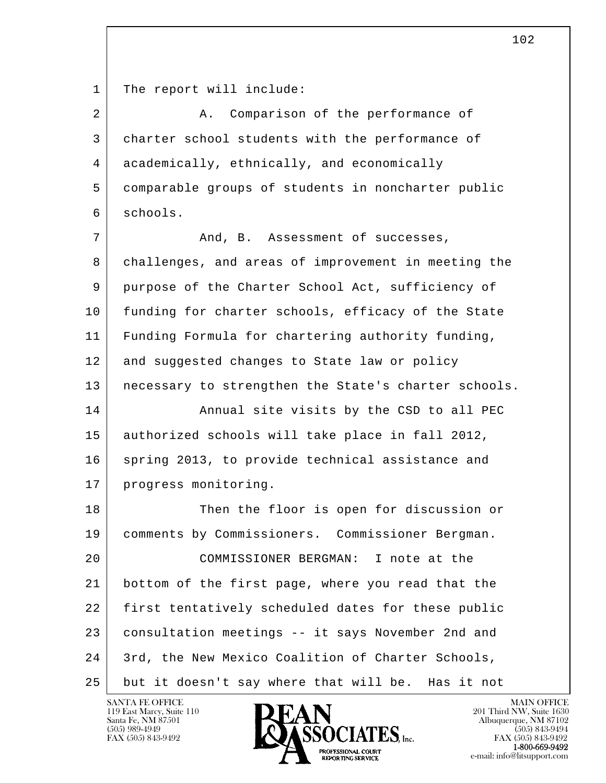1 The report will include:

| 2  | Comparison of the performance of<br>Α.               |
|----|------------------------------------------------------|
| 3  | charter school students with the performance of      |
| 4  | academically, ethnically, and economically           |
| 5  | comparable groups of students in noncharter public   |
| 6  | schools.                                             |
| 7  | And, B. Assessment of successes,                     |
| 8  | challenges, and areas of improvement in meeting the  |
| 9  | purpose of the Charter School Act, sufficiency of    |
| 10 | funding for charter schools, efficacy of the State   |
| 11 | Funding Formula for chartering authority funding,    |
| 12 | and suggested changes to State law or policy         |
| 13 | necessary to strengthen the State's charter schools. |
| 14 | Annual site visits by the CSD to all PEC             |
| 15 | authorized schools will take place in fall 2012,     |
| 16 | spring 2013, to provide technical assistance and     |
| 17 | progress monitoring.                                 |
| 18 | Then the floor is open for discussion or             |
| 19 | comments by Commissioners. Commissioner Bergman.     |
| 20 | COMMISSIONER BERGMAN: I note at the                  |
| 21 | bottom of the first page, where you read that the    |
| 22 | first tentatively scheduled dates for these public   |
| 23 | consultation meetings -- it says November 2nd and    |
| 24 | 3rd, the New Mexico Coalition of Charter Schools,    |
| 25 | but it doesn't say where that will be.<br>Has it not |

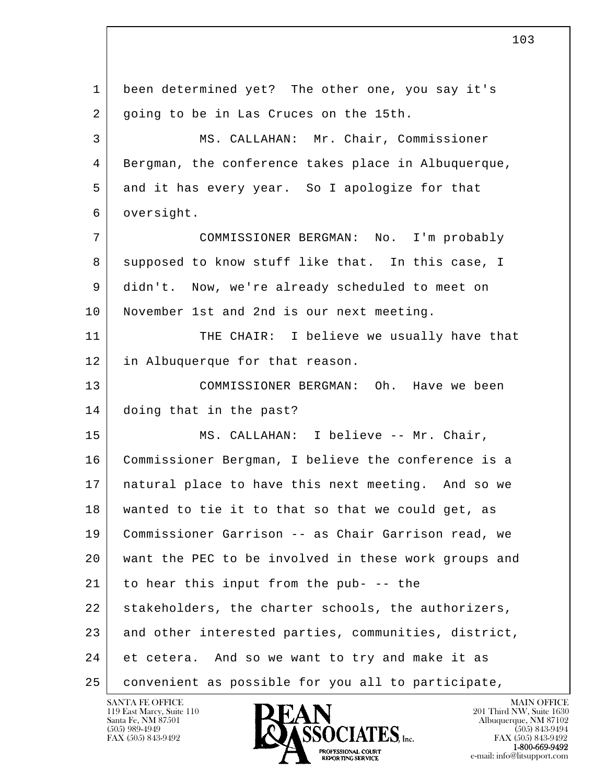l  $\overline{\phantom{a}}$  1 been determined yet? The other one, you say it's 2 going to be in Las Cruces on the 15th. 3 MS. CALLAHAN: Mr. Chair, Commissioner 4 Bergman, the conference takes place in Albuquerque, 5 and it has every year. So I apologize for that 6 oversight. 7 COMMISSIONER BERGMAN: No. I'm probably 8 supposed to know stuff like that. In this case, I 9 didn't. Now, we're already scheduled to meet on 10 November 1st and 2nd is our next meeting. 11 THE CHAIR: I believe we usually have that 12 in Albuquerque for that reason. 13 COMMISSIONER BERGMAN: Oh. Have we been 14 doing that in the past? 15 MS. CALLAHAN: I believe -- Mr. Chair, 16 | Commissioner Bergman, I believe the conference is a 17 | natural place to have this next meeting. And so we 18 wanted to tie it to that so that we could get, as 19 Commissioner Garrison -- as Chair Garrison read, we 20 want the PEC to be involved in these work groups and  $21$  to hear this input from the pub- -- the 22 stakeholders, the charter schools, the authorizers, 23 and other interested parties, communities, district, 24 et cetera. And so we want to try and make it as 25 convenient as possible for you all to participate,

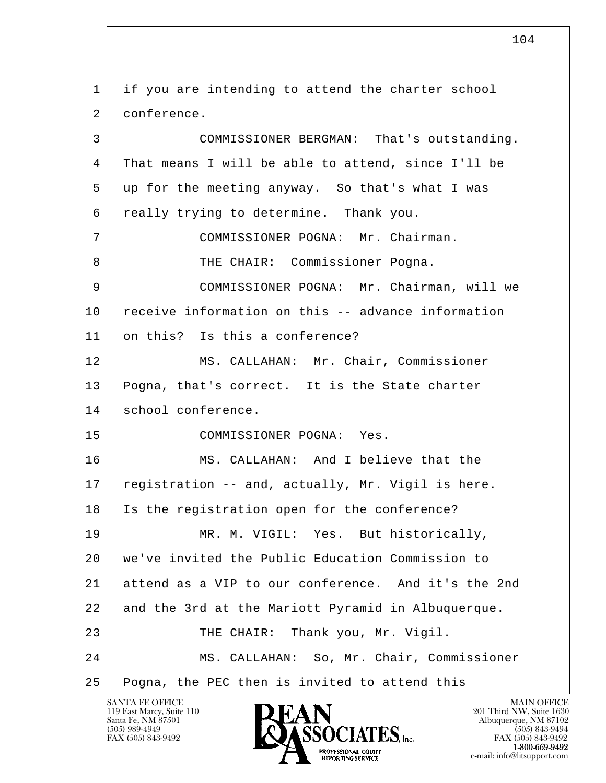l  $\overline{\phantom{a}}$  1 if you are intending to attend the charter school 2 conference. 3 COMMISSIONER BERGMAN: That's outstanding. 4 That means I will be able to attend, since I'll be 5 up for the meeting anyway. So that's what I was 6 really trying to determine. Thank you. 7 COMMISSIONER POGNA: Mr. Chairman. 8 THE CHAIR: Commissioner Pogna. 9 COMMISSIONER POGNA: Mr. Chairman, will we 10 receive information on this -- advance information 11 on this? Is this a conference? 12 MS. CALLAHAN: Mr. Chair, Commissioner 13 | Pogna, that's correct. It is the State charter 14 school conference. 15 COMMISSIONER POGNA: Yes. 16 MS. CALLAHAN: And I believe that the 17 registration -- and, actually, Mr. Vigil is here. 18 Is the registration open for the conference? 19 MR. M. VIGIL: Yes. But historically, 20 we've invited the Public Education Commission to 21 attend as a VIP to our conference. And it's the 2nd 22 and the 3rd at the Mariott Pyramid in Albuquerque. 23 THE CHAIR: Thank you, Mr. Vigil. 24 MS. CALLAHAN: So, Mr. Chair, Commissioner 25 Pogna, the PEC then is invited to attend this

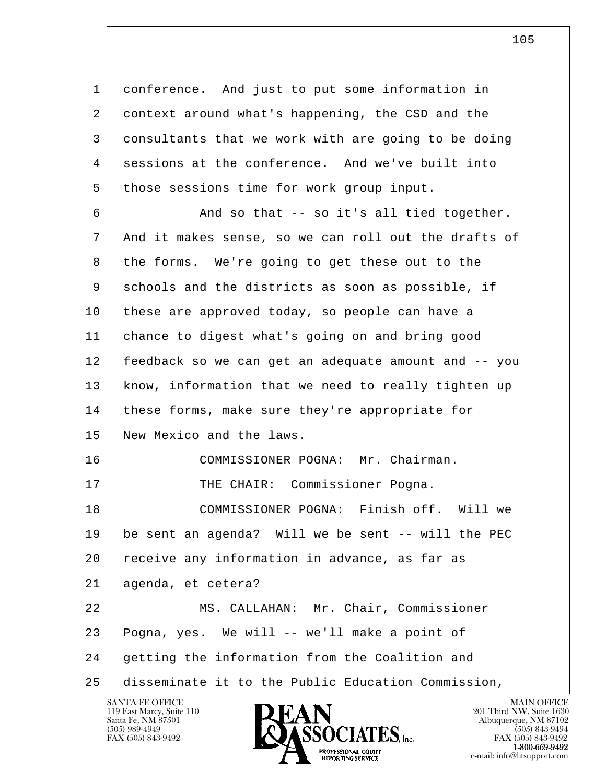l  $\overline{\phantom{a}}$  1 conference. And just to put some information in 2 context around what's happening, the CSD and the 3 consultants that we work with are going to be doing 4 sessions at the conference. And we've built into 5 those sessions time for work group input. 6 And so that -- so it's all tied together. 7 And it makes sense, so we can roll out the drafts of 8 the forms. We're going to get these out to the 9 schools and the districts as soon as possible, if 10 | these are approved today, so people can have a 11 chance to digest what's going on and bring good 12 feedback so we can get an adequate amount and -- you 13 know, information that we need to really tighten up 14 | these forms, make sure they're appropriate for 15 New Mexico and the laws. 16 COMMISSIONER POGNA: Mr. Chairman. 17 | THE CHAIR: Commissioner Pogna. 18 COMMISSIONER POGNA: Finish off. Will we 19 be sent an agenda? Will we be sent -- will the PEC 20 receive any information in advance, as far as 21 agenda, et cetera? 22 | MS. CALLAHAN: Mr. Chair, Commissioner 23 Pogna, yes. We will -- we'll make a point of 24 getting the information from the Coalition and 25 disseminate it to the Public Education Commission,



FAX (505) 843-9492<br>**1-800-669-9492**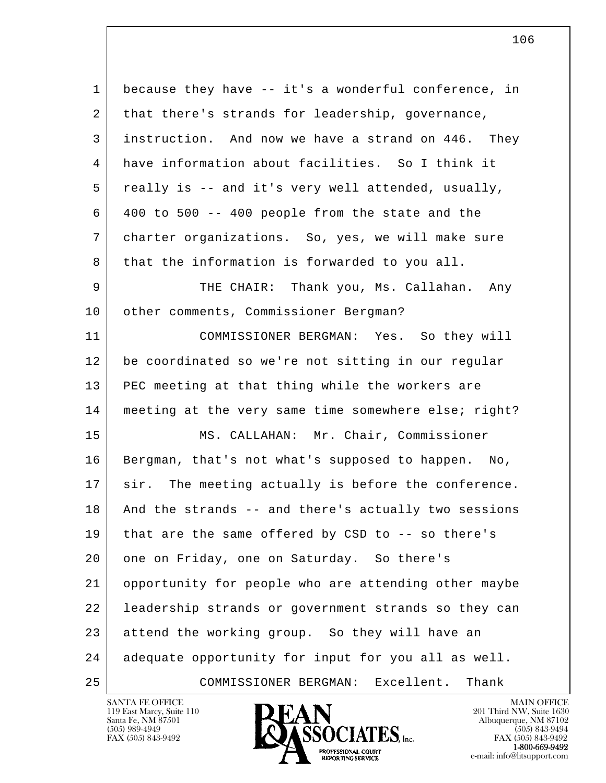l  $\overline{\phantom{a}}$  1 because they have -- it's a wonderful conference, in 2 that there's strands for leadership, governance, 3 instruction. And now we have a strand on 446. They 4 have information about facilities. So I think it 5 really is -- and it's very well attended, usually,  $6$  400 to 500 -- 400 people from the state and the 7 charter organizations. So, yes, we will make sure 8 that the information is forwarded to you all. 9 THE CHAIR: Thank you, Ms. Callahan. Any 10 | other comments, Commissioner Bergman? 11 COMMISSIONER BERGMAN: Yes. So they will 12 be coordinated so we're not sitting in our regular 13 | PEC meeting at that thing while the workers are 14 | meeting at the very same time somewhere else; right? 15 | MS. CALLAHAN: Mr. Chair, Commissioner 16 Bergman, that's not what's supposed to happen. No, 17 sir. The meeting actually is before the conference. 18 And the strands -- and there's actually two sessions 19 that are the same offered by CSD to -- so there's 20 one on Friday, one on Saturday. So there's 21 opportunity for people who are attending other maybe 22 leadership strands or government strands so they can 23 attend the working group. So they will have an 24 adequate opportunity for input for you all as well. 25 COMMISSIONER BERGMAN: Excellent. Thank

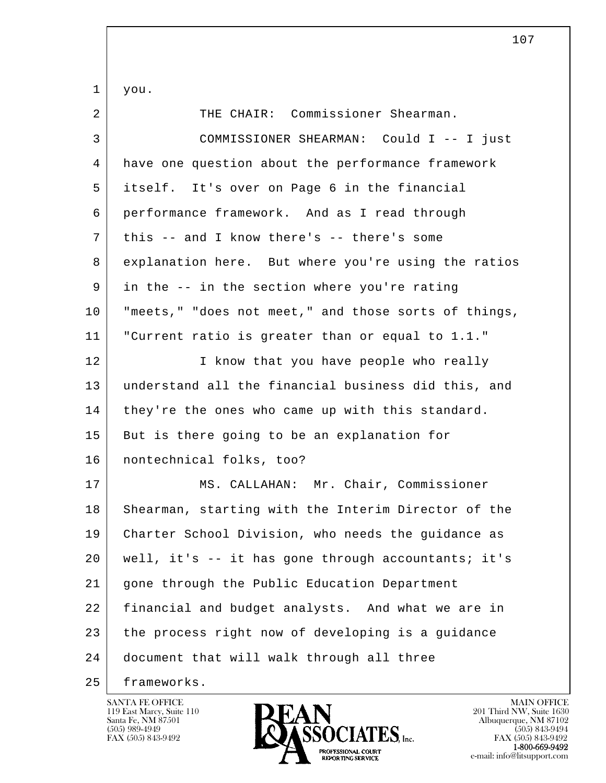l  $\overline{\phantom{a}}$  1 you. 2 THE CHAIR: Commissioner Shearman. 3 COMMISSIONER SHEARMAN: Could I -- I just 4 have one question about the performance framework 5 itself. It's over on Page 6 in the financial 6 performance framework. And as I read through 7 this -- and I know there's -- there's some 8 explanation here. But where you're using the ratios 9 in the -- in the section where you're rating 10 "meets," "does not meet," and those sorts of things, 11 "Current ratio is greater than or equal to 1.1." 12 I know that you have people who really 13 understand all the financial business did this, and 14 they're the ones who came up with this standard. 15 But is there going to be an explanation for 16 nontechnical folks, too? 17 | MS. CALLAHAN: Mr. Chair, Commissioner 18 Shearman, starting with the Interim Director of the 19 Charter School Division, who needs the guidance as 20 well, it's -- it has gone through accountants; it's 21 gone through the Public Education Department 22 financial and budget analysts. And what we are in 23 the process right now of developing is a guidance 24 document that will walk through all three 25 frameworks.

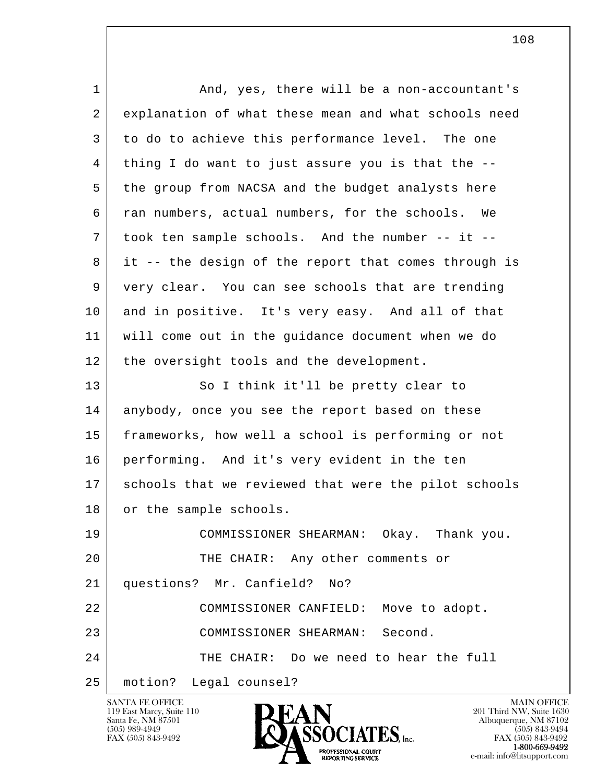| $\mathbf 1$ | And, yes, there will be a non-accountant's           |
|-------------|------------------------------------------------------|
| 2           | explanation of what these mean and what schools need |
| 3           | to do to achieve this performance level. The one     |
| 4           | thing I do want to just assure you is that the --    |
| 5           | the group from NACSA and the budget analysts here    |
| 6           | ran numbers, actual numbers, for the schools. We     |
| 7           | took ten sample schools. And the number -- it --     |
| 8           | it -- the design of the report that comes through is |
| 9           | very clear. You can see schools that are trending    |
| 10          | and in positive. It's very easy. And all of that     |
| 11          | will come out in the guidance document when we do    |
| 12          | the oversight tools and the development.             |
| 13          | So I think it'll be pretty clear to                  |
| 14          | anybody, once you see the report based on these      |
| 15          | frameworks, how well a school is performing or not   |
| 16          | performing. And it's very evident in the ten         |
| 17          | schools that we reviewed that were the pilot schools |
| 18          | or the sample schools.                               |
| 19          | COMMISSIONER SHEARMAN: Okay. Thank you.              |
| 20          | THE CHAIR: Any other comments or                     |
| 21          | questions? Mr. Canfield? No?                         |
| 22          | COMMISSIONER CANFIELD: Move to adopt.                |
| 23          | COMMISSIONER SHEARMAN: Second.                       |
| 24          | THE CHAIR: Do we need to hear the full               |
| 25          | motion? Legal counsel?                               |

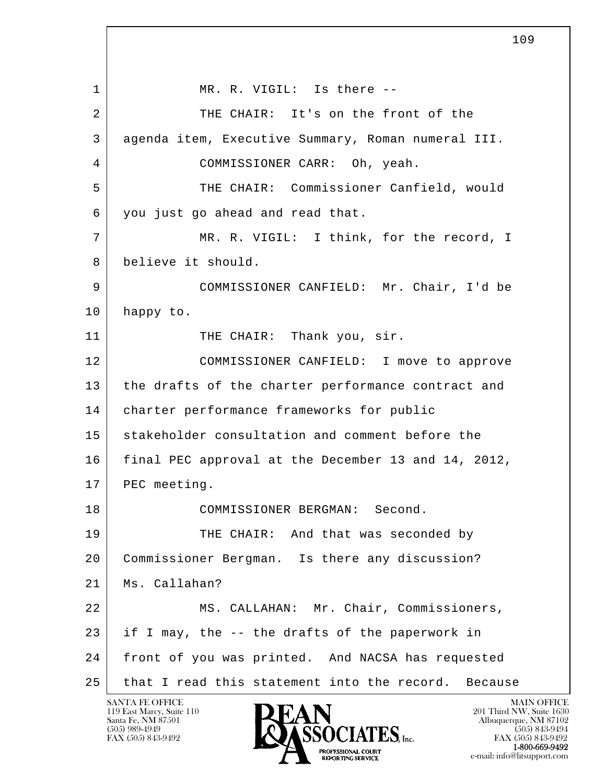l  $\overline{\phantom{a}}$ 1 MR. R. VIGIL: Is there --2 THE CHAIR: It's on the front of the 3 agenda item, Executive Summary, Roman numeral III. 4 COMMISSIONER CARR: Oh, yeah. 5 THE CHAIR: Commissioner Canfield, would 6 you just go ahead and read that. 7 MR. R. VIGIL: I think, for the record, I 8 believe it should. 9 COMMISSIONER CANFIELD: Mr. Chair, I'd be 10 happy to. 11 THE CHAIR: Thank you, sir. 12 COMMISSIONER CANFIELD: I move to approve 13 the drafts of the charter performance contract and 14 charter performance frameworks for public 15 stakeholder consultation and comment before the 16 final PEC approval at the December 13 and 14, 2012, 17 PEC meeting. 18 COMMISSIONER BERGMAN: Second. 19 THE CHAIR: And that was seconded by 20 Commissioner Bergman. Is there any discussion? 21 Ms. Callahan? 22 | MS. CALLAHAN: Mr. Chair, Commissioners, 23 if I may, the -- the drafts of the paperwork in 24 front of you was printed. And NACSA has requested 25 that I read this statement into the record. Because

119 East Marcy, Suite 110<br>Santa Fe, NM 87501

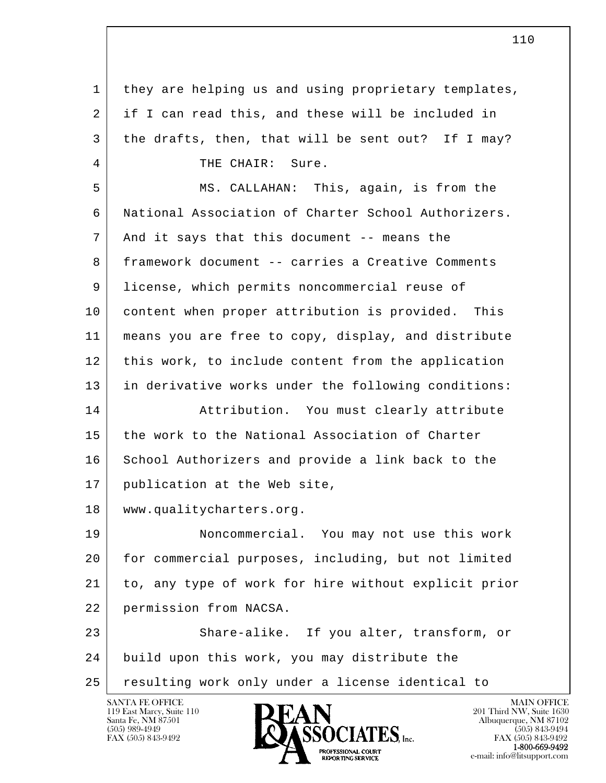l  $\overline{\phantom{a}}$  1 they are helping us and using proprietary templates, 2 if I can read this, and these will be included in 3 the drafts, then, that will be sent out? If I may? 4 THE CHAIR: Sure. 5 MS. CALLAHAN: This, again, is from the 6 National Association of Charter School Authorizers. 7 And it says that this document -- means the 8 framework document -- carries a Creative Comments 9 license, which permits noncommercial reuse of 10 content when proper attribution is provided. This 11 means you are free to copy, display, and distribute 12 this work, to include content from the application 13 | in derivative works under the following conditions: 14 Attribution. You must clearly attribute 15 the work to the National Association of Charter 16 School Authorizers and provide a link back to the 17 publication at the Web site, 18 www.qualitycharters.org. 19 Noncommercial. You may not use this work 20 for commercial purposes, including, but not limited 21 to, any type of work for hire without explicit prior 22 permission from NACSA. 23 Share-alike. If you alter, transform, or 24 build upon this work, you may distribute the 25 resulting work only under a license identical to

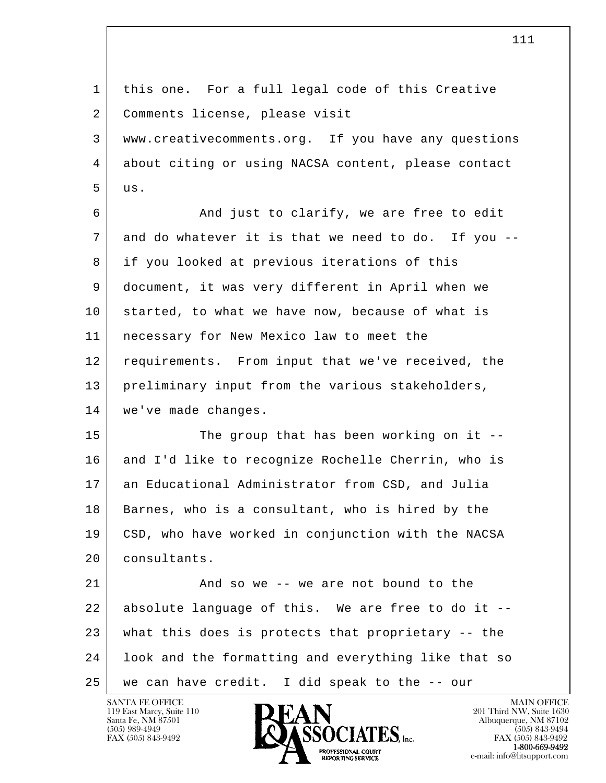| $\mathbf{1}$ | this one. For a full legal code of this Creative    |
|--------------|-----------------------------------------------------|
| 2            | Comments license, please visit                      |
| 3            | www.creativecomments.org. If you have any questions |
| 4            | about citing or using NACSA content, please contact |
| 5            | us.                                                 |
| 6            | And just to clarify, we are free to edit            |
| 7            | and do whatever it is that we need to do. If you -- |
| 8            | if you looked at previous iterations of this        |
| 9            | document, it was very different in April when we    |
| 10           | started, to what we have now, because of what is    |
| 11           | necessary for New Mexico law to meet the            |
| 12           | requirements. From input that we've received, the   |
| 13           | preliminary input from the various stakeholders,    |
| 14           | we've made changes.                                 |
| 15           | The group that has been working on it $-$ -         |
| 16           | and I'd like to recognize Rochelle Cherrin, who is  |
| 17           | an Educational Administrator from CSD, and Julia    |
| 18           | Barnes, who is a consultant, who is hired by the    |
| 19           | CSD, who have worked in conjunction with the NACSA  |
| 20           | consultants.                                        |
| 21           | And so we -- we are not bound to the                |
| 22           | absolute language of this. We are free to do it --  |
| 23           | what this does is protects that proprietary -- the  |
| 24           | look and the formatting and everything like that so |
| 25           | we can have credit. I did speak to the -- our       |

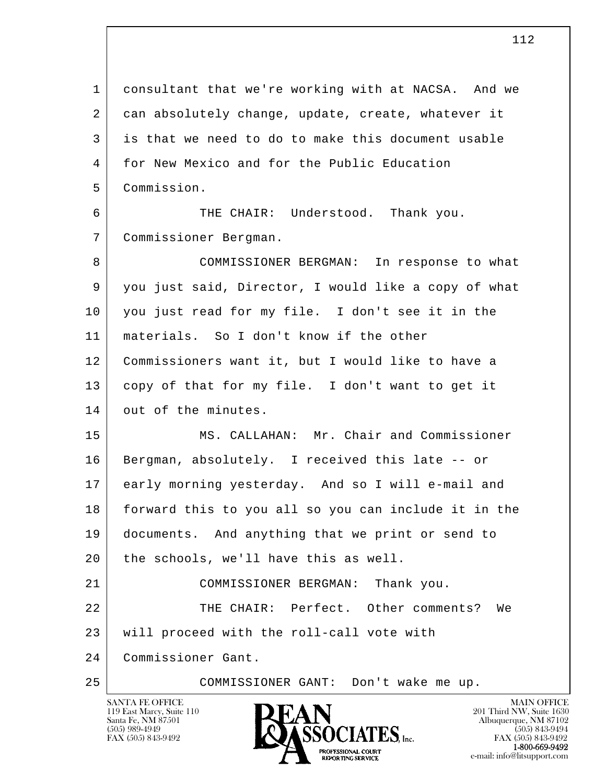l  $\overline{\phantom{a}}$  1 consultant that we're working with at NACSA. And we 2 can absolutely change, update, create, whatever it 3 is that we need to do to make this document usable 4 for New Mexico and for the Public Education 5 Commission. 6 THE CHAIR: Understood. Thank you. 7 Commissioner Bergman. 8 COMMISSIONER BERGMAN: In response to what 9 you just said, Director, I would like a copy of what 10 you just read for my file. I don't see it in the 11 materials. So I don't know if the other 12 Commissioners want it, but I would like to have a 13 copy of that for my file. I don't want to get it 14 out of the minutes. 15 MS. CALLAHAN: Mr. Chair and Commissioner 16 | Bergman, absolutely. I received this late -- or 17 early morning yesterday. And so I will e-mail and 18 forward this to you all so you can include it in the 19 documents. And anything that we print or send to 20 | the schools, we'll have this as well. 21 COMMISSIONER BERGMAN: Thank you. 22 THE CHAIR: Perfect. Other comments? We 23 will proceed with the roll-call vote with 24 Commissioner Gant. 25 COMMISSIONER GANT: Don't wake me up.

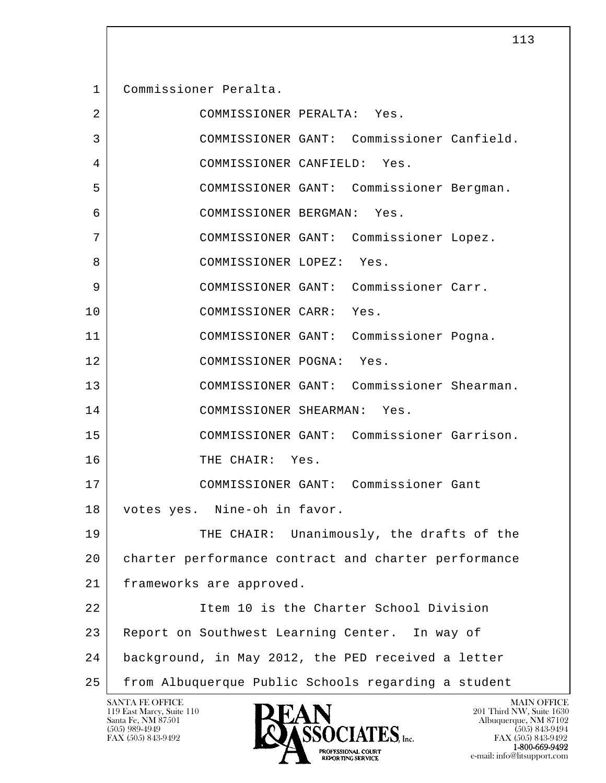1 Commissioner Peralta. 2 COMMISSIONER PERALTA: Yes. 3 COMMISSIONER GANT: Commissioner Canfield. 4 COMMISSIONER CANFIELD: Yes. 5 COMMISSIONER GANT: Commissioner Bergman. 6 COMMISSIONER BERGMAN: Yes. 7 COMMISSIONER GANT: Commissioner Lopez. 8 COMMISSIONER LOPEZ: Yes. 9 COMMISSIONER GANT: Commissioner Carr. 10 COMMISSIONER CARR: Yes. 11 COMMISSIONER GANT: Commissioner Pogna. 12 COMMISSIONER POGNA: Yes. 13 COMMISSIONER GANT: Commissioner Shearman. 14 COMMISSIONER SHEARMAN: Yes. 15 COMMISSIONER GANT: Commissioner Garrison. 16 THE CHAIR: Yes. 17 COMMISSIONER GANT: Commissioner Gant 18 votes yes. Nine-oh in favor. 19 THE CHAIR: Unanimously, the drafts of the 20 charter performance contract and charter performance 21 frameworks are approved. 22 Item 10 is the Charter School Division 23 Report on Southwest Learning Center. In way of

25 from Albuquerque Public Schools regarding a student

24 background, in May 2012, the PED received a letter

119 East Marcy, Suite 110<br>Santa Fe, NM 87501

l  $\overline{\phantom{a}}$ 

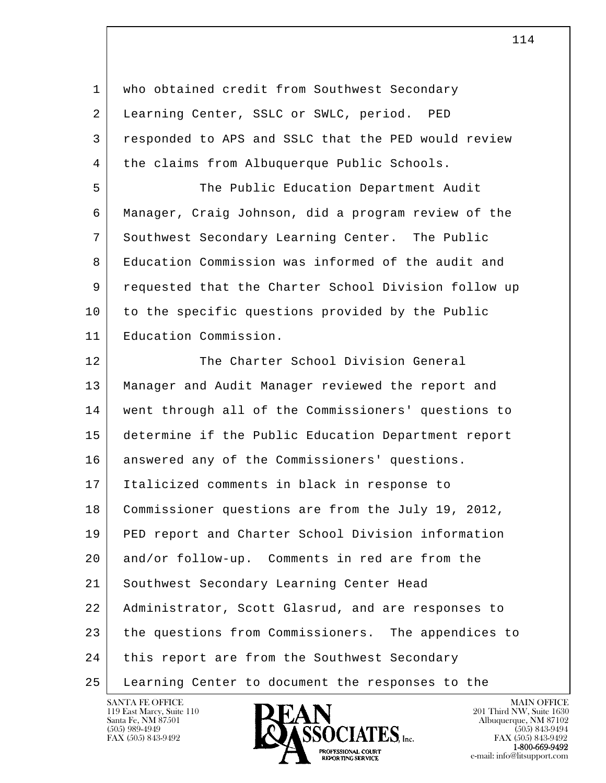l  $\overline{\phantom{a}}$ 1 who obtained credit from Southwest Secondary 2 | Learning Center, SSLC or SWLC, period. PED 3 responded to APS and SSLC that the PED would review 4 | the claims from Albuquerque Public Schools. 5 The Public Education Department Audit 6 Manager, Craig Johnson, did a program review of the 7 Southwest Secondary Learning Center. The Public 8 Education Commission was informed of the audit and 9 requested that the Charter School Division follow up 10 to the specific questions provided by the Public 11 Education Commission. 12 The Charter School Division General 13 Manager and Audit Manager reviewed the report and 14 went through all of the Commissioners' questions to 15 determine if the Public Education Department report 16 answered any of the Commissioners' questions. 17 Italicized comments in black in response to 18 Commissioner questions are from the July 19, 2012, 19 PED report and Charter School Division information 20 and/or follow-up. Comments in red are from the 21 Southwest Secondary Learning Center Head 22 Administrator, Scott Glasrud, and are responses to 23 the questions from Commissioners. The appendices to 24 this report are from the Southwest Secondary 25 Learning Center to document the responses to the

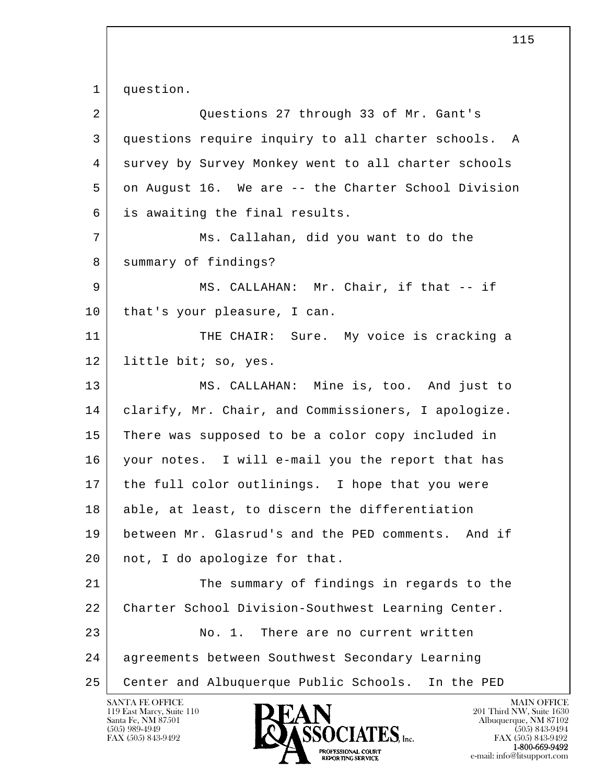l  $\overline{\phantom{a}}$ 1 question. 2 Questions 27 through 33 of Mr. Gant's 3 questions require inquiry to all charter schools. A 4 survey by Survey Monkey went to all charter schools 5 on August 16. We are -- the Charter School Division 6 is awaiting the final results. 7 Ms. Callahan, did you want to do the 8 | summary of findings? 9 MS. CALLAHAN: Mr. Chair, if that -- if 10 | that's your pleasure, I can. 11 THE CHAIR: Sure. My voice is cracking a 12 | little bit; so, yes. 13 MS. CALLAHAN: Mine is, too. And just to 14 clarify, Mr. Chair, and Commissioners, I apologize. 15 There was supposed to be a color copy included in 16 your notes. I will e-mail you the report that has 17 the full color outlinings. I hope that you were 18 able, at least, to discern the differentiation 19 between Mr. Glasrud's and the PED comments. And if 20 | not, I do apologize for that. 21 The summary of findings in regards to the 22 Charter School Division-Southwest Learning Center. 23 No. 1. There are no current written 24 agreements between Southwest Secondary Learning 25 Center and Albuquerque Public Schools. In the PED

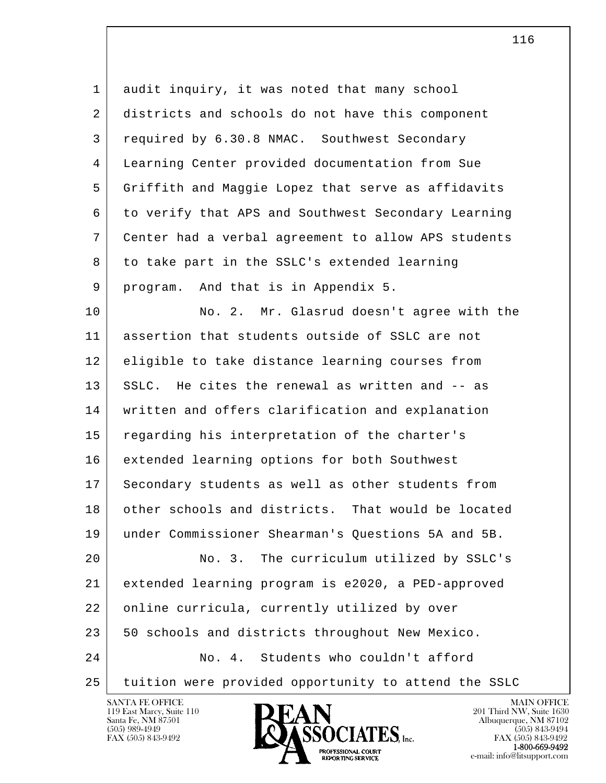l  $\overline{\phantom{a}}$ 1 audit inquiry, it was noted that many school 2 districts and schools do not have this component 3 required by 6.30.8 NMAC. Southwest Secondary 4 Learning Center provided documentation from Sue 5 Griffith and Maggie Lopez that serve as affidavits 6 to verify that APS and Southwest Secondary Learning 7 Center had a verbal agreement to allow APS students 8 to take part in the SSLC's extended learning 9 program. And that is in Appendix 5. 10 No. 2. Mr. Glasrud doesn't agree with the 11 assertion that students outside of SSLC are not 12 eligible to take distance learning courses from 13 SSLC. He cites the renewal as written and -- as 14 written and offers clarification and explanation 15 regarding his interpretation of the charter's 16 extended learning options for both Southwest 17 Secondary students as well as other students from 18 other schools and districts. That would be located 19 under Commissioner Shearman's Questions 5A and 5B. 20 No. 3. The curriculum utilized by SSLC's 21 extended learning program is e2020, a PED-approved 22 | online curricula, currently utilized by over 23 50 schools and districts throughout New Mexico. 24 No. 4. Students who couldn't afford 25 tuition were provided opportunity to attend the SSLC

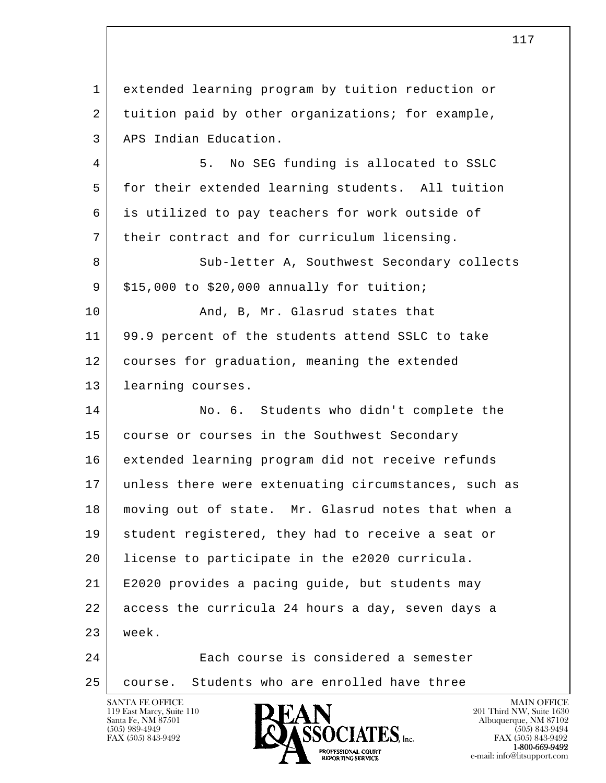l  $\overline{\phantom{a}}$  1 extended learning program by tuition reduction or 2 tuition paid by other organizations; for example, 3 APS Indian Education. 4 5. No SEG funding is allocated to SSLC 5 for their extended learning students. All tuition 6 is utilized to pay teachers for work outside of 7 their contract and for curriculum licensing. 8 Sub-letter A, Southwest Secondary collects  $9 \mid$  \$15,000 to \$20,000 annually for tuition; 10 And, B, Mr. Glasrud states that 11 99.9 percent of the students attend SSLC to take 12 courses for graduation, meaning the extended 13 learning courses. 14 No. 6. Students who didn't complete the 15 course or courses in the Southwest Secondary 16 extended learning program did not receive refunds 17 unless there were extenuating circumstances, such as 18 | moving out of state. Mr. Glasrud notes that when a 19 student registered, they had to receive a seat or 20 license to participate in the e2020 curricula. 21 E2020 provides a pacing guide, but students may 22 access the curricula 24 hours a day, seven days a 23 week. 24 Each course is considered a semester 25 course. Students who are enrolled have three

119 East Marcy, Suite 110<br>Santa Fe, NM 87501



FAX (505) 843-9492<br>**1-800-669-9492** e-mail: info@litsupport.com<br>REPORTING SERVICE e-mail: info@litsupport.com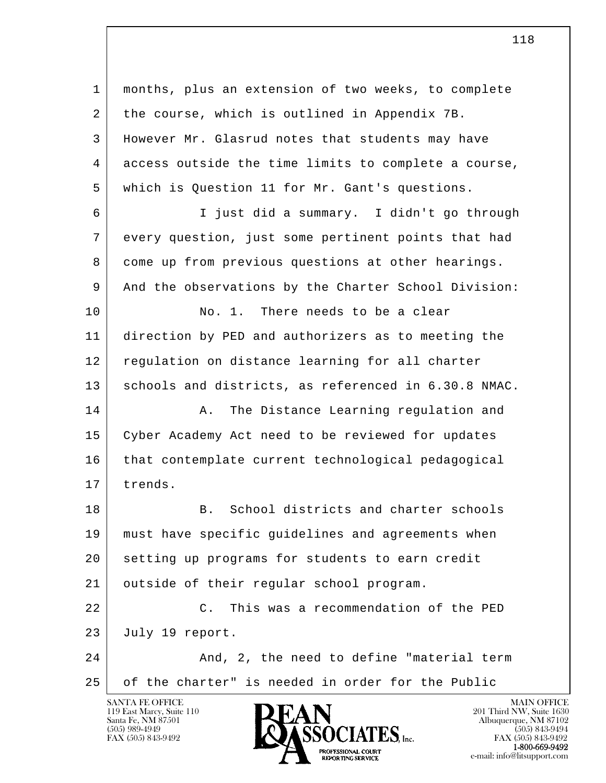l  $\overline{\phantom{a}}$  1 months, plus an extension of two weeks, to complete 2 the course, which is outlined in Appendix 7B. 3 However Mr. Glasrud notes that students may have 4 access outside the time limits to complete a course, 5 which is Question 11 for Mr. Gant's questions. 6 I just did a summary. I didn't go through 7 every question, just some pertinent points that had 8 come up from previous questions at other hearings. 9 And the observations by the Charter School Division: 10 No. 1. There needs to be a clear 11 direction by PED and authorizers as to meeting the 12 regulation on distance learning for all charter 13 schools and districts, as referenced in 6.30.8 NMAC. 14 A. The Distance Learning regulation and 15 Cyber Academy Act need to be reviewed for updates 16 | that contemplate current technological pedagogical 17 trends. 18 B. School districts and charter schools 19 must have specific guidelines and agreements when 20 setting up programs for students to earn credit 21 | outside of their regular school program. 22 C. This was a recommendation of the PED 23 July 19 report. 24 And, 2, the need to define "material term 25 of the charter" is needed in order for the Public

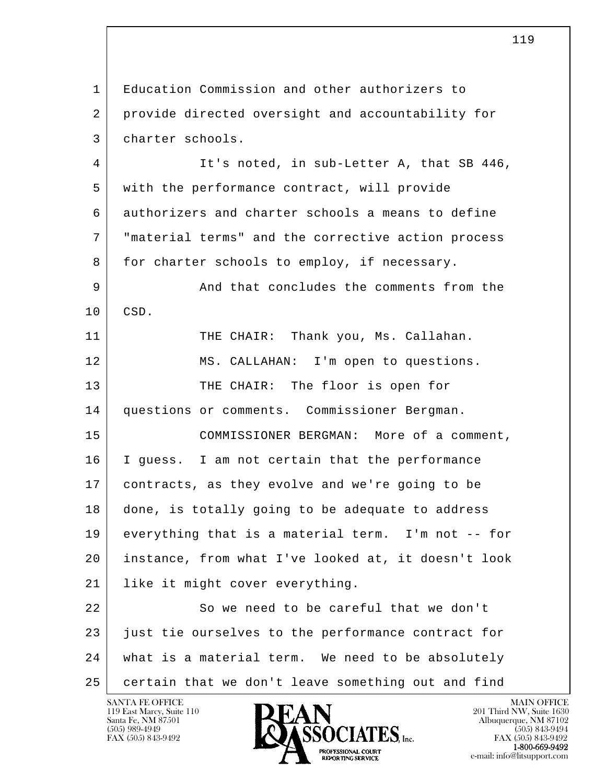l  $\overline{\phantom{a}}$  1 Education Commission and other authorizers to 2 provide directed oversight and accountability for 3 charter schools. 4 It's noted, in sub-Letter A, that SB 446, 5 with the performance contract, will provide 6 authorizers and charter schools a means to define 7 | "material terms" and the corrective action process 8 for charter schools to employ, if necessary. 9 And that concludes the comments from the 10 CSD. 11 THE CHAIR: Thank you, Ms. Callahan. 12 MS. CALLAHAN: I'm open to questions. 13 THE CHAIR: The floor is open for 14 questions or comments. Commissioner Bergman. 15 COMMISSIONER BERGMAN: More of a comment, 16 I guess. I am not certain that the performance 17 contracts, as they evolve and we're going to be 18 done, is totally going to be adequate to address 19 everything that is a material term. I'm not -- for 20 instance, from what I've looked at, it doesn't look 21 | like it might cover everything. 22 So we need to be careful that we don't 23 just tie ourselves to the performance contract for 24 what is a material term. We need to be absolutely 25 certain that we don't leave something out and find

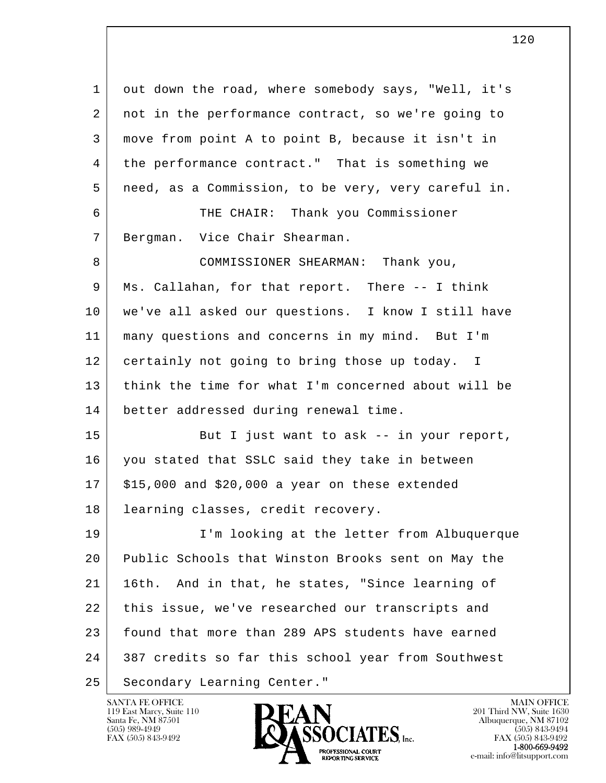l  $\overline{\phantom{a}}$  1 out down the road, where somebody says, "Well, it's 2 | not in the performance contract, so we're going to 3 move from point A to point B, because it isn't in 4 the performance contract." That is something we 5 need, as a Commission, to be very, very careful in. 6 THE CHAIR: Thank you Commissioner 7 Bergman. Vice Chair Shearman. 8 COMMISSIONER SHEARMAN: Thank you, 9 Ms. Callahan, for that report. There -- I think 10 we've all asked our questions. I know I still have 11 many questions and concerns in my mind. But I'm 12 certainly not going to bring those up today. I 13 think the time for what I'm concerned about will be 14 better addressed during renewal time. 15 But I just want to ask -- in your report, 16 you stated that SSLC said they take in between  $17$  \$15,000 and \$20,000 a year on these extended 18 learning classes, credit recovery. 19 I'm looking at the letter from Albuquerque 20 Public Schools that Winston Brooks sent on May the 21 | 16th. And in that, he states, "Since learning of 22 this issue, we've researched our transcripts and 23 found that more than 289 APS students have earned 24 387 credits so far this school year from Southwest 25 | Secondary Learning Center."

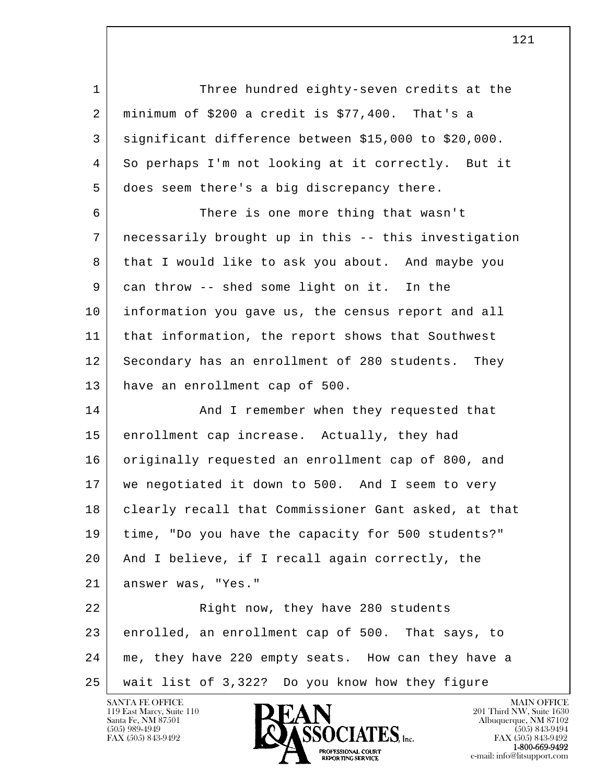l  $\overline{\phantom{a}}$ 1 Three hundred eighty-seven credits at the  $2$  minimum of \$200 a credit is \$77,400. That's a 3 significant difference between \$15,000 to \$20,000. 4 So perhaps I'm not looking at it correctly. But it 5 does seem there's a big discrepancy there. 6 There is one more thing that wasn't 7 necessarily brought up in this -- this investigation 8 that I would like to ask you about. And maybe you 9 can throw -- shed some light on it. In the 10 information you gave us, the census report and all 11 that information, the report shows that Southwest 12 Secondary has an enrollment of 280 students. They 13 have an enrollment cap of 500. 14 And I remember when they requested that 15 enrollment cap increase. Actually, they had 16 originally requested an enrollment cap of 800, and 17 we negotiated it down to 500. And I seem to very 18 | clearly recall that Commissioner Gant asked, at that 19 time, "Do you have the capacity for 500 students?" 20 And I believe, if I recall again correctly, the 21 answer was, "Yes." 22 | Right now, they have 280 students 23 enrolled, an enrollment cap of 500. That says, to 24 me, they have 220 empty seats. How can they have a 25 wait list of 3,322? Do you know how they figure

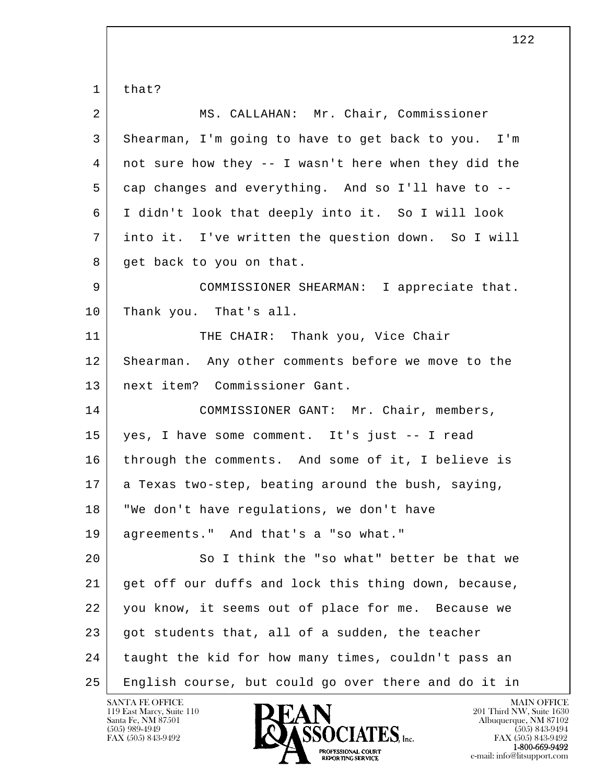l  $\overline{\phantom{a}}$  1 that? 2 MS. CALLAHAN: Mr. Chair, Commissioner 3 Shearman, I'm going to have to get back to you. I'm 4 not sure how they -- I wasn't here when they did the 5 cap changes and everything. And so I'll have to -- 6 I didn't look that deeply into it. So I will look 7 into it. I've written the question down. So I will 8 get back to you on that. 9 COMMISSIONER SHEARMAN: I appreciate that. 10 Thank you. That's all. 11 THE CHAIR: Thank you, Vice Chair 12 Shearman. Any other comments before we move to the 13 next item? Commissioner Gant. 14 COMMISSIONER GANT: Mr. Chair, members, 15 yes, I have some comment. It's just -- I read 16 | through the comments. And some of it, I believe is  $17$  a Texas two-step, beating around the bush, saying, 18 "We don't have regulations, we don't have 19 agreements." And that's a "so what." 20 So I think the "so what" better be that we 21 get off our duffs and lock this thing down, because, 22 you know, it seems out of place for me. Because we 23 got students that, all of a sudden, the teacher 24 taught the kid for how many times, couldn't pass an 25 English course, but could go over there and do it in

119 East Marcy, Suite 110<br>Santa Fe, NM 87501

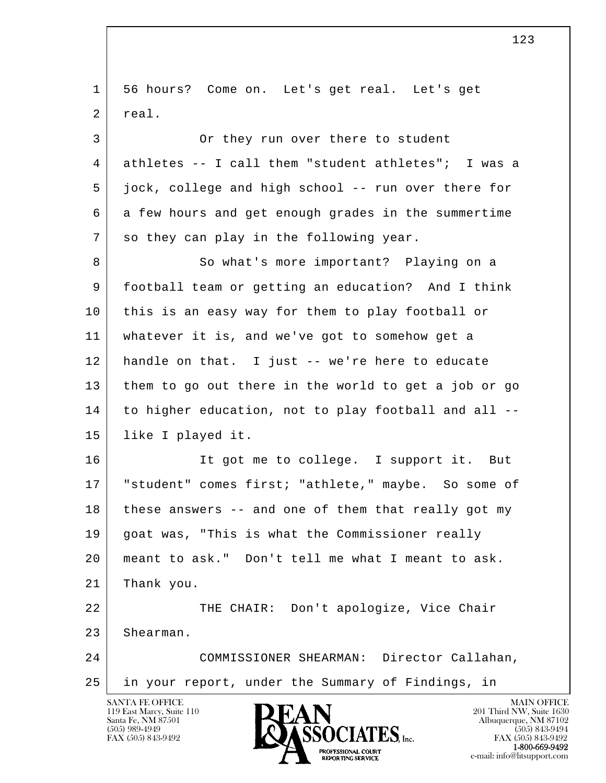l  $\overline{\phantom{a}}$ SANTA FE OFFICE MAIN OFFICE MAIN OFFICE MAIN OFFICE MAIN OFFICE 1 56 hours? Come on. Let's get real. Let's get 2 real. 3 Or they run over there to student 4 athletes -- I call them "student athletes"; I was a 5 | jock, college and high school -- run over there for 6 a few hours and get enough grades in the summertime 7 so they can play in the following year. 8 So what's more important? Playing on a 9 football team or getting an education? And I think 10 this is an easy way for them to play football or 11 whatever it is, and we've got to somehow get a 12 handle on that. I just -- we're here to educate 13 them to go out there in the world to get a job or go 14 to higher education, not to play football and all -- 15 like I played it. 16 | The status of the college. I support it. But 17 | "student" comes first; "athlete," maybe. So some of 18 these answers -- and one of them that really got my 19 goat was, "This is what the Commissioner really 20 meant to ask." Don't tell me what I meant to ask. 21 Thank you. 22 | THE CHAIR: Don't apologize, Vice Chair 23 Shearman. 24 COMMISSIONER SHEARMAN: Director Callahan, 25 in your report, under the Summary of Findings, in

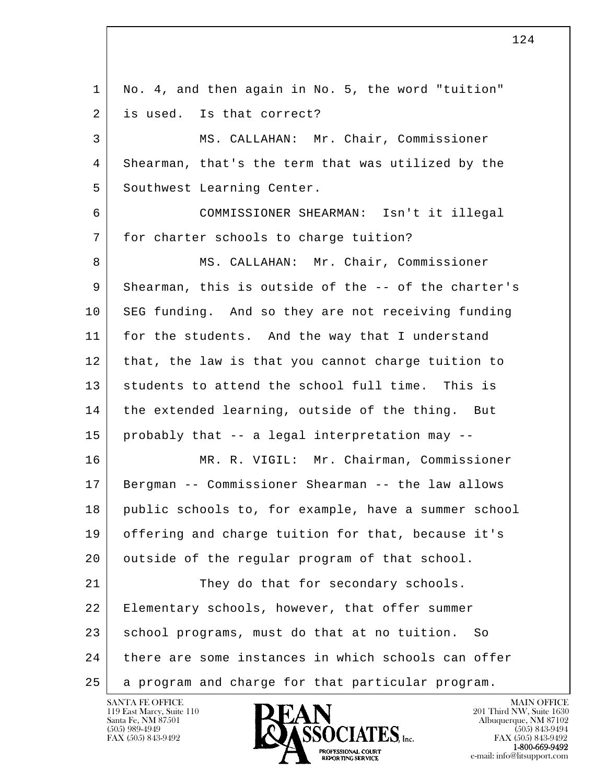l  $\overline{\phantom{a}}$  1 No. 4, and then again in No. 5, the word "tuition" 2 is used. Is that correct? 3 MS. CALLAHAN: Mr. Chair, Commissioner 4 Shearman, that's the term that was utilized by the 5 | Southwest Learning Center. 6 COMMISSIONER SHEARMAN: Isn't it illegal 7 for charter schools to charge tuition? 8 | MS. CALLAHAN: Mr. Chair, Commissioner 9 Shearman, this is outside of the -- of the charter's 10 SEG funding. And so they are not receiving funding 11 for the students. And the way that I understand 12 that, the law is that you cannot charge tuition to 13 students to attend the school full time. This is 14 the extended learning, outside of the thing. But 15 probably that -- a legal interpretation may -- 16 MR. R. VIGIL: Mr. Chairman, Commissioner 17 Bergman -- Commissioner Shearman -- the law allows 18 public schools to, for example, have a summer school 19 offering and charge tuition for that, because it's 20 | outside of the regular program of that school. 21 They do that for secondary schools. 22 | Elementary schools, however, that offer summer 23 school programs, must do that at no tuition. So 24 there are some instances in which schools can offer 25 a program and charge for that particular program.

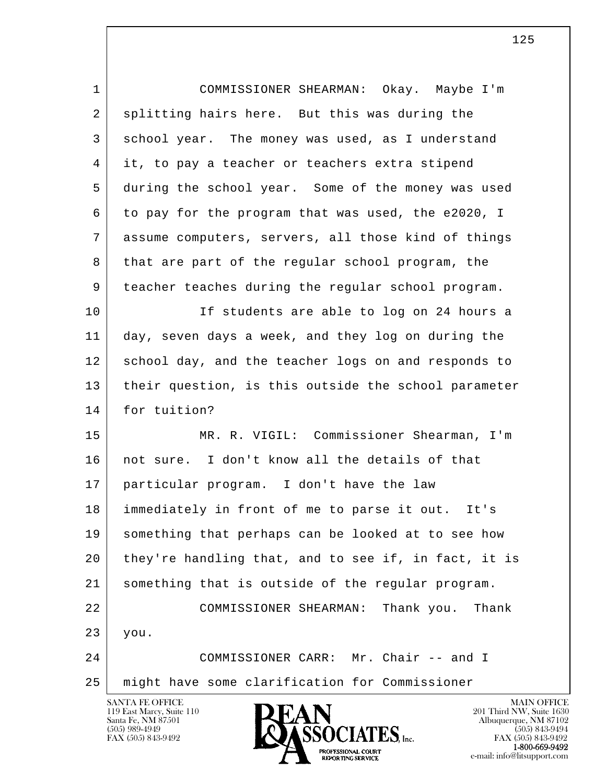| 1  | COMMISSIONER SHEARMAN: Okay. Maybe I'm               |
|----|------------------------------------------------------|
| 2  | splitting hairs here. But this was during the        |
| 3  | school year. The money was used, as I understand     |
| 4  | it, to pay a teacher or teachers extra stipend       |
| 5  | during the school year. Some of the money was used   |
| 6  | to pay for the program that was used, the e2020, I   |
| 7  | assume computers, servers, all those kind of things  |
| 8  | that are part of the regular school program, the     |
| 9  | teacher teaches during the regular school program.   |
| 10 | If students are able to log on 24 hours a            |
| 11 | day, seven days a week, and they log on during the   |
| 12 | school day, and the teacher logs on and responds to  |
| 13 | their question, is this outside the school parameter |
| 14 | for tuition?                                         |
| 15 | MR. R. VIGIL: Commissioner Shearman, I'm             |
| 16 | not sure. I don't know all the details of that       |
| 17 | particular program. I don't have the law             |
| 18 | immediately in front of me to parse it out. It's     |
| 19 | something that perhaps can be looked at to see how   |
| 20 | they're handling that, and to see if, in fact, it is |
| 21 | something that is outside of the regular program.    |
| 22 | COMMISSIONER SHEARMAN:<br>Thank you.<br>Thank        |
| 23 | you.                                                 |
| 24 | COMMISSIONER CARR: Mr. Chair -- and I                |
| 25 | might have some clarification for Commissioner       |
|    | SANTA FE OFFICE<br><b>MAIN OFFICE</b>                |

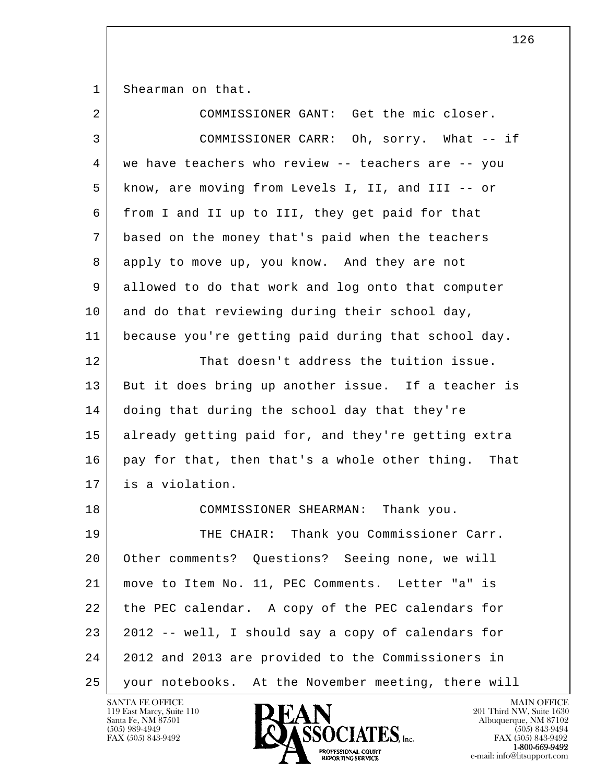1 Shearman on that.

| $\overline{2}$ | COMMISSIONER GANT: Get the mic closer.                 |
|----------------|--------------------------------------------------------|
| 3              | COMMISSIONER CARR: Oh, sorry. What -- if               |
| 4              | we have teachers who review -- teachers are -- you     |
| 5              | know, are moving from Levels I, II, and III -- or      |
| 6              | from I and II up to III, they get paid for that        |
| 7              | based on the money that's paid when the teachers       |
| 8              | apply to move up, you know. And they are not           |
| 9              | allowed to do that work and log onto that computer     |
| 10             | and do that reviewing during their school day,         |
| 11             | because you're getting paid during that school day.    |
| 12             | That doesn't address the tuition issue.                |
| 13             | But it does bring up another issue. If a teacher is    |
| 14             | doing that during the school day that they're          |
| 15             | already getting paid for, and they're getting extra    |
| 16             | pay for that, then that's a whole other thing.<br>That |
| 17             | is a violation.                                        |
| 18             | COMMISSIONER SHEARMAN: Thank you.                      |
| 19             | THE CHAIR: Thank you Commissioner Carr.                |
| 20             | Other comments? Questions? Seeing none, we will        |
| 21             | move to Item No. 11, PEC Comments. Letter "a" is       |
| 22             | the PEC calendar. A copy of the PEC calendars for      |
| 23             | 2012 -- well, I should say a copy of calendars for     |
| 24             | 2012 and 2013 are provided to the Commissioners in     |
| 25             | your notebooks. At the November meeting, there will    |

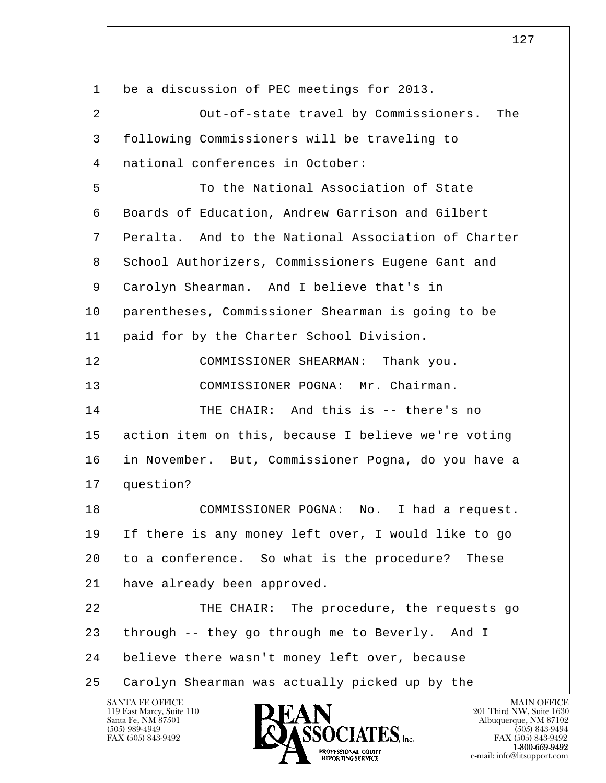| $\mathbf{1}$ | be a discussion of PEC meetings for 2013.           |
|--------------|-----------------------------------------------------|
| 2            | Out-of-state travel by Commissioners. The           |
| 3            | following Commissioners will be traveling to        |
| 4            | national conferences in October:                    |
| 5            | To the National Association of State                |
| 6            | Boards of Education, Andrew Garrison and Gilbert    |
| 7            | Peralta. And to the National Association of Charter |
| 8            | School Authorizers, Commissioners Eugene Gant and   |
| 9            | Carolyn Shearman. And I believe that's in           |
| 10           | parentheses, Commissioner Shearman is going to be   |
| 11           | paid for by the Charter School Division.            |
| 12           | COMMISSIONER SHEARMAN:<br>Thank you.                |
| 13           | COMMISSIONER POGNA: Mr. Chairman.                   |
| 14           | THE CHAIR: And this is -- there's no                |
| 15           | action item on this, because I believe we're voting |
| 16           | in November. But, Commissioner Pogna, do you have a |
| 17           | question?                                           |
| 18           | COMMISSIONER POGNA: No. I had a request.            |
| 19           | If there is any money left over, I would like to go |
| 20           | to a conference. So what is the procedure? These    |
| 21           | have already been approved.                         |
| 22           | THE CHAIR: The procedure, the requests go           |
| 23           | through -- they go through me to Beverly. And I     |
| 24           | believe there wasn't money left over, because       |
| 25           | Carolyn Shearman was actually picked up by the      |

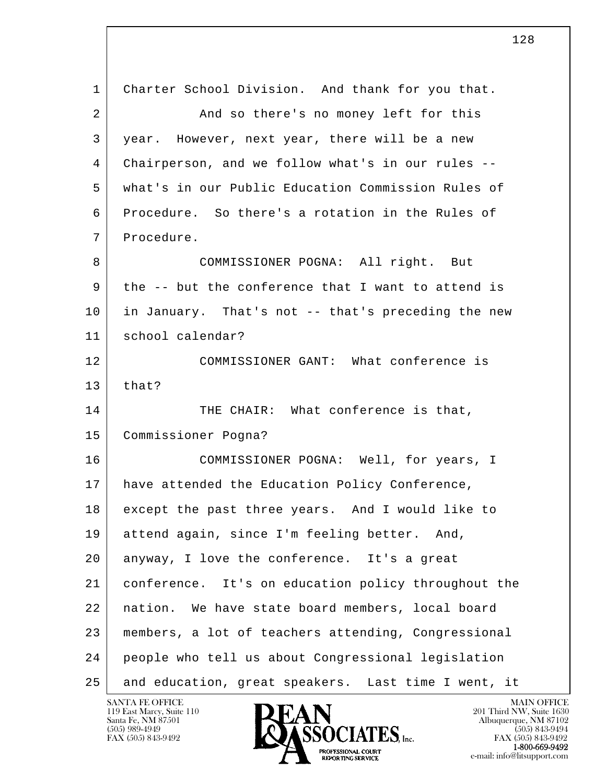l  $\overline{\phantom{a}}$  1 Charter School Division. And thank for you that. 2 And so there's no money left for this 3 year. However, next year, there will be a new 4 Chairperson, and we follow what's in our rules -- 5 what's in our Public Education Commission Rules of 6 Procedure. So there's a rotation in the Rules of 7 Procedure. 8 COMMISSIONER POGNA: All right. But 9 the -- but the conference that I want to attend is 10 in January. That's not -- that's preceding the new 11 school calendar? 12 | COMMISSIONER GANT: What conference is  $13$  that? 14 THE CHAIR: What conference is that, 15 Commissioner Pogna? 16 COMMISSIONER POGNA: Well, for years, I 17 have attended the Education Policy Conference, 18 except the past three years. And I would like to 19 attend again, since I'm feeling better. And, 20 anyway, I love the conference. It's a great 21 conference. It's on education policy throughout the 22 nation. We have state board members, local board 23 members, a lot of teachers attending, Congressional 24 people who tell us about Congressional legislation 25 and education, great speakers. Last time I went, it

119 East Marcy, Suite 110<br>Santa Fe, NM 87501

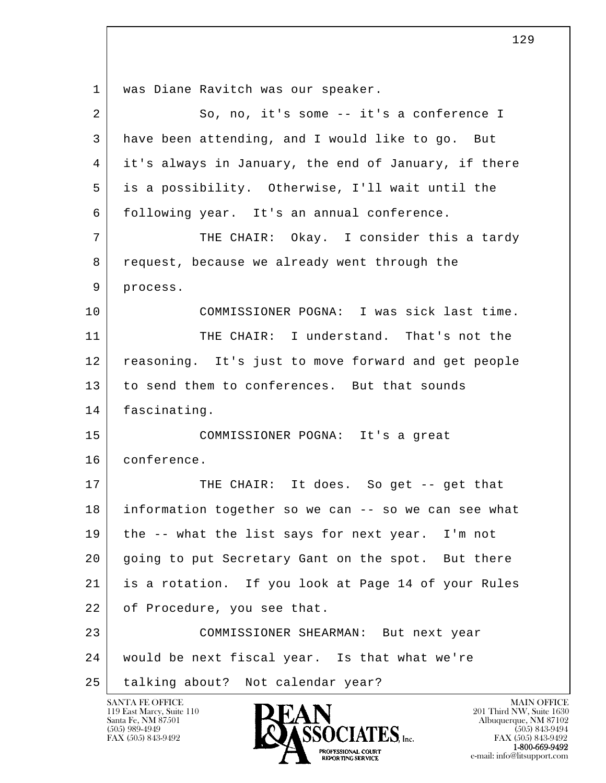l  $\overline{\phantom{a}}$  1 was Diane Ravitch was our speaker. 2 So, no, it's some -- it's a conference I 3 have been attending, and I would like to go. But 4 it's always in January, the end of January, if there 5 is a possibility. Otherwise, I'll wait until the 6 following year. It's an annual conference. 7 THE CHAIR: Okay. I consider this a tardy 8 request, because we already went through the 9 process. 10 COMMISSIONER POGNA: I was sick last time. 11 THE CHAIR: I understand. That's not the 12 reasoning. It's just to move forward and get people 13 to send them to conferences. But that sounds 14 fascinating. 15 COMMISSIONER POGNA: It's a great 16 conference. 17 | THE CHAIR: It does. So get -- get that 18 information together so we can -- so we can see what 19 the -- what the list says for next year. I'm not 20 going to put Secretary Gant on the spot. But there 21 is a rotation. If you look at Page 14 of your Rules 22 of Procedure, you see that. 23 COMMISSIONER SHEARMAN: But next year 24 would be next fiscal year. Is that what we're 25 talking about? Not calendar year?

119 East Marcy, Suite 110<br>Santa Fe, NM 87501

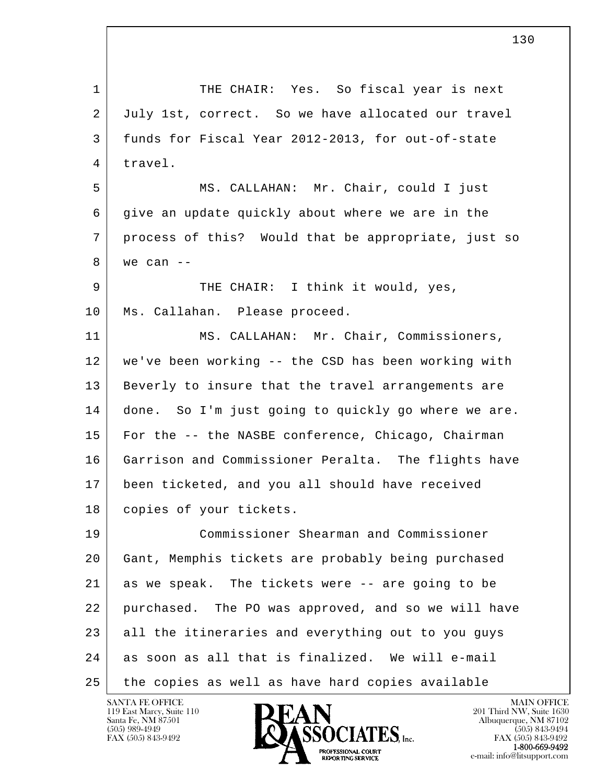l  $\overline{\phantom{a}}$ 1 THE CHAIR: Yes. So fiscal year is next 2 July 1st, correct. So we have allocated our travel 3 funds for Fiscal Year 2012-2013, for out-of-state 4 travel. 5 MS. CALLAHAN: Mr. Chair, could I just 6 give an update quickly about where we are in the 7 process of this? Would that be appropriate, just so  $8$  we can  $-$ 9 THE CHAIR: I think it would, yes, 10 | Ms. Callahan. Please proceed. 11 | MS. CALLAHAN: Mr. Chair, Commissioners, 12 we've been working -- the CSD has been working with 13 Beverly to insure that the travel arrangements are 14 done. So I'm just going to quickly go where we are. 15 For the -- the NASBE conference, Chicago, Chairman 16 Garrison and Commissioner Peralta. The flights have 17 been ticketed, and you all should have received 18 copies of your tickets. 19 Commissioner Shearman and Commissioner 20 Gant, Memphis tickets are probably being purchased 21 as we speak. The tickets were -- are going to be 22 purchased. The PO was approved, and so we will have 23 all the itineraries and everything out to you guys 24 as soon as all that is finalized. We will e-mail 25 the copies as well as have hard copies available

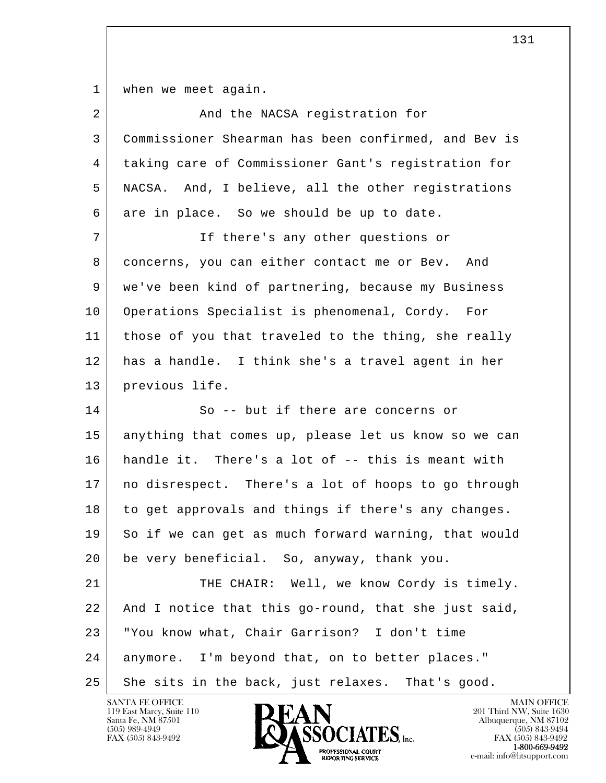1 | when we meet again.

| $\overline{2}$ | And the NACSA registration for                       |
|----------------|------------------------------------------------------|
| 3              | Commissioner Shearman has been confirmed, and Bev is |
| 4              | taking care of Commissioner Gant's registration for  |
| 5              | NACSA. And, I believe, all the other registrations   |
| 6              | are in place. So we should be up to date.            |
| 7              | If there's any other questions or                    |
| 8              | concerns, you can either contact me or Bev. And      |
| 9              | we've been kind of partnering, because my Business   |
| 10             | Operations Specialist is phenomenal, Cordy. For      |
| 11             | those of you that traveled to the thing, she really  |
| 12             | has a handle. I think she's a travel agent in her    |
| 13             | previous life.                                       |
| 14             | So -- but if there are concerns or                   |
| 15             | anything that comes up, please let us know so we can |
| 16             | handle it. There's a lot of -- this is meant with    |
| 17             | no disrespect. There's a lot of hoops to go through  |
| 18             | to get approvals and things if there's any changes.  |
| 19             | So if we can get as much forward warning, that would |
| 20             | be very beneficial. So, anyway, thank you.           |
| 21             | THE CHAIR: Well, we know Cordy is timely.            |
| 22             | And I notice that this go-round, that she just said, |
| 23             | "You know what, Chair Garrison? I don't time         |
| 24             | anymore. I'm beyond that, on to better places."      |
| 25             | She sits in the back, just relaxes. That's good.     |

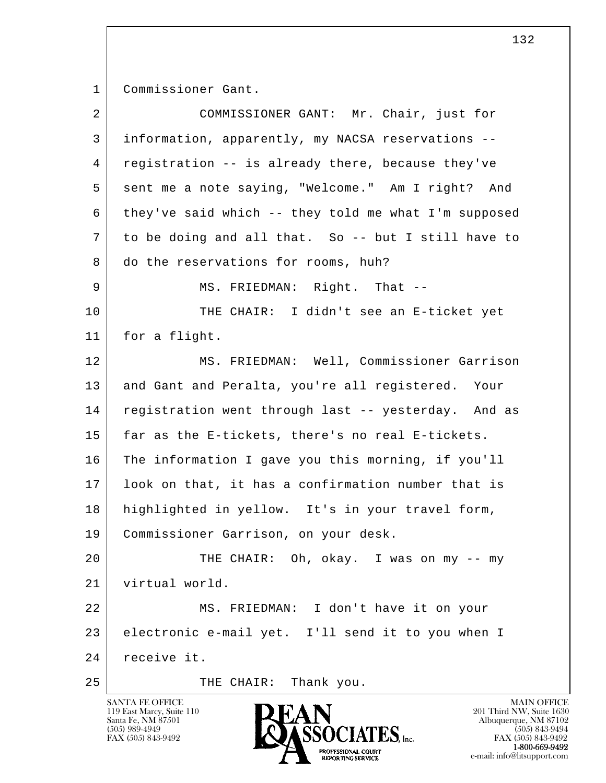1 Commissioner Gant.

| $\overline{a}$ | COMMISSIONER GANT: Mr. Chair, just for               |
|----------------|------------------------------------------------------|
| 3              | information, apparently, my NACSA reservations --    |
| 4              | registration -- is already there, because they've    |
| 5              | sent me a note saying, "Welcome." Am I right? And    |
| 6              | they've said which -- they told me what I'm supposed |
| 7              | to be doing and all that. So -- but I still have to  |
| 8              | do the reservations for rooms, huh?                  |
| 9              | MS. FRIEDMAN: Right. That --                         |
| 10             | THE CHAIR: I didn't see an E-ticket yet              |
| 11             | for a flight.                                        |
| 12             | MS. FRIEDMAN: Well, Commissioner Garrison            |
| 13             | and Gant and Peralta, you're all registered. Your    |
| 14             | registration went through last -- yesterday. And as  |
| 15             | far as the E-tickets, there's no real E-tickets.     |
| 16             | The information I gave you this morning, if you'll   |
| 17             | look on that, it has a confirmation number that is   |
| 18             | highlighted in yellow. It's in your travel form,     |
| 19             | Commissioner Garrison, on your desk.                 |
| 20             | THE CHAIR: Oh, okay. I was on my -- my               |
| 21             | virtual world.                                       |
| 22             | MS. FRIEDMAN: I don't have it on your                |
| 23             | electronic e-mail yet. I'll send it to you when I    |
| 24             | receive it.                                          |
| 25             | THE CHAIR: Thank you.                                |

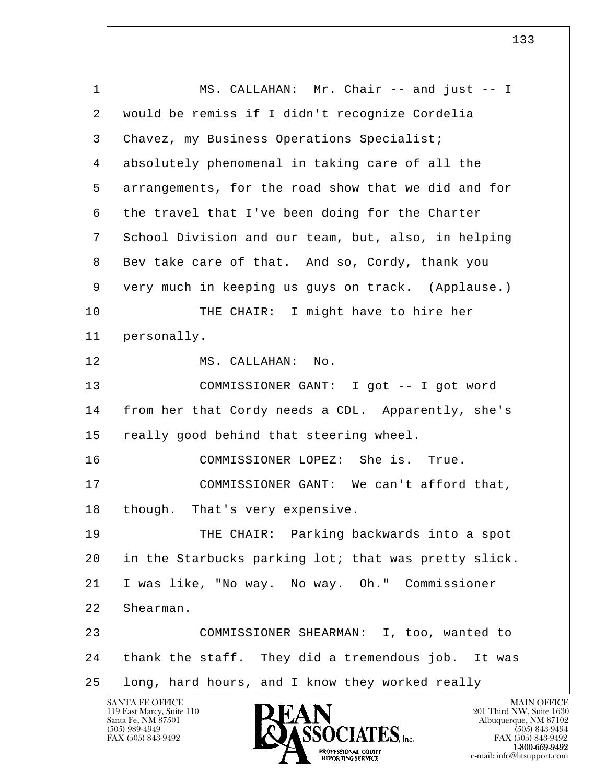l  $\overline{\phantom{a}}$ 1 MS. CALLAHAN: Mr. Chair -- and just -- I 2 would be remiss if I didn't recognize Cordelia 3 Chavez, my Business Operations Specialist; 4 absolutely phenomenal in taking care of all the 5 arrangements, for the road show that we did and for 6 the travel that I've been doing for the Charter 7 School Division and our team, but, also, in helping 8 Bev take care of that. And so, Cordy, thank you 9 very much in keeping us guys on track. (Applause.) 10 THE CHAIR: I might have to hire her 11 personally. 12 MS. CALLAHAN: No. 13 COMMISSIONER GANT: I got -- I got word 14 from her that Cordy needs a CDL. Apparently, she's 15 really good behind that steering wheel. 16 COMMISSIONER LOPEZ: She is. True. 17 COMMISSIONER GANT: We can't afford that, 18 though. That's very expensive. 19 THE CHAIR: Parking backwards into a spot 20 in the Starbucks parking lot; that was pretty slick. 21 I was like, "No way. No way. Oh." Commissioner 22 Shearman. 23 COMMISSIONER SHEARMAN: I, too, wanted to 24 thank the staff. They did a tremendous job. It was 25 long, hard hours, and I know they worked really

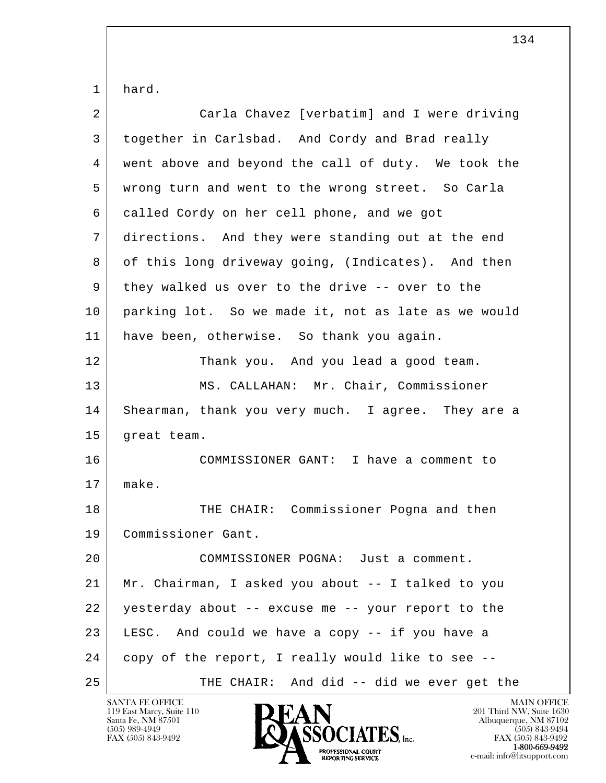1 hard.

| $\overline{2}$ | Carla Chavez [verbatim] and I were driving          |
|----------------|-----------------------------------------------------|
| 3              | together in Carlsbad. And Cordy and Brad really     |
| 4              | went above and beyond the call of duty. We took the |
| 5              | wrong turn and went to the wrong street. So Carla   |
| 6              | called Cordy on her cell phone, and we got          |
| 7              | directions. And they were standing out at the end   |
| 8              | of this long driveway going, (Indicates). And then  |
| 9              | they walked us over to the drive -- over to the     |
| 10             | parking lot. So we made it, not as late as we would |
| 11             | have been, otherwise. So thank you again.           |
| 12             | Thank you. And you lead a good team.                |
| 13             | MS. CALLAHAN: Mr. Chair, Commissioner               |
| 14             | Shearman, thank you very much. I agree. They are a  |
| 15             | great team.                                         |
| 16             | COMMISSIONER GANT: I have a comment to              |
| 17             | make.                                               |
| 18             | THE CHAIR: Commissioner Pogna and then              |
| 19             | Commissioner Gant.                                  |
| 20             | COMMISSIONER POGNA: Just a comment.                 |
| 21             | Mr. Chairman, I asked you about -- I talked to you  |
| 22             | yesterday about -- excuse me -- your report to the  |
| 23             | LESC. And could we have a copy -- if you have a     |
| 24             | copy of the report, I really would like to see --   |
| 25             | THE CHAIR: And did -- did we ever get the           |

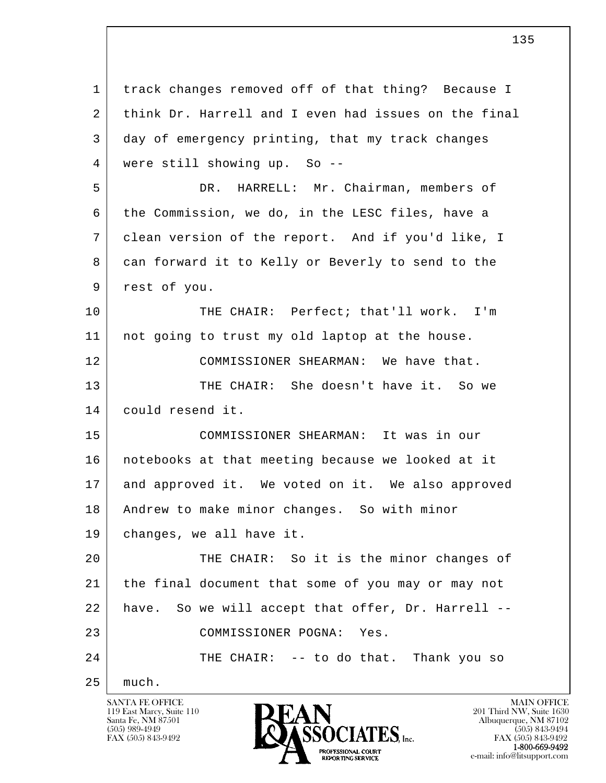l  $\overline{\phantom{a}}$  1 track changes removed off of that thing? Because I 2 think Dr. Harrell and I even had issues on the final 3 day of emergency printing, that my track changes 4 were still showing up. So -- 5 DR. HARRELL: Mr. Chairman, members of 6 the Commission, we do, in the LESC files, have a 7 clean version of the report. And if you'd like, I 8 can forward it to Kelly or Beverly to send to the 9 rest of you. 10 THE CHAIR: Perfect; that'll work. I'm 11 not going to trust my old laptop at the house. 12 COMMISSIONER SHEARMAN: We have that. 13 THE CHAIR: She doesn't have it. So we 14 could resend it. 15 COMMISSIONER SHEARMAN: It was in our 16 notebooks at that meeting because we looked at it 17 and approved it. We voted on it. We also approved 18 Andrew to make minor changes. So with minor 19 changes, we all have it. 20 THE CHAIR: So it is the minor changes of 21 the final document that some of you may or may not 22 have. So we will accept that offer, Dr. Harrell -- 23 COMMISSIONER POGNA: Yes. 24 THE CHAIR: -- to do that. Thank you so 25 much.

119 East Marcy, Suite 110<br>Santa Fe, NM 87501

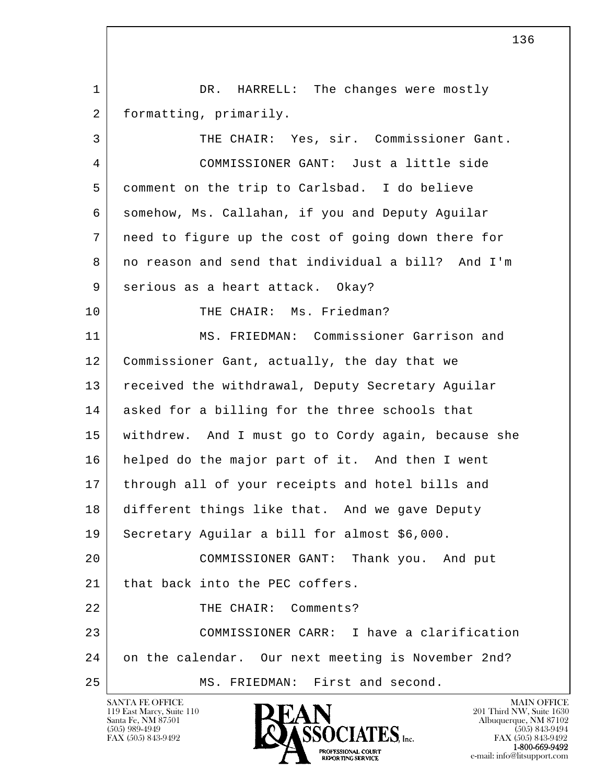1 DR. HARRELL: The changes were mostly 2 formatting, primarily.

l  $\overline{\phantom{a}}$  3 THE CHAIR: Yes, sir. Commissioner Gant. 4 COMMISSIONER GANT: Just a little side 5 comment on the trip to Carlsbad. I do believe 6 somehow, Ms. Callahan, if you and Deputy Aguilar 7 need to figure up the cost of going down there for 8 | no reason and send that individual a bill? And I'm 9 | serious as a heart attack. Okay? 10 THE CHAIR: Ms. Friedman? 11 MS. FRIEDMAN: Commissioner Garrison and 12 Commissioner Gant, actually, the day that we 13 received the withdrawal, Deputy Secretary Aguilar 14 asked for a billing for the three schools that 15 withdrew. And I must go to Cordy again, because she 16 helped do the major part of it. And then I went 17 through all of your receipts and hotel bills and 18 different things like that. And we gave Deputy 19 Secretary Aguilar a bill for almost \$6,000. 20 COMMISSIONER GANT: Thank you. And put 21 that back into the PEC coffers. 22 THE CHAIR: Comments? 23 COMMISSIONER CARR: I have a clarification 24 on the calendar. Our next meeting is November 2nd? 25 MS. FRIEDMAN: First and second.

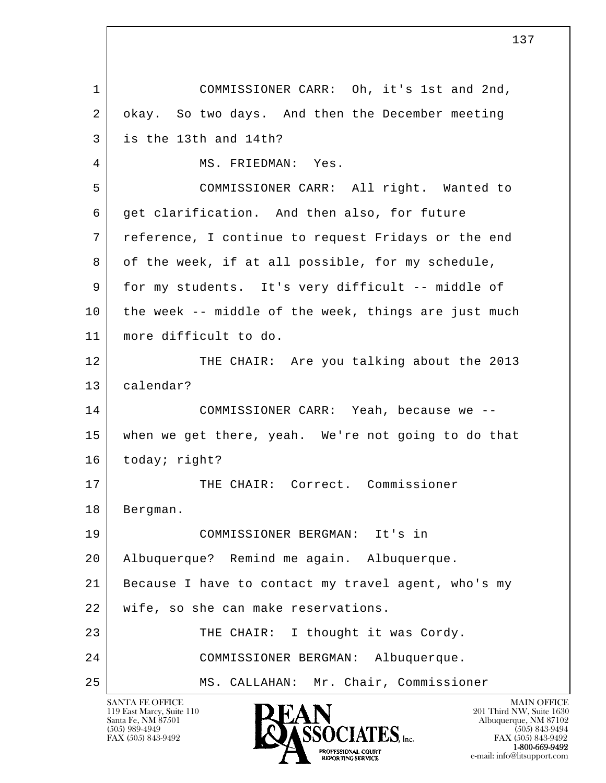l  $\overline{\phantom{a}}$  1 COMMISSIONER CARR: Oh, it's 1st and 2nd, 2 okay. So two days. And then the December meeting 3 is the 13th and 14th? 4 MS. FRIEDMAN: Yes. 5 COMMISSIONER CARR: All right. Wanted to 6 get clarification. And then also, for future 7 reference, I continue to request Fridays or the end 8 of the week, if at all possible, for my schedule, 9 for my students. It's very difficult -- middle of 10 the week -- middle of the week, things are just much 11 more difficult to do. 12 THE CHAIR: Are you talking about the 2013 13 calendar? 14 COMMISSIONER CARR: Yeah, because we -- 15 when we get there, yeah. We're not going to do that 16 today; right? 17 | THE CHAIR: Correct. Commissioner 18 | Bergman. 19 COMMISSIONER BERGMAN: It's in 20 Albuquerque? Remind me again. Albuquerque. 21 Because I have to contact my travel agent, who's my 22 wife, so she can make reservations. 23 THE CHAIR: I thought it was Cordy. 24 COMMISSIONER BERGMAN: Albuquerque. 25 MS. CALLAHAN: Mr. Chair, Commissioner

119 East Marcy, Suite 110<br>Santa Fe, NM 87501

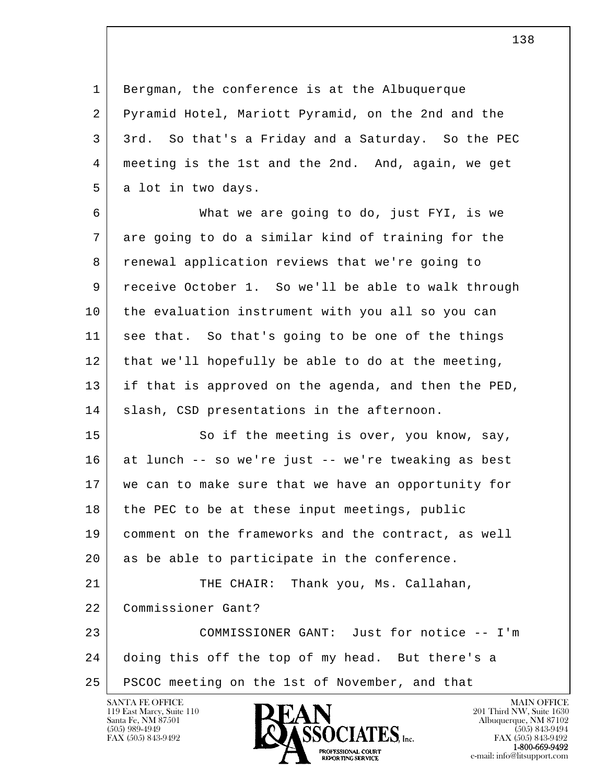1 Bergman, the conference is at the Albuquerque 2 Pyramid Hotel, Mariott Pyramid, on the 2nd and the 3 3rd. So that's a Friday and a Saturday. So the PEC 4 meeting is the 1st and the 2nd. And, again, we get 5 a lot in two days.

 6 What we are going to do, just FYI, is we 7 are going to do a similar kind of training for the 8 renewal application reviews that we're going to 9 receive October 1. So we'll be able to walk through 10 the evaluation instrument with you all so you can 11 see that. So that's going to be one of the things 12 that we'll hopefully be able to do at the meeting, 13 if that is approved on the agenda, and then the PED, 14 | slash, CSD presentations in the afternoon.

15 So if the meeting is over, you know, say, 16 at lunch -- so we're just -- we're tweaking as best 17 we can to make sure that we have an opportunity for 18 the PEC to be at these input meetings, public 19 comment on the frameworks and the contract, as well 20 as be able to participate in the conference. 21 THE CHAIR: Thank you, Ms. Callahan,

22 Commissioner Gant?

l  $\overline{\phantom{a}}$  23 COMMISSIONER GANT: Just for notice -- I'm 24 doing this off the top of my head. But there's a 25 PSCOC meeting on the 1st of November, and that

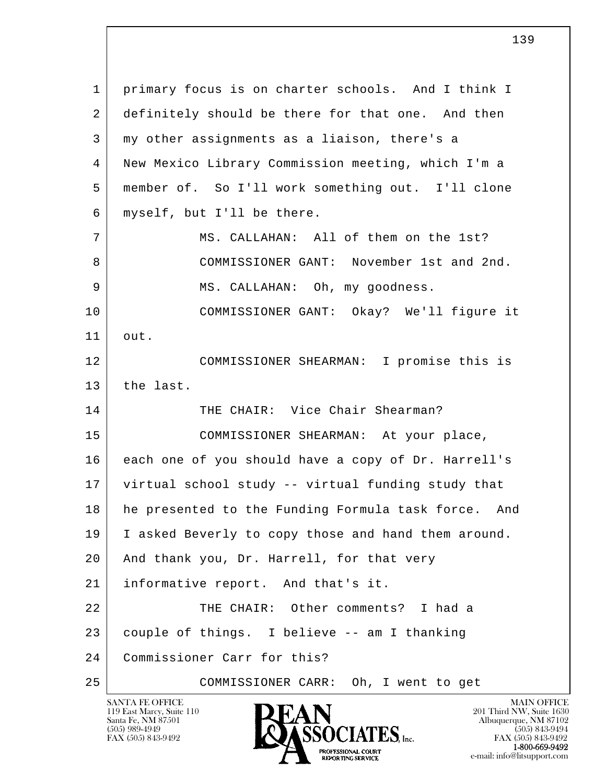l  $\overline{\phantom{a}}$  1 primary focus is on charter schools. And I think I 2 definitely should be there for that one. And then 3 my other assignments as a liaison, there's a 4 New Mexico Library Commission meeting, which I'm a 5 member of. So I'll work something out. I'll clone 6 myself, but I'll be there. 7 MS. CALLAHAN: All of them on the 1st? 8 COMMISSIONER GANT: November 1st and 2nd. 9 MS. CALLAHAN: Oh, my goodness. 10 COMMISSIONER GANT: Okay? We'll figure it 11 out. 12 COMMISSIONER SHEARMAN: I promise this is 13 the last. 14 THE CHAIR: Vice Chair Shearman? 15 COMMISSIONER SHEARMAN: At your place, 16 each one of you should have a copy of Dr. Harrell's 17 virtual school study -- virtual funding study that 18 he presented to the Funding Formula task force. And 19 I asked Beverly to copy those and hand them around. 20 | And thank you, Dr. Harrell, for that very 21 | informative report. And that's it. 22 THE CHAIR: Other comments? I had a 23 couple of things. I believe -- am I thanking 24 Commissioner Carr for this? 25 COMMISSIONER CARR: Oh, I went to get

119 East Marcy, Suite 110<br>Santa Fe, NM 87501



FAX (505) 843-9492<br>1-800-669-9492 e-mail: info@litsupport.com<br>REPORTING SERVICE REDUCED E-mail: info@litsupport.com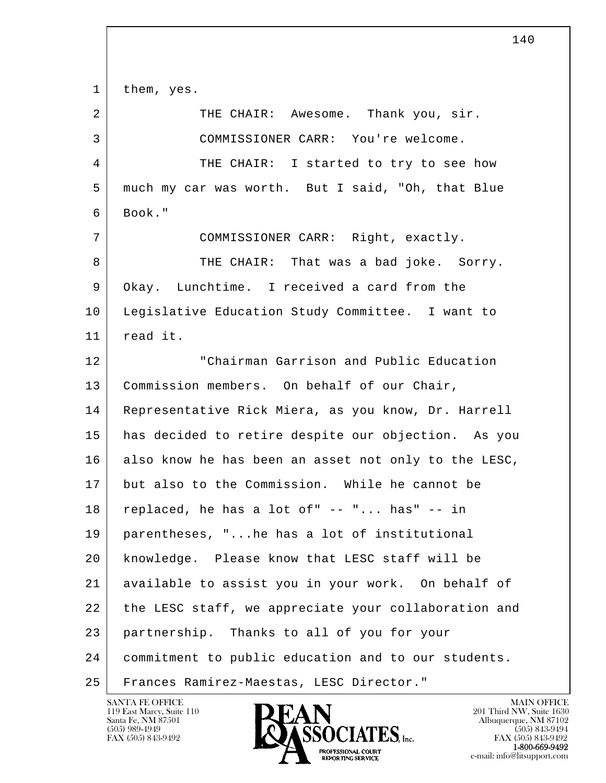l  $\overline{\phantom{a}}$ 1 | them, yes. 2 | THE CHAIR: Awesome. Thank you, sir. 3 COMMISSIONER CARR: You're welcome. 4 THE CHAIR: I started to try to see how 5 much my car was worth. But I said, "Oh, that Blue  $6$  Book." 7 COMMISSIONER CARR: Right, exactly. 8 THE CHAIR: That was a bad joke. Sorry. 9 Okay. Lunchtime. I received a card from the 10 Legislative Education Study Committee. I want to 11 read it. 12 Thairman Garrison and Public Education 13 | Commission members. On behalf of our Chair, 14 Representative Rick Miera, as you know, Dr. Harrell 15 has decided to retire despite our objection. As you 16 also know he has been an asset not only to the LESC, 17 but also to the Commission. While he cannot be  $18$  replaced, he has a lot of"  $-$  "... has"  $-$  in 19 parentheses, "...he has a lot of institutional 20 knowledge. Please know that LESC staff will be 21 available to assist you in your work. On behalf of 22 the LESC staff, we appreciate your collaboration and 23 partnership. Thanks to all of you for your 24 commitment to public education and to our students. 25 | Frances Ramirez-Maestas, LESC Director."

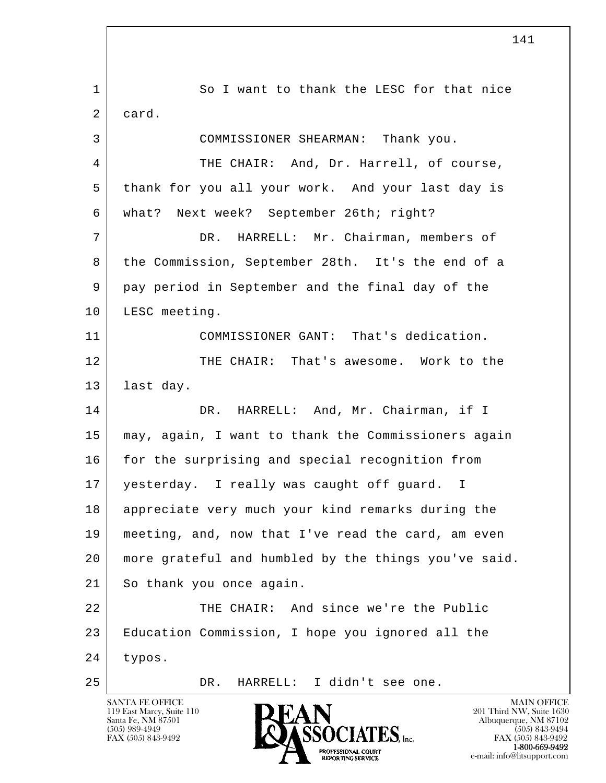l  $\overline{\phantom{a}}$ 1 So I want to thank the LESC for that nice 2 card. 3 COMMISSIONER SHEARMAN: Thank you. 4 THE CHAIR: And, Dr. Harrell, of course, 5 thank for you all your work. And your last day is 6 what? Next week? September 26th; right? 7 DR. HARRELL: Mr. Chairman, members of 8 the Commission, September 28th. It's the end of a 9 pay period in September and the final day of the 10 | LESC meeting. 11 COMMISSIONER GANT: That's dedication. 12 THE CHAIR: That's awesome. Work to the 13 | last day. 14 DR. HARRELL: And, Mr. Chairman, if I 15 may, again, I want to thank the Commissioners again 16 for the surprising and special recognition from 17 yesterday. I really was caught off guard. I 18 appreciate very much your kind remarks during the 19 meeting, and, now that I've read the card, am even 20 more grateful and humbled by the things you've said. 21 So thank you once again. 22 THE CHAIR: And since we're the Public 23 Education Commission, I hope you ignored all the 24 typos. 25 DR. HARRELL: I didn't see one.

119 East Marcy, Suite 110<br>Santa Fe, NM 87501

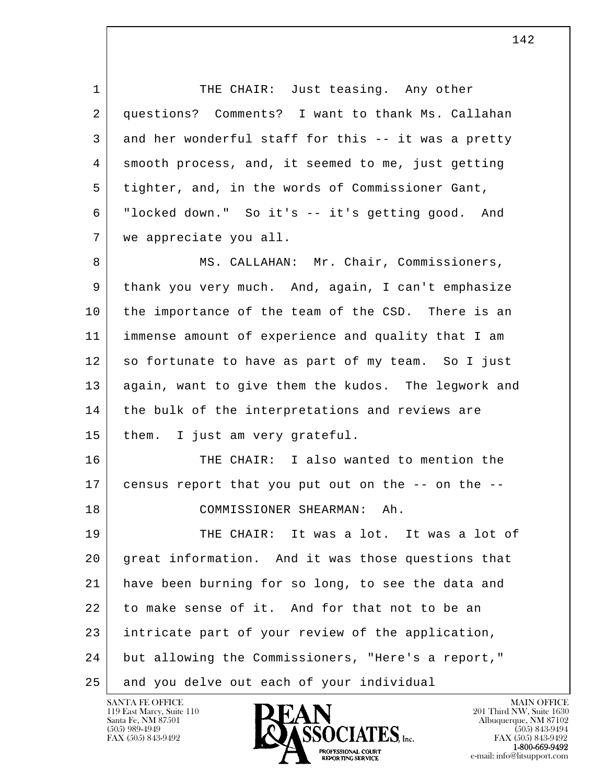1 THE CHAIR: Just teasing. Any other 2 questions? Comments? I want to thank Ms. Callahan 3 and her wonderful staff for this -- it was a pretty 4 smooth process, and, it seemed to me, just getting 5 tighter, and, in the words of Commissioner Gant, 6 "locked down." So it's -- it's getting good. And 7 we appreciate you all. 8 MS. CALLAHAN: Mr. Chair, Commissioners, 9 thank you very much. And, again, I can't emphasize 10 the importance of the team of the CSD. There is an 11 immense amount of experience and quality that I am 12 so fortunate to have as part of my team. So I just 13 again, want to give them the kudos. The legwork and 14 the bulk of the interpretations and reviews are 15 them. I just am very grateful. 16 THE CHAIR: I also wanted to mention the 17 census report that you put out on the -- on the -- 18 COMMISSIONER SHEARMAN: Ah. 19 THE CHAIR: It was a lot. It was a lot of 20 great information. And it was those questions that 21 have been burning for so long, to see the data and 22 to make sense of it. And for that not to be an 23 intricate part of your review of the application,

l  $\overline{\phantom{a}}$ 24 but allowing the Commissioners, "Here's a report,"

25 and you delve out each of your individual

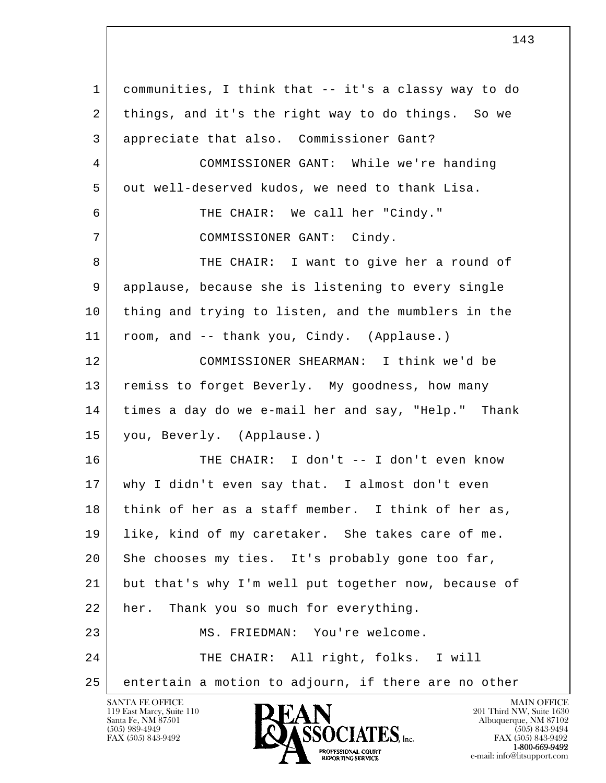l  $\overline{\phantom{a}}$  1 communities, I think that -- it's a classy way to do 2 things, and it's the right way to do things. So we 3 appreciate that also. Commissioner Gant? 4 COMMISSIONER GANT: While we're handing 5 out well-deserved kudos, we need to thank Lisa. 6 THE CHAIR: We call her "Cindy." 7 | COMMISSIONER GANT: Cindy. 8 THE CHAIR: I want to give her a round of 9 applause, because she is listening to every single 10 thing and trying to listen, and the mumblers in the 11 room, and -- thank you, Cindy. (Applause.) 12 COMMISSIONER SHEARMAN: I think we'd be 13 | remiss to forget Beverly. My goodness, how many 14 times a day do we e-mail her and say, "Help." Thank 15 you, Beverly. (Applause.) 16 THE CHAIR: I don't -- I don't even know 17 why I didn't even say that. I almost don't even 18 think of her as a staff member. I think of her as, 19 like, kind of my caretaker. She takes care of me. 20 She chooses my ties. It's probably gone too far, 21 but that's why I'm well put together now, because of 22 her. Thank you so much for everything. 23 MS. FRIEDMAN: You're welcome. 24 THE CHAIR: All right, folks. I will 25 entertain a motion to adjourn, if there are no other

119 East Marcy, Suite 110<br>Santa Fe, NM 87501

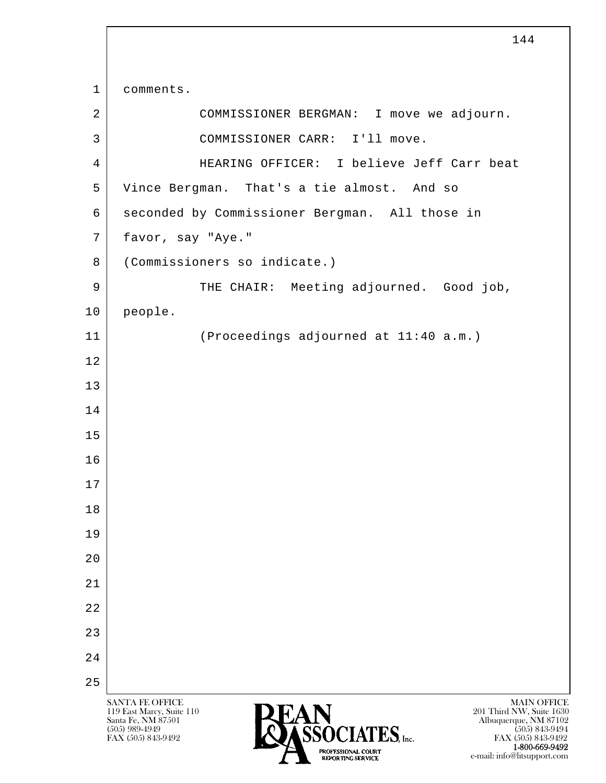l  $\overline{\phantom{a}}$ SANTA FE OFFICE MAIN OFFICE MAIN OFFICE MAIN OFFICE MAIN OFFICE 119 East Marcy, Suite 110 201 Third NW, Suite 1630<br>
Santa Fe, NM 87501 201 Third NW, Suite 1630 Santa Fe, NM 87501 Albuquerque, NM 87102  $\bullet$  (505) 989-4949 (505) 843-9494 FAX (505) 843-9492 **FAX (505) 843-9492** FAX (505) 843-9492 1 comments. 2 COMMISSIONER BERGMAN: I move we adjourn. 3 COMMISSIONER CARR: I'll move. 4 HEARING OFFICER: I believe Jeff Carr beat 5 Vince Bergman. That's a tie almost. And so 6 seconded by Commissioner Bergman. All those in 7 favor, say "Aye." 8 (Commissioners so indicate.) 9 THE CHAIR: Meeting adjourned. Good job, 10 people. 11 (Proceedings adjourned at 11:40 a.m.) 12 13 14 15 16 17 18 19 20 21 22 23 24 25